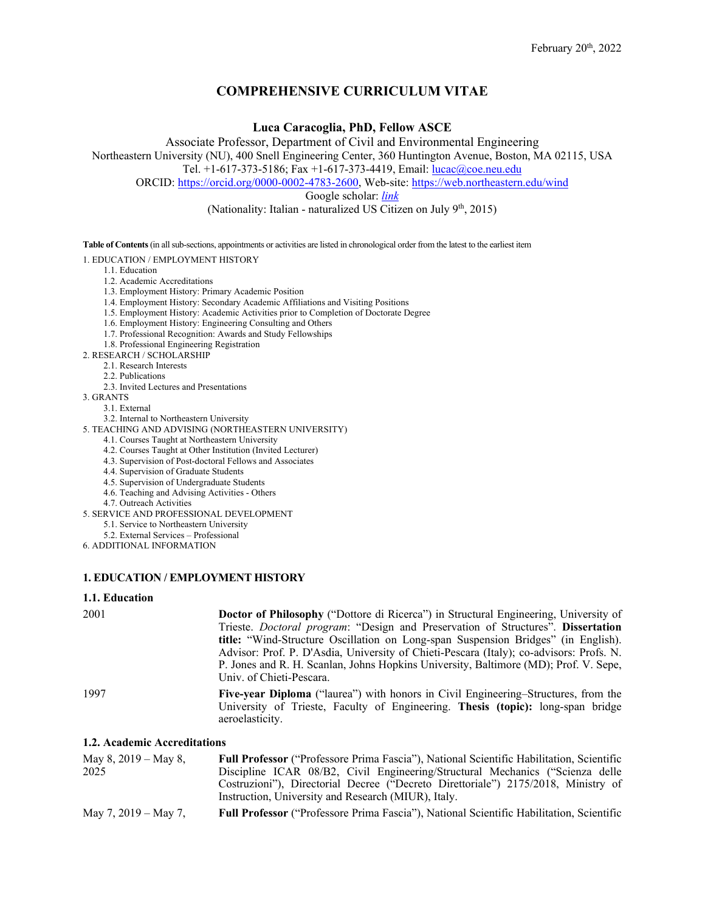# **COMPREHENSIVE CURRICULUM VITAE**

**Luca Caracoglia, PhD, Fellow ASCE**

Associate Professor, Department of Civil and Environmental Engineering Northeastern University (NU), 400 Snell Engineering Center, 360 Huntington Avenue, Boston, MA 02115, USA Tel. +1-617-373-5186; Fax +1-617-373-4419, Email: [lucac@coe.neu.edu](mailto:lucac@coe.neu.edu)

ORCID[: https://orcid.org/0000-0002-4783-2600,](https://orcid.org/0000-0002-4783-2600?lang=en) Web-site:<https://web.northeastern.edu/wind>

Google scholar: *[link](https://scholar.google.it/citations?user=qd3Q0XkAAAAJ&hl=it&oi=ao)*

(Nationality: Italian - naturalized US Citizen on July  $9<sup>th</sup>$ , 2015)

**Table of Contents**(in all sub-sections, appointments or activities are listed in chronological order from the latest to the earliest item

1. EDUCATION / EMPLOYMENT HISTORY

- 1.1. Education
- 1.2. Academic Accreditations
- 1.3. Employment History: Primary Academic Position
- 1.4. Employment History: Secondary Academic Affiliations and Visiting Positions
- 1.5. Employment History: Academic Activities prior to Completion of Doctorate Degree
- 1.6. Employment History: Engineering Consulting and Others
- 1.7. Professional Recognition: Awards and Study Fellowships
- 1.8. Professional Engineering Registration
- 2. RESEARCH / SCHOLARSHIP
	- 2.1. Research Interests
	- 2.2. Publications
	- 2.3. Invited Lectures and Presentations
- 3. GRANTS
	- 3.1. External
	- 3.2. Internal to Northeastern University
- 5. TEACHING AND ADVISING (NORTHEASTERN UNIVERSITY)
	- 4.1. Courses Taught at Northeastern University
	- 4.2. Courses Taught at Other Institution (Invited Lecturer)
	- 4.3. Supervision of Post-doctoral Fellows and Associates
	- 4.4. Supervision of Graduate Students
	- 4.5. Supervision of Undergraduate Students 4.6. Teaching and Advising Activities - Others
	-
	- 4.7. Outreach Activities
- 5. SERVICE AND PROFESSIONAL DEVELOPMENT
	- 5.1. Service to Northeastern University
- 5.2. External Services Professional
- 6. ADDITIONAL INFORMATION

## **1. EDUCATION / EMPLOYMENT HISTORY**

#### **1.1. Education**

| 2001                         | <b>Doctor of Philosophy</b> ("Dottore di Ricerca") in Structural Engineering, University of                                                                                                     |
|------------------------------|-------------------------------------------------------------------------------------------------------------------------------------------------------------------------------------------------|
|                              | Trieste. Doctoral program: "Design and Preservation of Structures". Dissertation                                                                                                                |
|                              | <b>title:</b> "Wind-Structure Oscillation on Long-span Suspension Bridges" (in English).                                                                                                        |
|                              | Advisor: Prof. P. D'Asdia, University of Chieti-Pescara (Italy); co-advisors: Profs. N.                                                                                                         |
|                              | P. Jones and R. H. Scanlan, Johns Hopkins University, Baltimore (MD); Prof. V. Sepe,                                                                                                            |
|                              | Univ. of Chieti-Pescara.                                                                                                                                                                        |
| 1997                         | <b>Five-year Diploma</b> ("laurea") with honors in Civil Engineering–Structures, from the<br>University of Trieste, Faculty of Engineering. Thesis (topic): long-span bridge<br>aeroelasticity. |
| 1.2. Academic Accreditations |                                                                                                                                                                                                 |
| May 8, $2019 -$ May 8,       | <b>Full Professor</b> ("Professore Prima Fascia"), National Scientific Habilitation, Scientific                                                                                                 |
| 2025                         | Discipline ICAR 08/B2, Civil Engineering/Structural Mechanics ("Scienza delle                                                                                                                   |

## Discipline ICAR 08/B2, Civil Engineering/Structural Mechanics ("Scienza delle Costruzioni"), Directorial Decree ("Decreto Direttoriale") 2175/2018, Ministry of Instruction, University and Research (MIUR), Italy.

May 7, 2019 – May 7, **Full Professor** ("Professore Prima Fascia"), National Scientific Habilitation, Scientific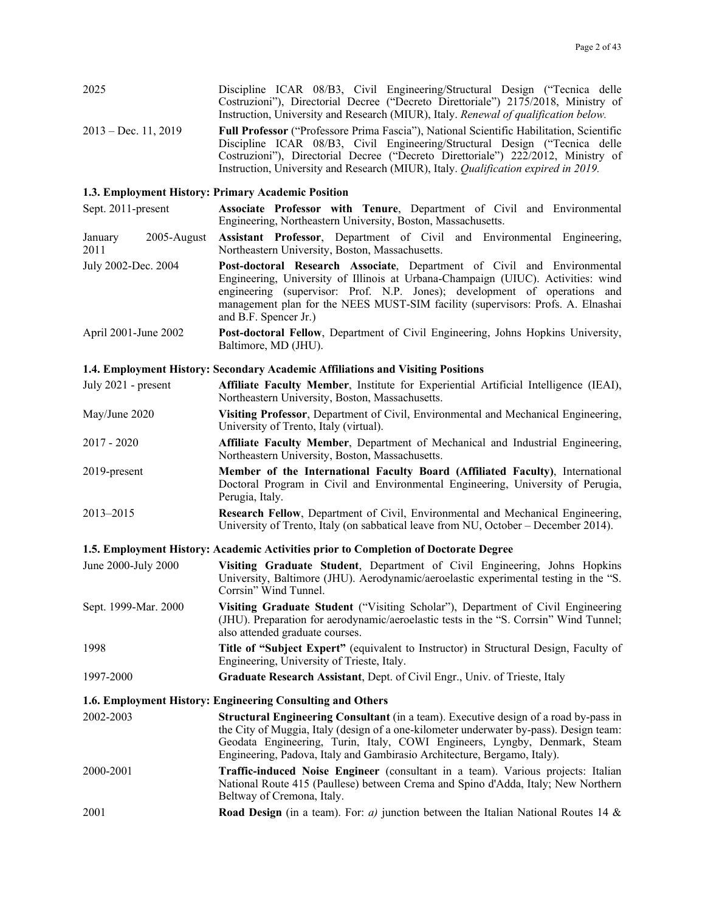| 2025                           | Discipline ICAR 08/B3, Civil Engineering/Structural Design ("Tecnica delle<br>Costruzioni"), Directorial Decree ("Decreto Direttoriale") 2175/2018, Ministry of<br>Instruction, University and Research (MIUR), Italy. Renewal of qualification below.                                                                                               |
|--------------------------------|------------------------------------------------------------------------------------------------------------------------------------------------------------------------------------------------------------------------------------------------------------------------------------------------------------------------------------------------------|
| $2013 - Dec. 11, 2019$         | Full Professor ("Professore Prima Fascia"), National Scientific Habilitation, Scientific<br>Discipline ICAR 08/B3, Civil Engineering/Structural Design ("Tecnica delle<br>Costruzioni"), Directorial Decree ("Decreto Direttoriale") 222/2012, Ministry of<br>Instruction, University and Research (MIUR), Italy. Qualification expired in 2019.     |
|                                | 1.3. Employment History: Primary Academic Position                                                                                                                                                                                                                                                                                                   |
| Sept. 2011-present             | Associate Professor with Tenure, Department of Civil and Environmental<br>Engineering, Northeastern University, Boston, Massachusetts.                                                                                                                                                                                                               |
| 2005-August<br>January<br>2011 | Assistant Professor, Department of Civil and Environmental Engineering,<br>Northeastern University, Boston, Massachusetts.                                                                                                                                                                                                                           |
| July 2002-Dec. 2004            | Post-doctoral Research Associate, Department of Civil and Environmental<br>Engineering, University of Illinois at Urbana-Champaign (UIUC). Activities: wind<br>engineering (supervisor: Prof. N.P. Jones); development of operations and<br>management plan for the NEES MUST-SIM facility (supervisors: Profs. A. Elnashai<br>and B.F. Spencer Jr.) |
| April 2001-June 2002           | Post-doctoral Fellow, Department of Civil Engineering, Johns Hopkins University,<br>Baltimore, MD (JHU).                                                                                                                                                                                                                                             |
|                                | 1.4. Employment History: Secondary Academic Affiliations and Visiting Positions                                                                                                                                                                                                                                                                      |
| July 2021 - present            | Affiliate Faculty Member, Institute for Experiential Artificial Intelligence (IEAI),<br>Northeastern University, Boston, Massachusetts.                                                                                                                                                                                                              |
| May/June 2020                  | Visiting Professor, Department of Civil, Environmental and Mechanical Engineering,<br>University of Trento, Italy (virtual).                                                                                                                                                                                                                         |
| $2017 - 2020$                  | Affiliate Faculty Member, Department of Mechanical and Industrial Engineering,<br>Northeastern University, Boston, Massachusetts.                                                                                                                                                                                                                    |
| 2019-present                   | Member of the International Faculty Board (Affiliated Faculty), International<br>Doctoral Program in Civil and Environmental Engineering, University of Perugia,<br>Perugia, Italy.                                                                                                                                                                  |
| 2013-2015                      | Research Fellow, Department of Civil, Environmental and Mechanical Engineering,<br>University of Trento, Italy (on sabbatical leave from NU, October - December 2014).                                                                                                                                                                               |
|                                | 1.5. Employment History: Academic Activities prior to Completion of Doctorate Degree                                                                                                                                                                                                                                                                 |
| June 2000-July 2000            | Visiting Graduate Student, Department of Civil Engineering, Johns Hopkins<br>University, Baltimore (JHU). Aerodynamic/aeroelastic experimental testing in the "S.<br>Corrsin" Wind Tunnel.                                                                                                                                                           |
| Sept. 1999-Mar. 2000           | Visiting Graduate Student ("Visiting Scholar"), Department of Civil Engineering<br>(JHU). Preparation for aerodynamic/aeroelastic tests in the "S. Corrsin" Wind Tunnel;<br>also attended graduate courses.                                                                                                                                          |
| 1998                           | Title of "Subject Expert" (equivalent to Instructor) in Structural Design, Faculty of<br>Engineering, University of Trieste, Italy.                                                                                                                                                                                                                  |
| 1997-2000                      | Graduate Research Assistant, Dept. of Civil Engr., Univ. of Trieste, Italy                                                                                                                                                                                                                                                                           |
|                                | 1.6. Employment History: Engineering Consulting and Others                                                                                                                                                                                                                                                                                           |
| 2002-2003                      | Structural Engineering Consultant (in a team). Executive design of a road by-pass in<br>the City of Muggia, Italy (design of a one-kilometer underwater by-pass). Design team:<br>Geodata Engineering, Turin, Italy, COWI Engineers, Lyngby, Denmark, Steam<br>Engineering, Padova, Italy and Gambirasio Architecture, Bergamo, Italy).              |
| 2000-2001                      | Traffic-induced Noise Engineer (consultant in a team). Various projects: Italian<br>National Route 415 (Paullese) between Crema and Spino d'Adda, Italy; New Northern<br>Beltway of Cremona, Italy.                                                                                                                                                  |
| 2001                           | <b>Road Design</b> (in a team). For: a) junction between the Italian National Routes 14 &                                                                                                                                                                                                                                                            |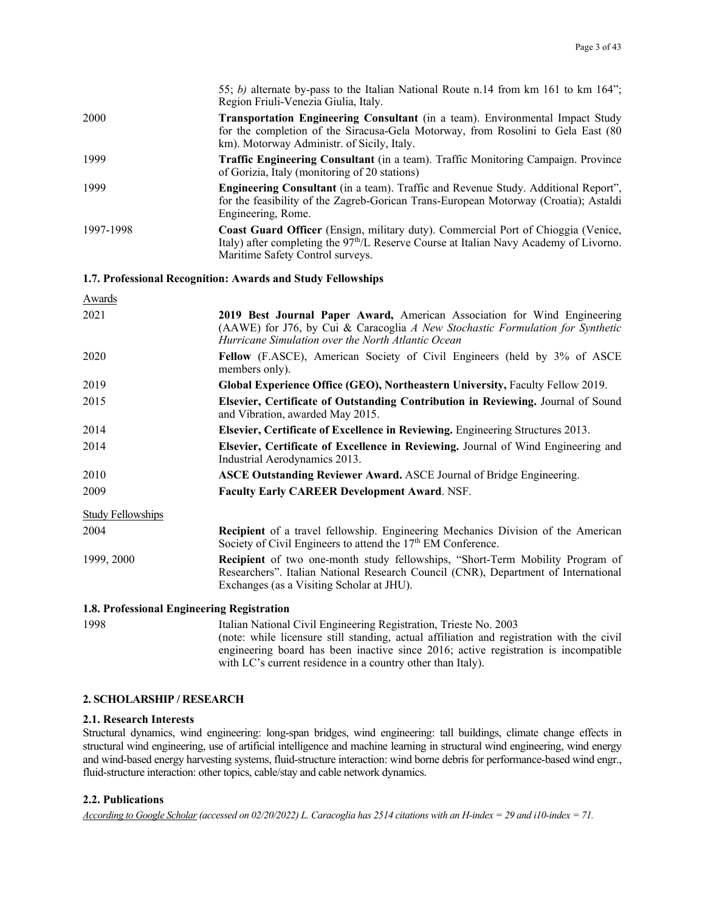|           | 55; b) alternate by-pass to the Italian National Route n.14 from km 161 to km 164";<br>Region Friuli-Venezia Giulia, Italy.                                                                                             |
|-----------|-------------------------------------------------------------------------------------------------------------------------------------------------------------------------------------------------------------------------|
| 2000      | <b>Transportation Engineering Consultant</b> (in a team). Environmental Impact Study<br>for the completion of the Siracusa-Gela Motorway, from Rosolini to Gela East (80)<br>km). Motorway Administr. of Sicily, Italy. |
| 1999      | <b>Traffic Engineering Consultant</b> (in a team). Traffic Monitoring Campaign. Province<br>of Gorizia, Italy (monitoring of 20 stations)                                                                               |
| 1999      | Engineering Consultant (in a team). Traffic and Revenue Study. Additional Report",<br>for the feasibility of the Zagreb-Gorican Trans-European Motorway (Croatia); Astaldi<br>Engineering, Rome.                        |
| 1997-1998 | Coast Guard Officer (Ensign, military duty). Commercial Port of Chioggia (Venice,<br>Italy) after completing the $97th/L$ Reserve Course at Italian Navy Academy of Livorno.<br>Maritime Safety Control surveys.        |

## **1.7. Professional Recognition: Awards and Study Fellowships**

| <b>Awards</b>                              |                                                                                                                                                                                                                         |
|--------------------------------------------|-------------------------------------------------------------------------------------------------------------------------------------------------------------------------------------------------------------------------|
| 2021                                       | 2019 Best Journal Paper Award, American Association for Wind Engineering<br>(AAWE) for J76, by Cui & Caracoglia A New Stochastic Formulation for Synthetic<br>Hurricane Simulation over the North Atlantic Ocean        |
| 2020                                       | Fellow (F.ASCE), American Society of Civil Engineers (held by 3% of ASCE<br>members only).                                                                                                                              |
| 2019                                       | Global Experience Office (GEO), Northeastern University, Faculty Fellow 2019.                                                                                                                                           |
| 2015                                       | Elsevier, Certificate of Outstanding Contribution in Reviewing. Journal of Sound<br>and Vibration, awarded May 2015.                                                                                                    |
| 2014                                       | Elsevier, Certificate of Excellence in Reviewing. Engineering Structures 2013.                                                                                                                                          |
| 2014                                       | Elsevier, Certificate of Excellence in Reviewing. Journal of Wind Engineering and<br>Industrial Aerodynamics 2013.                                                                                                      |
| 2010                                       | <b>ASCE Outstanding Reviewer Award. ASCE Journal of Bridge Engineering.</b>                                                                                                                                             |
| 2009                                       | <b>Faculty Early CAREER Development Award. NSF.</b>                                                                                                                                                                     |
| <b>Study Fellowships</b>                   |                                                                                                                                                                                                                         |
| 2004                                       | <b>Recipient</b> of a travel fellowship. Engineering Mechanics Division of the American<br>Society of Civil Engineers to attend the 17 <sup>th</sup> EM Conference.                                                     |
| 1999, 2000                                 | <b>Recipient</b> of two one-month study fellowships, "Short-Term Mobility Program of<br>Researchers". Italian National Research Council (CNR), Department of International<br>Exchanges (as a Visiting Scholar at JHU). |
| 1.8. Professional Engineering Registration |                                                                                                                                                                                                                         |

1998 Italian National Civil Engineering Registration, Trieste No. 2003 (note: while licensure still standing, actual affiliation and registration with the civil engineering board has been inactive since 2016; active registration is incompatible with LC's current residence in a country other than Italy).

#### **2. SCHOLARSHIP / RESEARCH**

#### **2.1. Research Interests**

Structural dynamics, wind engineering: long-span bridges, wind engineering: tall buildings, climate change effects in structural wind engineering, use of artificial intelligence and machine learning in structural wind engineering, wind energy and wind-based energy harvesting systems, fluid-structure interaction: wind borne debris for performance-based wind engr., fluid-structure interaction: other topics, cable/stay and cable network dynamics.

### **2.2. Publications**

*According to Google Scholar (accessed on 02/20/2022) L. Caracoglia has 2514 citations with an H-index = 29 and i10-index = 71.*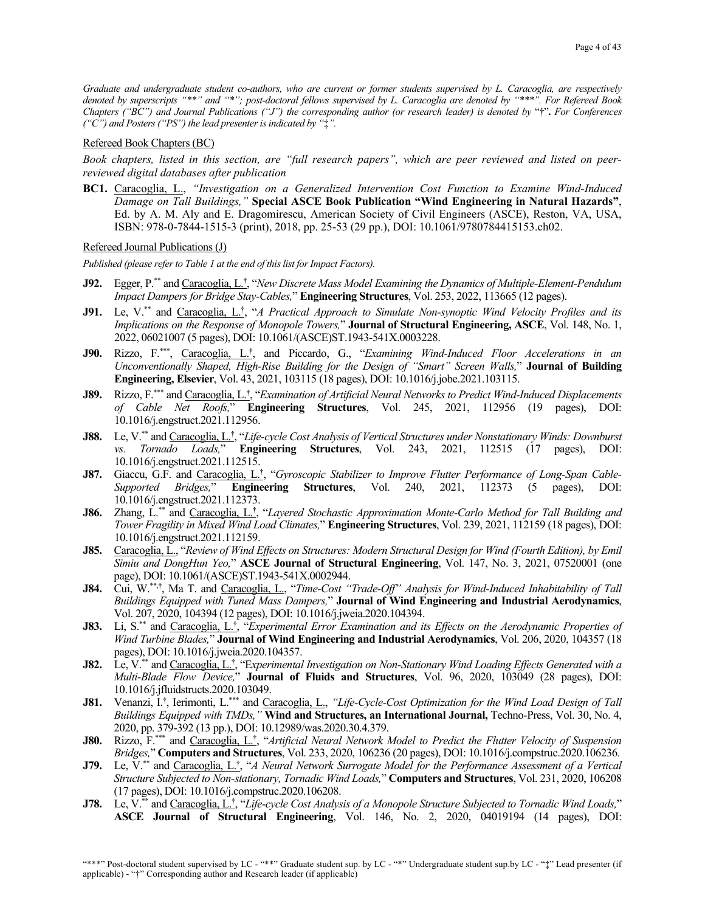*Graduate and undergraduate student co-authors, who are current or former students supervised by L. Caracoglia, are respectively denoted by superscripts "\*\*" and "\*"; post-doctoral fellows supervised by L. Caracoglia are denoted by "\*\*\*". For Refereed Book Chapters ("BC") and Journal Publications ("J") the corresponding author (or research leader) is denoted by* "†"**.** *For Conferences ("C") and Posters ("PS") the lead presenter is indicated by "*‡*".*

#### Refereed Book Chapters (BC)

*Book chapters, listed in this section, are "full research papers", which are peer reviewed and listed on peerreviewed digital databases after publication* 

**BC1.** Caracoglia, L., *"Investigation on a Generalized Intervention Cost Function to Examine Wind-Induced Damage on Tall Buildings,"* **Special ASCE Book Publication "Wind Engineering in Natural Hazards"**, Ed. by A. M. Aly and E. Dragomirescu, American Society of Civil Engineers (ASCE), Reston, VA, USA, ISBN: 978-0-7844-1515-3 (print), 2018, pp. 25-53 (29 pp.), DOI: 10.1061/9780784415153.ch02.

Refereed Journal Publications (J)

*Published (please refer to Table 1 at the end of this list for Impact Factors).*

- **J92.** Egger, P.\*\* and Caracoglia, L.**†** , "*New Discrete Mass Model Examining the Dynamics of Multiple-Element-Pendulum Impact Dampers for Bridge Stay-Cables,*" **Engineering Structures**, Vol. 253, 2022, 113665 (12 pages).
- **J91.** Le, V.<sup>\*\*</sup> and Caracoglia, L.<sup>†</sup>, "*A Practical Approach to Simulate Non-synoptic Wind Velocity Profiles and its Implications on the Response of Monopole Towers,*" **Journal of Structural Engineering, ASCE**, Vol. 148, No. 1, 2022, 06021007 (5 pages), DOI: 10.1061/(ASCE)ST.1943-541X.0003228.
- **J90.** Rizzo, F.\*\*\*, Caracoglia, L.**†** , and Piccardo, G., "*Examining Wind-Induced Floor Accelerations in an Unconventionally Shaped, High-Rise Building for the Design of "Smart" Screen Walls,*" **Journal of Building Engineering, Elsevier**, Vol. 43, 2021, 103115 (18 pages), DOI: 10.1016/j.jobe.2021.103115.
- **J89.** Rizzo, F.\*\*\* and Caracoglia, L.**†** , "*Examination of Artificial Neural Networks to Predict Wind-Induced Displacements of Cable Net Roofs,*" **Engineering Structures**, Vol. 245, 2021, 112956 (19 pages), DOI: 10.1016/j.engstruct.2021.112956.
- **J88.** Le, V.\*\* and Caracoglia, L.**†** , "*Life-cycle Cost Analysis of Vertical Structures under Nonstationary Winds: Downburst vs. Tornado Loads,*" **Engineering Structures**, Vol. 243, 2021, 112515 (17 pages), DOI: 10.1016/j.engstruct.2021.112515.
- **J87.** Giaccu, G.F. and Caracoglia, L.**†** , "*Gyroscopic Stabilizer to Improve Flutter Performance of Long-Span Cable-Supported Bridges,*" **Engineering Structures**, Vol. 240, 2021, 112373 (5 pages), DOI: 10.1016/j.engstruct.2021.112373.
- **J86.** Zhang, L.\*\* and Caracoglia, L.**†** , "*Layered Stochastic Approximation Monte-Carlo Method for Tall Building and Tower Fragility in Mixed Wind Load Climates,*" **Engineering Structures**, Vol. 239, 2021, 112159 (18 pages), DOI: 10.1016/j.engstruct.2021.112159.
- **J85.** Caracoglia, L., "*Review of Wind Effects on Structures: Modern Structural Design for Wind (Fourth Edition), by Emil Simiu and DongHun Yeo,*" **ASCE Journal of Structural Engineering**, Vol. 147, No. 3, 2021, 07520001 (one page), DOI: 10.1061/(ASCE)ST.1943-541X.0002944.
- **J84.** Cui, W.\*\*,**†** , Ma T. and Caracoglia, L., "*Time-Cost "Trade-Off" Analysis for Wind-Induced Inhabitability of Tall Buildings Equipped with Tuned Mass Dampers,*" **Journal of Wind Engineering and Industrial Aerodynamics**, Vol. 207, 2020, 104394 (12 pages), DOI: 10.1016/j.jweia.2020.104394.
- **J83.** Li, S.<sup>\*\*</sup> and Caracoglia, L.<sup>†</sup>, "Experimental Error Examination and its Effects on the Aerodynamic Properties of *Wind Turbine Blades,*" **Journal of Wind Engineering and Industrial Aerodynamics**, Vol. 206, 2020, 104357 (18 pages), DOI: 10.1016/j.jweia.2020.104357.
- **J82.** Le, V.\*\* and Caracoglia, L.**†** , "E*xperimental Investigation on Non-Stationary Wind Loading Effects Generated with a Multi-Blade Flow Device,*" **Journal of Fluids and Structures**, Vol. 96, 2020, 103049 (28 pages), DOI: 10.1016/j.jfluidstructs.2020.103049.
- **J81.** Venanzi, I.**†** , Ierimonti, L.\*\*\* and Caracoglia, L., *"Life-Cycle-Cost Optimization for the Wind Load Design of Tall Buildings Equipped with TMDs,"* **Wind and Structures, an International Journal,** Techno-Press, Vol. 30, No. 4, 2020, pp. 379-392 (13 pp.), DOI: 10.12989/was.2020.30.4.379.
- **J80.** Rizzo, F. \*\*\* and Caracoglia, L.**†** , "*Artificial Neural Network Model to Predict the Flutter Velocity of Suspension Bridges,*" **Computers and Structures**, Vol. 233, 2020, 106236 (20 pages), DOI: 10.1016/j.compstruc.2020.106236.
- **J79.** Le, V.\*\* and Caracoglia, L.**†** , "*A Neural Network Surrogate Model for the Performance Assessment of a Vertical Structure Subjected to Non-stationary, Tornadic Wind Loads,*" **Computers and Structures**, Vol. 231, 2020, 106208 (17 pages), DOI: 10.1016/j.compstruc.2020.106208.
- **J78.** Le, V.\*\* and Caracoglia, L.**†** , "*Life-cycle Cost Analysis of a Monopole Structure Subjected to Tornadic Wind Loads,*" **ASCE Journal of Structural Engineering**, Vol. 146, No. 2, 2020, 04019194 (14 pages), DOI: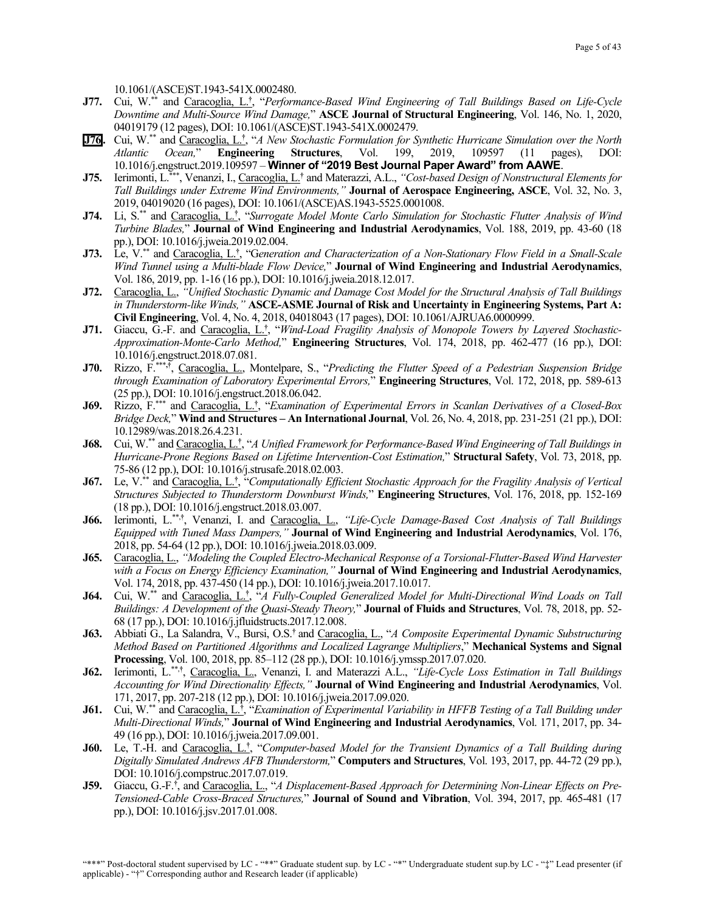10.1061/(ASCE)ST.1943-541X.0002480.

- **J77.** Cui, W.\*\* and Caracoglia, L.**†** , "*Performance-Based Wind Engineering of Tall Buildings Based on Life-Cycle Downtime and Multi-Source Wind Damage,*" **ASCE Journal of Structural Engineering**, Vol. 146, No. 1, 2020, 04019179 (12 pages), DOI: 10.1061/(ASCE)ST.1943-541X.0002479.
- **J76 .** Cui, W.\*\* and Caracoglia, L.**†** , "*A New Stochastic Formulation for Synthetic Hurricane Simulation over the North Atlantic Ocean,*" **Engineering Structures**, Vol. 199, 2019, 109597 (11 pages), DOI: 10.1016/j.engstruct.2019.109597 – **Winner of "2019 Best Journal Paper Award" from AAWE**.
- **J75.** Ierimonti, L.\*\*\* , Venanzi, I., Caracoglia, L. **†** and Materazzi, A.L., *"Cost-based Design of Nonstructural Elements for Tall Buildings under Extreme Wind Environments,"* **Journal of Aerospace Engineering, ASCE**, Vol. 32, No. 3, 2019, 04019020 (16 pages), DOI: 10.1061/(ASCE)AS.1943-5525.0001008.
- **J74.** Li, S. \*\* and Caracoglia, L. **†** , "*Surrogate Model Monte Carlo Simulation for Stochastic Flutter Analysis of Wind Turbine Blades,*" **Journal of Wind Engineering and Industrial Aerodynamics**, Vol. 188, 2019, pp. 43-60 (18 pp.), DOI: 10.1016/j.jweia.2019.02.004.
- **J73.** Le, V.\*\* and Caracoglia, L.**†** , "G*eneration and Characterization of a Non-Stationary Flow Field in a Small-Scale Wind Tunnel using a Multi-blade Flow Device,*" **Journal of Wind Engineering and Industrial Aerodynamics**, Vol. 186, 2019, pp. 1-16 (16 pp.), DOI: 10.1016/j.jweia.2018.12.017.
- **J72.** Caracoglia, L., *"Unified Stochastic Dynamic and Damage Cost Model for the Structural Analysis of Tall Buildings in Thunderstorm-like Winds,"* **ASCE-ASME Journal of Risk and Uncertainty in Engineering Systems, Part A: Civil Engineering**, Vol. 4, No. 4, 2018, 04018043 (17 pages), DOI: 10.1061/AJRUA6.0000999.
- **J71.** Giaccu, G.-F. and Caracoglia, L.**†** , "*Wind-Load Fragility Analysis of Monopole Towers by Layered Stochastic-Approximation-Monte-Carlo Method,*" **Engineering Structures**, Vol. 174, 2018, pp. 462-477 (16 pp.), DOI: 10.1016/j.engstruct.2018.07.081.
- **J70.** Rizzo, F.\*\*\***,†**, Caracoglia, L., Montelpare, S., "*Predicting the Flutter Speed of a Pedestrian Suspension Bridge through Examination of Laboratory Experimental Errors,*" **Engineering Structures**, Vol. 172, 2018, pp. 589-613 (25 pp.), DOI: 10.1016/j.engstruct.2018.06.042.
- **J69.** Rizzo, F.\*\*\* and Caracoglia, L.**†** , "*Examination of Experimental Errors in Scanlan Derivatives of a Closed-Box Bridge Deck,*" **Wind and Structures – An International Journal**, Vol. 26, No. 4, 2018, pp. 231-251 (21 pp.), DOI: 10.12989/was.2018.26.4.231.
- **J68.** Cui, W.\*\* and Caracoglia, L.**†** , "*A Unified Framework for Performance-Based Wind Engineering of Tall Buildings in Hurricane-Prone Regions Based on Lifetime Intervention-Cost Estimation,*" **Structural Safety**, Vol. 73, 2018, pp. 75-86 (12 pp.), DOI: 10.1016/j.strusafe.2018.02.003.
- **J67.** Le, V.\*\* and Caracoglia, L.**†** , "*Computationally Efficient Stochastic Approach for the Fragility Analysis of Vertical Structures Subjected to Thunderstorm Downburst Winds,*" **Engineering Structures**, Vol. 176, 2018, pp. 152-169 (18 pp.), DOI: 10.1016/j.engstruct.2018.03.007.
- **J66.** Ierimonti, L.\*\*,**†** , Venanzi, I. and Caracoglia, L., *"Life-Cycle Damage-Based Cost Analysis of Tall Buildings Equipped with Tuned Mass Dampers,"* **Journal of Wind Engineering and Industrial Aerodynamics**, Vol. 176, 2018, pp. 54-64 (12 pp.), DOI: 10.1016/j.jweia.2018.03.009.
- **J65.** Caracoglia, L., *"Modeling the Coupled Electro-Mechanical Response of a Torsional-Flutter-Based Wind Harvester with a Focus on Energy Efficiency Examination,"* **Journal of Wind Engineering and Industrial Aerodynamics**, Vol. 174, 2018, pp. 437-450 (14 pp.), DOI: 10.1016/j.jweia.2017.10.017.
- **J64.** Cui, W.\*\* and Caracoglia, L.**†** , "*A Fully-Coupled Generalized Model for Multi-Directional Wind Loads on Tall Buildings: A Development of the Quasi-Steady Theory,*" **Journal of Fluids and Structures**, Vol. 78, 2018, pp. 52- 68 (17 pp.), DOI: 10.1016/j.jfluidstructs.2017.12.008.
- **J63.** Abbiati G., La Salandra, V., Bursi, O.S.**†** and Caracoglia, L., "*A Composite Experimental Dynamic Substructuring Method Based on Partitioned Algorithms and Localized Lagrange Multipliers*," **Mechanical Systems and Signal Processing**, Vol. 100, 2018, pp. 85–112 (28 pp.), DOI: 10.1016/j.ymssp.2017.07.020.
- **J62.** Ierimonti, L.\*\*,**†** , Caracoglia, L., Venanzi, I. and Materazzi A.L., *"Life-Cycle Loss Estimation in Tall Buildings Accounting for Wind Directionality Effects,"* **Journal of Wind Engineering and Industrial Aerodynamics**, Vol. 171, 2017, pp. 207-218 (12 pp.), DOI: 10.1016/j.jweia.2017.09.020.
- **J61.** Cui, W.\*\* and Caracoglia, L.**†** , "*Examination of Experimental Variability in HFFB Testing of a Tall Building under Multi-Directional Winds,*" **Journal of Wind Engineering and Industrial Aerodynamics**, Vol. 171, 2017, pp. 34- 49 (16 pp.), DOI: 10.1016/j.jweia.2017.09.001.
- **J60.** Le, T.-H. and Caracoglia, L.**†** , "*Computer-based Model for the Transient Dynamics of a Tall Building during Digitally Simulated Andrews AFB Thunderstorm,*" **Computers and Structures**, Vol. 193, 2017, pp. 44-72 (29 pp.), DOI: 10.1016/j.compstruc.2017.07.019.
- **J59.** Giaccu, G.-F.<sup>†</sup>, and Caracoglia, L., "A Displacement-Based Approach for Determining Non-Linear Effects on Pre-*Tensioned-Cable Cross-Braced Structures,*" **Journal of Sound and Vibration**, Vol. 394, 2017, pp. 465-481 (17 pp.), DOI: 10.1016/j.jsv.2017.01.008.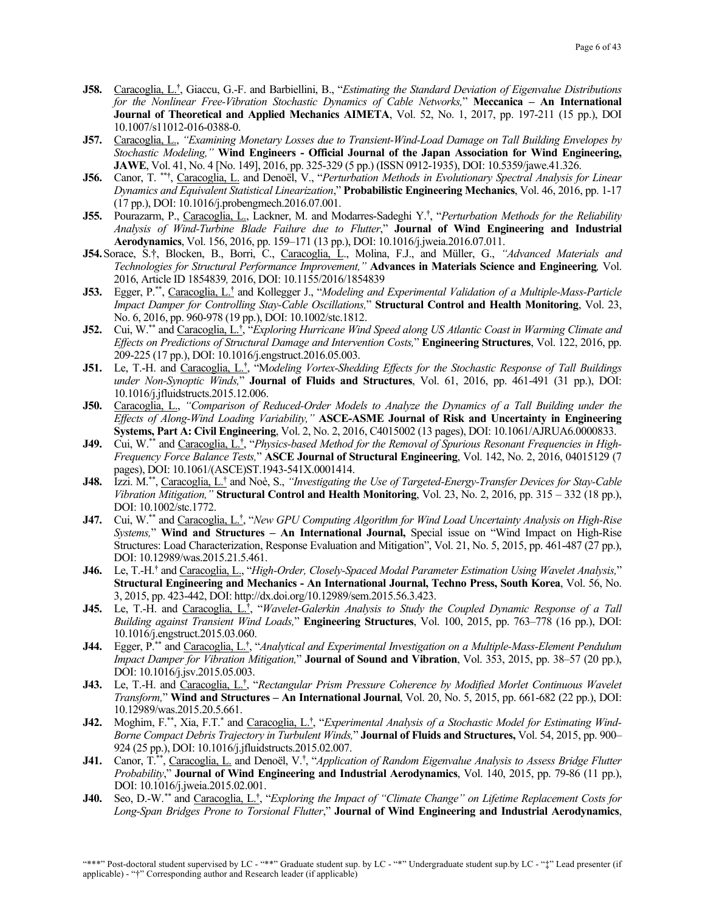- **J58.** Caracoglia, L.**†** , Giaccu, G.-F. and Barbiellini, B., "*Estimating the Standard Deviation of Eigenvalue Distributions for the Nonlinear Free-Vibration Stochastic Dynamics of Cable Networks,*" **Meccanica – An International Journal of Theoretical and Applied Mechanics AIMETA**, Vol. 52, No. 1, 2017, pp. 197-211 (15 pp.), DOI 10.1007/s11012-016-0388-0.
- **J57.** Caracoglia, L., *"Examining Monetary Losses due to Transient-Wind-Load Damage on Tall Building Envelopes by Stochastic Modeling,"* **Wind Engineers - Official Journal of the Japan Association for Wind Engineering, JAWE**, Vol. 41, No. 4 [No. 149], 2016, pp. 325-329 (5 pp.) (ISSN 0912-1935), DOI: 10.5359/jawe.41.326.
- **J56.** Canor, T. \*\***†** , Caracoglia, L. and Denoël, V., "*Perturbation Methods in Evolutionary Spectral Analysis for Linear Dynamics and Equivalent Statistical Linearization*," **Probabilistic Engineering Mechanics**, Vol. 46, 2016, pp. 1-17 (17 pp.), DOI: 10.1016/j.probengmech.2016.07.001.
- **J55.** Pourazarm, P., Caracoglia, L., Lackner, M. and Modarres-Sadeghi Y.**†** , "*Perturbation Methods for the Reliability Analysis of Wind-Turbine Blade Failure due to Flutter*," **Journal of Wind Engineering and Industrial Aerodynamics**, Vol. 156, 2016, pp. 159–171 (13 pp.), DOI: 10.1016/j.jweia.2016.07.011.
- **J54.**Sorace, S.†, Blocken, B., Borri, C., Caracoglia, L., Molina, F.J., and Müller, G., *"Advanced Materials and Technologies for Structural Performance Improvement,"* **Advances in Materials Science and Engineering***,* Vol. 2016, Article ID 1854839*,* 2016, DOI: 10.1155/2016/1854839
- **J53.** Egger, P.\*\*, Caracoglia, L.**†** and Kollegger J., "*Modeling and Experimental Validation of a Multiple-Mass-Particle Impact Damper for Controlling Stay-Cable Oscillations,*" **Structural Control and Health Monitoring**, Vol. 23, No. 6, 2016, pp. 960-978 (19 pp.), DOI: 10.1002/stc.1812.
- **J52.** Cui, W. \*\* and Caracoglia, L.**†** , "*Exploring Hurricane Wind Speed along US Atlantic Coast in Warming Climate and Effects on Predictions of Structural Damage and Intervention Costs,*" **Engineering Structures**, Vol. 122, 2016, pp. 209-225 (17 pp.), DOI: 10.1016/j.engstruct.2016.05.003.
- **J51.** Le, T.-H. and Caracoglia, L.**†** , "M*odeling Vortex-Shedding Effects for the Stochastic Response of Tall Buildings under Non-Synoptic Winds,*" **Journal of Fluids and Structures**, Vol. 61, 2016, pp. 461-491 (31 pp.), DOI: 10.1016/j.jfluidstructs.2015.12.006.
- **J50.** Caracoglia, L., *"Comparison of Reduced-Order Models to Analyze the Dynamics of a Tall Building under the Effects of Along-Wind Loading Variability,"* **ASCE-ASME Journal of Risk and Uncertainty in Engineering Systems, Part A: Civil Engineering**, Vol. 2, No. 2, 2016, C4015002 (13 pages), DOI: 10.1061/AJRUA6.0000833.
- **J49.** Cui, W.\*\* and Caracoglia, L.**†** , "*Physics-based Method for the Removal of Spurious Resonant Frequencies in High-Frequency Force Balance Tests,*" **ASCE Journal of Structural Engineering**, Vol. 142, No. 2, 2016, 04015129 (7 pages), DOI: 10.1061/(ASCE)ST.1943-541X.0001414.
- **J48.** Izzi. M.\*\*, Caracoglia, L.† and Noè, S., *"Investigating the Use of Targeted-Energy-Transfer Devices for Stay-Cable Vibration Mitigation,"* **Structural Control and Health Monitoring**, Vol. 23, No. 2, 2016, pp. 315 – 332 (18 pp.), DOI: 10.1002/stc.1772.
- **J47.** Cui, W.\*\* and Caracoglia, L.**†** , "*New GPU Computing Algorithm for Wind Load Uncertainty Analysis on High-Rise Systems,*" **Wind and Structures – An International Journal,** Special issue on "Wind Impact on High-Rise Structures: Load Characterization, Response Evaluation and Mitigation", Vol. 21, No. 5, 2015, pp. 461-487 (27 pp.), DOI: 10.12989/was.2015.21.5.461.
- **J46.** Le, T.-H.**†** and Caracoglia, L., "*High-Order, Closely-Spaced Modal Parameter Estimation Using Wavelet Analysis,*" **Structural Engineering and Mechanics - An International Journal, Techno Press, South Korea**, Vol. 56, No. 3, 2015, pp. 423-442, DOI: http://dx.doi.org/10.12989/sem.2015.56.3.423.
- **J45.** Le, T.-H. and Caracoglia, L.**†** , "*Wavelet-Galerkin Analysis to Study the Coupled Dynamic Response of a Tall Building against Transient Wind Loads,*" **Engineering Structures**, Vol. 100, 2015, pp. 763–778 (16 pp.), DOI: 10.1016/j.engstruct.2015.03.060.
- **J44.** Egger, P.\*\* and Caracoglia, L.**†** , "*Analytical and Experimental Investigation on a Multiple-Mass-Element Pendulum Impact Damper for Vibration Mitigation,*" **Journal of Sound and Vibration**, Vol. 353, 2015, pp. 38–57 (20 pp.), DOI: 10.1016/j.jsv.2015.05.003.
- **J43.** Le, T.-H. and Caracoglia, L.**†** , "*Rectangular Prism Pressure Coherence by Modified Morlet Continuous Wavelet Transform,*" **Wind and Structures – An International Journal**, Vol. 20, No. 5, 2015, pp. 661-682 (22 pp.), DOI: 10.12989/was.2015.20.5.661.
- **J42.** Moghim, F.\*\*, Xia, F.T.\* and Caracoglia, L. **†** , "*Experimental Analysis of a Stochastic Model for Estimating Wind-Borne Compact Debris Trajectory in Turbulent Winds,*" **Journal of Fluids and Structures,** Vol. 54, 2015, pp. 900– 924 (25 pp.), DOI: 10.1016/j.jfluidstructs.2015.02.007.
- **J41.** Canor, T.\*\*, Caracoglia, L. and Denoël, V.**†** , "*Application of Random Eigenvalue Analysis to Assess Bridge Flutter Probability*," **Journal of Wind Engineering and Industrial Aerodynamics**, Vol. 140, 2015, pp. 79-86 (11 pp.), DOI: 10.1016/j.jweia.2015.02.001.
- **J40.** Seo, D.-W.*\*\** and Caracoglia, L.**†** , "*Exploring the Impact of "Climate Change" on Lifetime Replacement Costs for Long-Span Bridges Prone to Torsional Flutter*," **Journal of Wind Engineering and Industrial Aerodynamics**,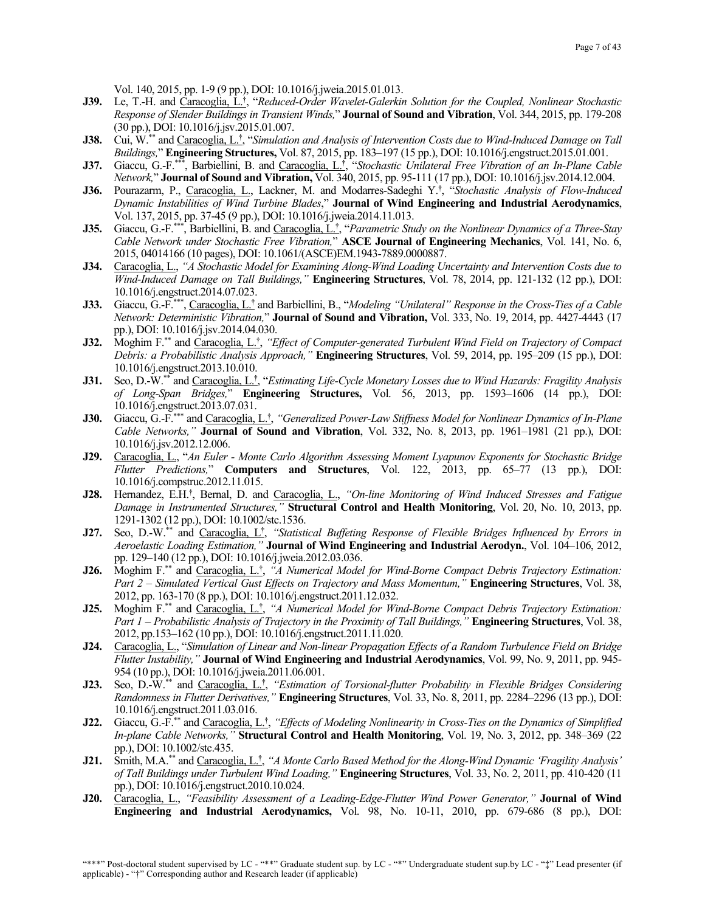Vol. 140, 2015, pp. 1-9 (9 pp.), DOI: 10.1016/j.jweia.2015.01.013.

- **J39.** Le, T.-H. and Caracoglia, L.**†** , "*Reduced-Order Wavelet-Galerkin Solution for the Coupled, Nonlinear Stochastic Response of Slender Buildings in Transient Winds,*" **Journal of Sound and Vibration**, Vol. 344, 2015, pp. 179-208 (30 pp.), DOI: 10.1016/j.jsv.2015.01.007.
- **J38.** Cui, W.\*\* and Caracoglia, L.**†** , "*Simulation and Analysis of Intervention Costs due to Wind-Induced Damage on Tall Buildings,*" **Engineering Structures,** Vol. 87, 2015, pp. 183–197 (15 pp.), DOI: 10.1016/j.engstruct.2015.01.001.
- **J37.** Giaccu, G.-F.\*\*\*, Barbiellini, B. and Caracoglia, L.**†** , "*Stochastic Unilateral Free Vibration of an In-Plane Cable Network,*" **Journal of Sound and Vibration,** Vol. 340, 2015, pp. 95-111 (17 pp.), DOI: 10.1016/j.jsv.2014.12.004.
- **J36.** Pourazarm, P., Caracoglia, L., Lackner, M. and Modarres-Sadeghi Y.**†** , "*Stochastic Analysis of Flow-Induced Dynamic Instabilities of Wind Turbine Blades*," **Journal of Wind Engineering and Industrial Aerodynamics**, Vol. 137, 2015, pp. 37-45 (9 pp.), DOI: 10.1016/j.jweia.2014.11.013.
- **J35.** Giaccu, G.-F.\*\*\*, Barbiellini, B. and Caracoglia, L.**†** , "*Parametric Study on the Nonlinear Dynamics of a Three-Stay Cable Network under Stochastic Free Vibration,*" **ASCE Journal of Engineering Mechanics**, Vol. 141, No. 6, 2015, 04014166 (10 pages), DOI: 10.1061/(ASCE)EM.1943-7889.0000887.
- **J34.** Caracoglia, L., *"A Stochastic Model for Examining Along-Wind Loading Uncertainty and Intervention Costs due to Wind-Induced Damage on Tall Buildings,"* **Engineering Structures**, Vol. 78, 2014, pp. 121-132 (12 pp.), DOI: 10.1016/j.engstruct.2014.07.023.
- **J33.** Giaccu, G.-F.\*\*\*, Caracoglia, L.**†** and Barbiellini, B., "*Modeling "Unilateral" Response in the Cross-Ties of a Cable Network: Deterministic Vibration,*" **Journal of Sound and Vibration,** Vol. 333, No. 19, 2014, pp. 4427-4443 (17 pp.), DOI: 10.1016/j.jsv.2014.04.030.
- **J32.** Moghim F.\*\* and Caracoglia, L.**†** , *"Effect of Computer-generated Turbulent Wind Field on Trajectory of Compact Debris: a Probabilistic Analysis Approach,"* **Engineering Structures**, Vol. 59, 2014, pp. 195–209 (15 pp.), DOI: 10.1016/j.engstruct.2013.10.010.
- **J31.** Seo, D.-W.\*\* and Caracoglia, L.**†** , "*Estimating Life-Cycle Monetary Losses due to Wind Hazards: Fragility Analysis of Long-Span Bridges,*" **Engineering Structures,** Vol. 56, 2013, pp. 1593–1606 (14 pp.), DOI: 10.1016/j.engstruct.2013.07.031.
- **J30.** Giaccu, G.-F.\*\*\* and Caracoglia, L.**†** , *"Generalized Power-Law Stiffness Model for Nonlinear Dynamics of In-Plane Cable Networks,"* **Journal of Sound and Vibration**, Vol. 332, No. 8, 2013, pp. 1961–1981 (21 pp.), DOI: 10.1016/j.jsv.2012.12.006.
- **J29.** Caracoglia, L., "*An Euler - Monte Carlo Algorithm Assessing Moment Lyapunov Exponents for Stochastic Bridge Flutter Predictions,*" **Computers and Structures**, Vol. 122, 2013, pp. 65–77 (13 pp.), DOI: 10.1016/j.compstruc.2012.11.015.
- J28. Hernandez, E.H.<sup>†</sup>, Bernal, D. and Caracoglia, L., "On-line Monitoring of Wind Induced Stresses and Fatigue *Damage in Instrumented Structures,"* **Structural Control and Health Monitoring**, Vol. 20, No. 10, 2013, pp. 1291-1302 (12 pp.), DOI: 10.1002/stc.1536.
- **J27.** Seo, D.-W.\*\* and Caracoglia, L**†** , *"Statistical Buffeting Response of Flexible Bridges Influenced by Errors in Aeroelastic Loading Estimation,"* **Journal of Wind Engineering and Industrial Aerodyn.**, Vol. 104–106, 2012, pp. 129–140 (12 pp.), DOI: 10.1016/j.jweia.2012.03.036.
- **J26.** Moghim F.\*\* and Caracoglia, L.<sup>†</sup>, "A Numerical Model for Wind-Borne Compact Debris Trajectory Estimation: *Part 2 – Simulated Vertical Gust Effects on Trajectory and Mass Momentum,"* **Engineering Structures**, Vol. 38, 2012, pp. 163-170 (8 pp.), DOI: 10.1016/j.engstruct.2011.12.032.
- **J25.** Moghim F.<sup>\*\*</sup> and Caracoglia, L.<sup>†</sup>, "A Numerical Model for Wind-Borne Compact Debris Trajectory Estimation: *Part 1 – Probabilistic Analysis of Trajectory in the Proximity of Tall Buildings,"* **Engineering Structures**, Vol. 38, 2012, pp.153–162 (10 pp.), DOI: 10.1016/j.engstruct.2011.11.020.
- **J24.** Caracoglia, L., "*Simulation of Linear and Non-linear Propagation Effects of a Random Turbulence Field on Bridge Flutter Instability,"* **Journal of Wind Engineering and Industrial Aerodynamics**, Vol. 99, No. 9, 2011, pp. 945- 954 (10 pp.), DOI: 10.1016/j.jweia.2011.06.001.
- **J23.** Seo, D.-W.\*\* and Caracoglia, L. **†** , *"Estimation of Torsional-flutter Probability in Flexible Bridges Considering Randomness in Flutter Derivatives,"* **Engineering Structures**, Vol. 33, No. 8, 2011, pp. 2284–2296 (13 pp.), DOI: 10.1016/j.engstruct.2011.03.016.
- **J22.** Giaccu, G.-F.\*\* and Caracoglia, L.**†** , *"Effects of Modeling Nonlinearity in Cross-Ties on the Dynamics of Simplified In-plane Cable Networks,"* **Structural Control and Health Monitoring**, Vol. 19, No. 3, 2012, pp. 348–369 (22 pp.), DOI: 10.1002/stc.435.
- **J21.** Smith, M.A.\*\* and Caracoglia, L.**†** , *"A Monte Carlo Based Method for the Along-Wind Dynamic 'Fragility Analysis' of Tall Buildings under Turbulent Wind Loading,"* **Engineering Structures**, Vol. 33, No. 2, 2011, pp. 410-420 (11 pp.), DOI: 10.1016/j.engstruct.2010.10.024.
- **J20.** Caracoglia, L., *"Feasibility Assessment of a Leading-Edge-Flutter Wind Power Generator,"* **Journal of Wind Engineering and Industrial Aerodynamics,** Vol. 98, No. 10-11, 2010, pp. 679-686 (8 pp.), DOI: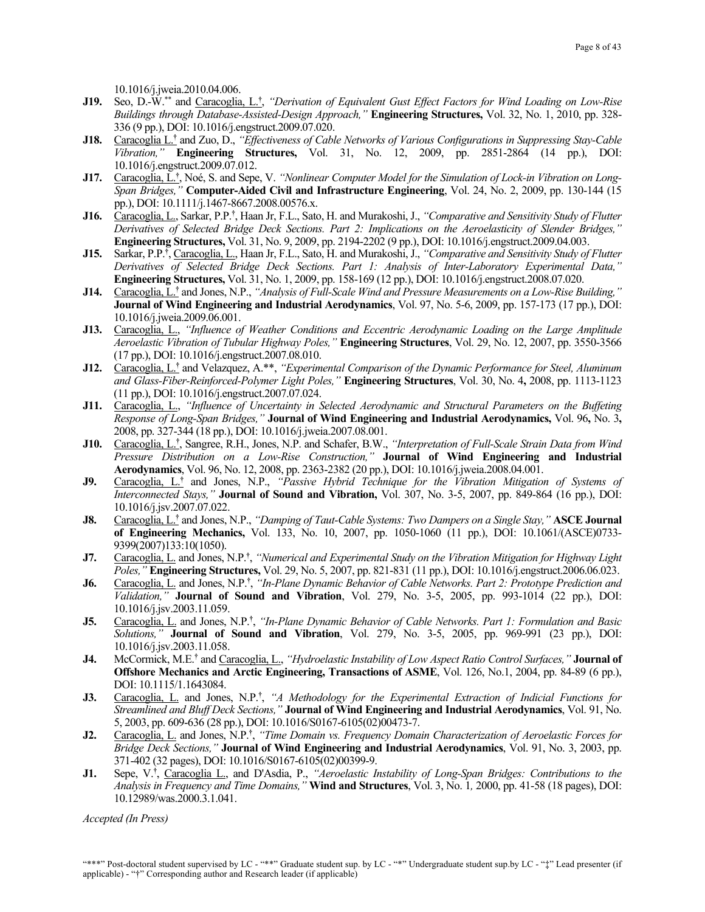10.1016/j.jweia.2010.04.006.

- **J19.** Seo, D.-W.\*\* and Caracoglia, L.**†** , *"Derivation of Equivalent Gust Effect Factors for Wind Loading on Low-Rise Buildings through Database-Assisted-Design Approach,"* **Engineering Structures,** Vol. 32, No. 1, 2010, pp. 328- 336 (9 pp.), DOI: 10.1016/j.engstruct.2009.07.020.
- **J18.** Caracoglia L.**†** and Zuo, D., *"Effectiveness of Cable Networks of Various Configurations in Suppressing Stay-Cable Vibration,"* **Engineering Structures,** Vol. 31, No. 12, 2009, pp. 2851-2864 (14 pp.), DOI: 10.1016/j.engstruct.2009.07.012.
- **J17.** Caracoglia, L.**†** , Noé, S. and Sepe, V. *"Nonlinear Computer Model for the Simulation of Lock-in Vibration on Long-Span Bridges,"* **Computer-Aided Civil and Infrastructure Engineering**, Vol. 24, No. 2, 2009, pp. 130-144 (15 pp.), DOI: 10.1111/j.1467-8667.2008.00576.x.
- **J16.** Caracoglia, L., Sarkar, P.P.**†** , Haan Jr, F.L., Sato, H. and Murakoshi, J., *"Comparative and Sensitivity Study of Flutter Derivatives of Selected Bridge Deck Sections. Part 2: Implications on the Aeroelasticity of Slender Bridges,"* **Engineering Structures,** Vol. 31, No. 9, 2009, pp. 2194-2202 (9 pp.), DOI: 10.1016/j.engstruct.2009.04.003.
- **J15.** Sarkar, P.P.**†** , Caracoglia, L., Haan Jr, F.L., Sato, H. and Murakoshi, J., *"Comparative and Sensitivity Study of Flutter Derivatives of Selected Bridge Deck Sections. Part 1: Analysis of Inter-Laboratory Experimental Data,"* **Engineering Structures,** Vol. 31, No. 1, 2009, pp. 158-169 (12 pp.), DOI: 10.1016/j.engstruct.2008.07.020.
- **J14.** Caracoglia, L.**†** and Jones, N.P., *"Analysis of Full-Scale Wind and Pressure Measurements on a Low-Rise Building,"* **Journal of Wind Engineering and Industrial Aerodynamics**, Vol. 97, No. 5-6, 2009, pp. 157-173 (17 pp.), DOI: 10.1016/j.jweia.2009.06.001.
- **J13.** Caracoglia, L., *"Influence of Weather Conditions and Eccentric Aerodynamic Loading on the Large Amplitude Aeroelastic Vibration of Tubular Highway Poles,"* **Engineering Structures**, Vol. 29, No. 12, 2007, pp. 3550-3566 (17 pp.), DOI: 10.1016/j.engstruct.2007.08.010.
- **J12.** Caracoglia, L.**†** and Velazquez, A.\*\*, *"Experimental Comparison of the Dynamic Performance for Steel, Aluminum and Glass-Fiber-Reinforced-Polymer Light Poles,"* **Engineering Structures**, Vol. 30, No. 4**,** 2008, pp. 1113-1123 (11 pp.), DOI: 10.1016/j.engstruct.2007.07.024.
- **J11.** Caracoglia, L., *"Influence of Uncertainty in Selected Aerodynamic and Structural Parameters on the Buffeting Response of Long-Span Bridges,"* **Journal of Wind Engineering and Industrial Aerodynamics,** Vol. 96**,** No. 3**,**  2008, pp. 327-344 (18 pp.), DOI: 10.1016/j.jweia.2007.08.001.
- **J10.** Caracoglia, L.**†** , Sangree, R.H., Jones, N.P. and Schafer, B.W., *"Interpretation of Full-Scale Strain Data from Wind Pressure Distribution on a Low-Rise Construction,"* **Journal of Wind Engineering and Industrial Aerodynamics**, Vol. 96, No. 12, 2008, pp. 2363-2382 (20 pp.), DOI: 10.1016/j.jweia.2008.04.001.
- **J9.** Caracoglia, L.**†** and Jones, N.P., *"Passive Hybrid Technique for the Vibration Mitigation of Systems of Interconnected Stays,"* **Journal of Sound and Vibration,** Vol. 307, No. 3-5, 2007, pp. 849-864 (16 pp.), DOI: 10.1016/j.jsv.2007.07.022.
- **J8.** Caracoglia, L.**†** and Jones, N.P., *"Damping of Taut-Cable Systems: Two Dampers on a Single Stay,"* **ASCE Journal of Engineering Mechanics,** Vol. 133, No. 10, 2007, pp. 1050-1060 (11 pp.), DOI: 10.1061/(ASCE)0733- 9399(2007)133:10(1050).
- **J7.** Caracoglia, L. and Jones, N.P.**†** , *"Numerical and Experimental Study on the Vibration Mitigation for Highway Light Poles,"* **Engineering Structures,** Vol. 29, No. 5, 2007, pp. 821-831 (11 pp.), DOI: 10.1016/j.engstruct.2006.06.023.
- **J6.** Caracoglia, L. and Jones, N.P. **†** , *"In-Plane Dynamic Behavior of Cable Networks. Part 2: Prototype Prediction and Validation,"* **Journal of Sound and Vibration**, Vol. 279, No. 3-5, 2005, pp. 993-1014 (22 pp.), DOI: 10.1016/j.jsv.2003.11.059.
- **J5.** Caracoglia, L. and Jones, N.P.**†** , *"In-Plane Dynamic Behavior of Cable Networks. Part 1: Formulation and Basic Solutions,"* **Journal of Sound and Vibration**, Vol. 279, No. 3-5, 2005, pp. 969-991 (23 pp.), DOI: 10.1016/j.jsv.2003.11.058.
- **J4.** McCormick, M.E.**†** and Caracoglia, L., *"Hydroelastic Instability of Low Aspect Ratio Control Surfaces,"* **Journal of Offshore Mechanics and Arctic Engineering, Transactions of ASME**, Vol. 126, No.1, 2004, pp. 84-89 (6 pp.), DOI: 10.1115/1.1643084.
- **J3.** Caracoglia, L. and Jones, N.P.**†** , *"A Methodology for the Experimental Extraction of Indicial Functions for Streamlined and Bluff Deck Sections,"* **Journal of Wind Engineering and Industrial Aerodynamics**, Vol. 91, No. 5, 2003, pp. 609-636 (28 pp.), DOI: 10.1016/S0167-6105(02)00473-7.
- **J2.** Caracoglia, L. and Jones, N.P.**†** , *"Time Domain vs. Frequency Domain Characterization of Aeroelastic Forces for Bridge Deck Sections,"* **Journal of Wind Engineering and Industrial Aerodynamics**, Vol. 91, No. 3, 2003, pp. 371-402 (32 pages), DOI: 10.1016/S0167-6105(02)00399-9.
- **J1.** Sepe, V.**†** , Caracoglia L., and D'Asdia, P., *"Aeroelastic Instability of Long-Span Bridges: Contributions to the Analysis in Frequency and Time Domains,"* **Wind and Structures**, Vol. 3, No. 1*,* 2000, pp. 41-58 (18 pages), DOI: 10.12989/was.2000.3.1.041.

*Accepted (In Press)*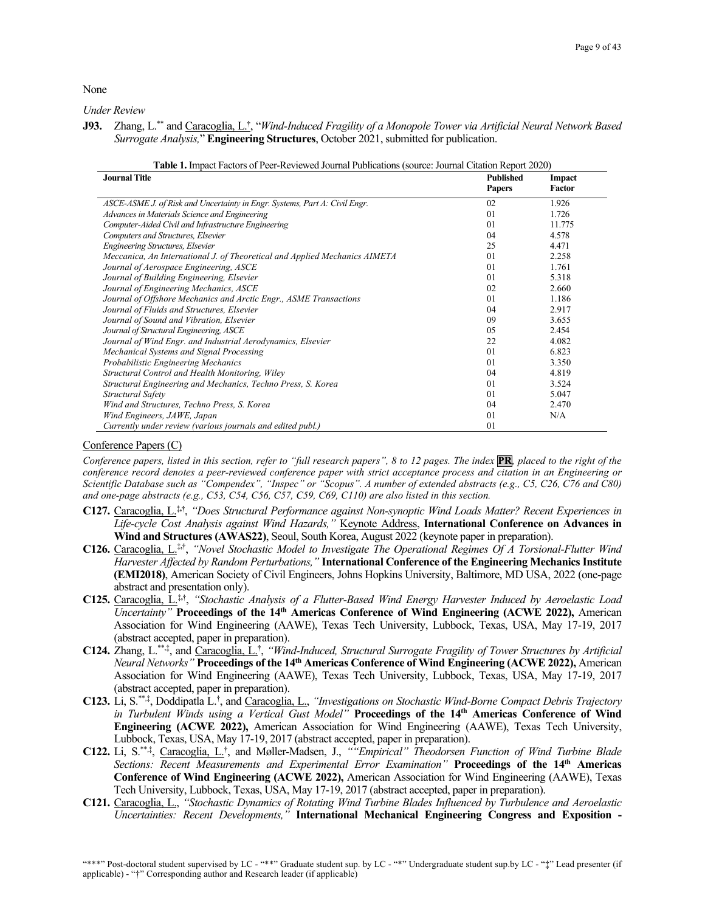None

*Under Review*

**J93.** Zhang, L.\*\* and Caracoglia, L.**†** , "*Wind-Induced Fragility of a Monopole Tower via Artificial Neural Network Based Surrogate Analysis,*" **Engineering Structures**, October 2021, submitted for publication.

| <u>uole 11 mipueti uetois oli een teettettee toumut luoneutons joodieet toumut enunon report 2020</u><br><b>Journal Title</b> | <b>Published</b> | Impact |
|-------------------------------------------------------------------------------------------------------------------------------|------------------|--------|
|                                                                                                                               | <b>Papers</b>    | Factor |
|                                                                                                                               |                  |        |
| ASCE-ASME J. of Risk and Uncertainty in Engr. Systems, Part A: Civil Engr.                                                    | 02               | 1.926  |
| Advances in Materials Science and Engineering                                                                                 | 01               | 1.726  |
| Computer-Aided Civil and Infrastructure Engineering                                                                           | 01               | 11.775 |
| Computers and Structures, Elsevier                                                                                            | 04               | 4.578  |
| Engineering Structures, Elsevier                                                                                              | 25               | 4.471  |
| Meccanica, An International J. of Theoretical and Applied Mechanics AIMETA                                                    | 0 <sub>1</sub>   | 2.258  |
| Journal of Aerospace Engineering, ASCE                                                                                        | 0 <sub>1</sub>   | 1.761  |
| Journal of Building Engineering, Elsevier                                                                                     | 0 <sub>1</sub>   | 5.318  |
| Journal of Engineering Mechanics, ASCE                                                                                        | 02               | 2.660  |
| Journal of Offshore Mechanics and Arctic Engr., ASME Transactions                                                             | 01               | 1.186  |
| Journal of Fluids and Structures, Elsevier                                                                                    | 04               | 2.917  |
| Journal of Sound and Vibration, Elsevier                                                                                      | 09               | 3.655  |
| Journal of Structural Engineering, ASCE                                                                                       | 0.5              | 2.454  |
| Journal of Wind Engr. and Industrial Aerodynamics, Elsevier                                                                   | 22               | 4.082  |
| Mechanical Systems and Signal Processing                                                                                      | 0 <sub>1</sub>   | 6.823  |
| Probabilistic Engineering Mechanics                                                                                           | 0 <sub>1</sub>   | 3.350  |
| Structural Control and Health Monitoring, Wiley                                                                               | 04               | 4.819  |
| Structural Engineering and Mechanics, Techno Press, S. Korea                                                                  | 01               | 3.524  |
| Structural Safety                                                                                                             | 01               | 5.047  |
| Wind and Structures, Techno Press, S. Korea                                                                                   | 04               | 2.470  |
| Wind Engineers, JAWE, Japan                                                                                                   | 01               | N/A    |
| Currently under review (various journals and edited publ.)                                                                    | 01               |        |

| <b>Table 1.</b> Impact Factors of Peer-Reviewed Journal Publications (source: Journal Citation Report 2020) |  |
|-------------------------------------------------------------------------------------------------------------|--|
|                                                                                                             |  |

#### Conference Papers (C)

*Conference papers, listed in this section, refer to "full research papers", 8 to 12 pages. The index PR, placed to the right of the conference record denotes a peer-reviewed conference paper with strict acceptance process and citation in an Engineering or Scientific Database such as "Compendex", "Inspec" or "Scopus". A number of extended abstracts (e.g., C5, C26, C76 and C80) and one-page abstracts (e.g., C53, C54, C56, C57, C59, C69, C110) are also listed in this section.*

- **C127.** Caracoglia, L.‡**,†**, *"Does Structural Performance against Non-synoptic Wind Loads Matter? Recent Experiences in Life-cycle Cost Analysis against Wind Hazards,"* Keynote Address, **International Conference on Advances in Wind and Structures (AWAS22)**, Seoul, South Korea, August 2022 (keynote paper in preparation).
- **C126.** Caracoglia, L.‡**,†**, *"Novel Stochastic Model to Investigate The Operational Regimes Of A Torsional-Flutter Wind Harvester Affected by Random Perturbations,"* **International Conference of the Engineering Mechanics Institute (EMI2018)**, American Society of Civil Engineers, Johns Hopkins University, Baltimore, MD USA, 2022 (one-page abstract and presentation only).
- **C125.** Caracoglia, L.‡**,†**, *"Stochastic Analysis of a Flutter-Based Wind Energy Harvester Induced by Aeroelastic Load Uncertainty"* **Proceedings of the 14th Americas Conference of Wind Engineering (ACWE 2022),** American Association for Wind Engineering (AAWE), Texas Tech University, Lubbock, Texas, USA, May 17-19, 2017 (abstract accepted, paper in preparation).
- C124. Zhang, L.\*\*,<sup>‡</sup>, and Caracoglia, L.<sup>†</sup>, "Wind-Induced, Structural Surrogate Fragility of Tower Structures by Artificial *Neural Networks"* **Proceedings of the 14th Americas Conference of Wind Engineering (ACWE 2022),** American Association for Wind Engineering (AAWE), Texas Tech University, Lubbock, Texas, USA, May 17-19, 2017 (abstract accepted, paper in preparation).
- C123. Li, S.<sup>\*\*,‡</sup>, Doddipatla L.<sup>†</sup>, and Caracoglia, L., *"Investigations on Stochastic Wind-Borne Compact Debris Trajectory in Turbulent Winds using a Vertical Gust Model"* **Proceedings of the 14th Americas Conference of Wind Engineering (ACWE 2022),** American Association for Wind Engineering (AAWE), Texas Tech University, Lubbock, Texas, USA, May 17-19, 2017 (abstract accepted, paper in preparation).
- C122. Li, S.<sup>\*\*,‡</sup>, Caracoglia, L.<sup>†</sup>, and Møller-Madsen, J., *""Empirical" Theodorsen Function of Wind Turbine Blade Sections: Recent Measurements and Experimental Error Examination"* **Proceedings of the 14th Americas Conference of Wind Engineering (ACWE 2022),** American Association for Wind Engineering (AAWE), Texas Tech University, Lubbock, Texas, USA, May 17-19, 2017 (abstract accepted, paper in preparation).
- **C121.** Caracoglia, L., *"Stochastic Dynamics of Rotating Wind Turbine Blades Influenced by Turbulence and Aeroelastic Uncertainties: Recent Developments,"* **International Mechanical Engineering Congress and Exposition -**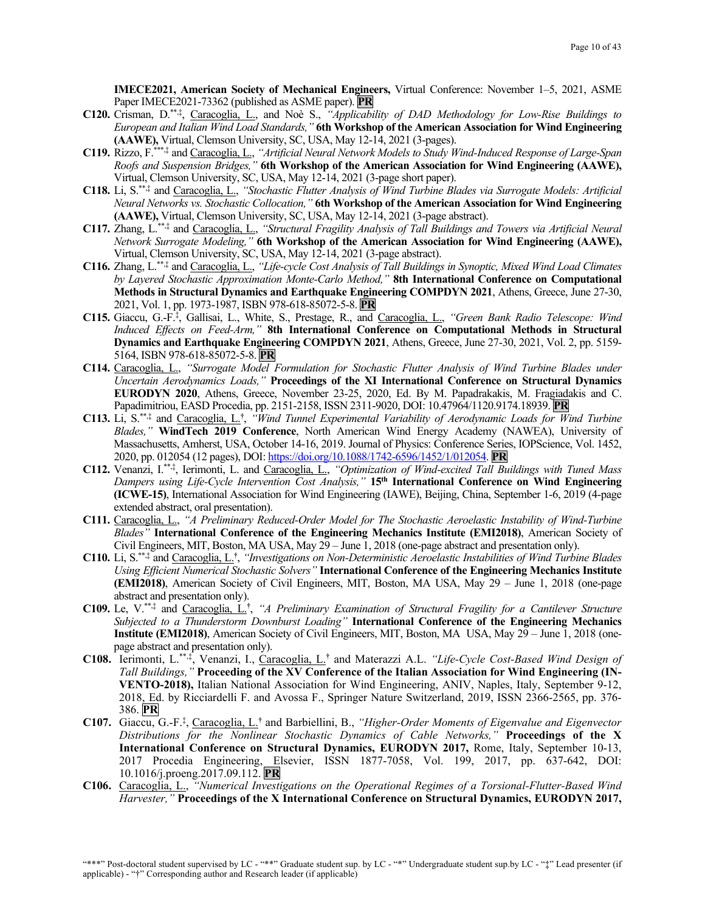**IMECE2021, American Society of Mechanical Engineers,** Virtual Conference: November 1–5, 2021, ASME Paper IMECE2021-73362 (published as ASME paper). **PR**

- **C120.** Crisman, D.\*\*,‡ , Caracoglia, L., and Noè S., *"Applicability of DAD Methodology for Low-Rise Buildings to European and Italian Wind Load Standards,"* **6th Workshop of the American Association for Wind Engineering (AAWE),** Virtual, Clemson University, SC, USA, May 12-14, 2021 (3-pages).
- **C119.** Rizzo, F.\*\*\*,‡ and Caracoglia, L., *"Artificial Neural Network Models to Study Wind-Induced Response of Large-Span Roofs and Suspension Bridges,"* **6th Workshop of the American Association for Wind Engineering (AAWE),** Virtual, Clemson University, SC, USA, May 12-14, 2021 (3-page short paper).
- **C118.** Li, S.\*\*,‡ and Caracoglia, L., *"Stochastic Flutter Analysis of Wind Turbine Blades via Surrogate Models: Artificial Neural Networks vs. Stochastic Collocation,"* **6th Workshop of the American Association for Wind Engineering (AAWE),** Virtual, Clemson University, SC, USA, May 12-14, 2021 (3-page abstract).
- **C117.** Zhang, L.\*\*,‡ and Caracoglia, L., *"Structural Fragility Analysis of Tall Buildings and Towers via Artificial Neural Network Surrogate Modeling,"* **6th Workshop of the American Association for Wind Engineering (AAWE),**  Virtual, Clemson University, SC, USA, May 12-14, 2021 (3-page abstract).
- **C116.** Zhang, L.\*\*,‡ and Caracoglia, L., *"Life-cycle Cost Analysis of Tall Buildings in Synoptic, Mixed Wind Load Climates by Layered Stochastic Approximation Monte-Carlo Method,"* **8th International Conference on Computational Methods in Structural Dynamics and Earthquake Engineering COMPDYN 2021**, Athens, Greece, June 27-30, 2021, Vol. 1, pp. 1973-1987, ISBN 978-618-85072-5-8. **PR**
- **C115.** Giaccu, G.-F.‡ , Gallisai, L., White, S., Prestage, R., and Caracoglia, L., *"Green Bank Radio Telescope: Wind Induced Effects on Feed-Arm,"* **8th International Conference on Computational Methods in Structural Dynamics and Earthquake Engineering COMPDYN 2021**, Athens, Greece, June 27-30, 2021, Vol. 2, pp. 5159- 5164, ISBN 978-618-85072-5-8. **PR**
- **C114.** Caracoglia, L., *"Surrogate Model Formulation for Stochastic Flutter Analysis of Wind Turbine Blades under Uncertain Aerodynamics Loads,"* **Proceedings of the XI International Conference on Structural Dynamics EURODYN 2020**, Athens, Greece, November 23-25, 2020, Ed. By M. Papadrakakis, M. Fragiadakis and C. Papadimitriou, EASD Procedia, pp. 2151-2158, ISSN 2311-9020, DOI: 10.47964/1120.9174.18939. **PR**
- **C113.** Li, S. \*\*,‡ and Caracoglia, L.**†** , *"Wind Tunnel Experimental Variability of Aerodynamic Loads for Wind Turbine Blades,"* **WindTech 2019 Conference**, North American Wind Energy Academy (NAWEA), University of Massachusetts, Amherst, USA, October 14-16, 2019. Journal of Physics: Conference Series, IOPScience, Vol. 1452, 2020, pp. 012054 (12 pages), DOI[: https://doi.org/10.1088/1742-6596/1452/1/012054.](https://doi.org/10.1088/1742-6596/1452/1/012054) **PR**
- C112. Venanzi, I.<sup>\*\*,†</sup>, Ierimonti, L. and Caracoglia, L., "Optimization of Wind-excited Tall Buildings with Tuned Mass *Dampers using Life-Cycle Intervention Cost Analysis,"* **15th International Conference on Wind Engineering (ICWE-15)**, International Association for Wind Engineering (IAWE), Beijing, China, September 1-6, 2019 (4-page extended abstract, oral presentation).
- **C111.** Caracoglia, L., *"A Preliminary Reduced-Order Model for The Stochastic Aeroelastic Instability of Wind-Turbine Blades"* **International Conference of the Engineering Mechanics Institute (EMI2018)**, American Society of Civil Engineers, MIT, Boston, MA USA, May 29 – June 1, 2018 (one-page abstract and presentation only).
- **C110.** Li, S.\*\*,‡ and Caracoglia, L.**†** , *"Investigations on Non-Deterministic Aeroelastic Instabilities of Wind Turbine Blades Using Efficient Numerical Stochastic Solvers"* **International Conference of the Engineering Mechanics Institute (EMI2018)**, American Society of Civil Engineers, MIT, Boston, MA USA, May 29 – June 1, 2018 (one-page abstract and presentation only).
- **C109.** Le, V.\*\*,‡ and Caracoglia, L.**†** , *"A Preliminary Examination of Structural Fragility for a Cantilever Structure Subjected to a Thunderstorm Downburst Loading"* **International Conference of the Engineering Mechanics Institute (EMI2018)**, American Society of Civil Engineers, MIT, Boston, MA USA, May 29 – June 1, 2018 (onepage abstract and presentation only).
- **C108.** Ierimonti, L.\*\*,‡ , Venanzi, I., Caracoglia, L.**†** and Materazzi A.L. *"Life-Cycle Cost-Based Wind Design of Tall Buildings,"* **Proceeding of the XV Conference of the Italian Association for Wind Engineering (IN-VENTO-2018),** Italian National Association for Wind Engineering, ANIV, Naples, Italy, September 9-12, 2018, Ed. by Ricciardelli F. and Avossa F., Springer Nature Switzerland, 2019, ISSN 2366-2565, pp. 376- 386. **PR**
- **C107.** Giaccu, G.-F.‡ , Caracoglia, L.**†** and Barbiellini, B., *"Higher-Order Moments of Eigenvalue and Eigenvector Distributions for the Nonlinear Stochastic Dynamics of Cable Networks,"* **Proceedings of the X International Conference on Structural Dynamics, EURODYN 2017,** Rome, Italy, September 10-13, 2017 Procedia Engineering, Elsevier, ISSN 1877-7058, Vol. 199, 2017, pp. 637-642, DOI: 10.1016/j.proeng.2017.09.112. **PR**
- **C106.** Caracoglia, L., *"Numerical Investigations on the Operational Regimes of a Torsional-Flutter-Based Wind Harvester,"* **Proceedings of the X International Conference on Structural Dynamics, EURODYN 2017,**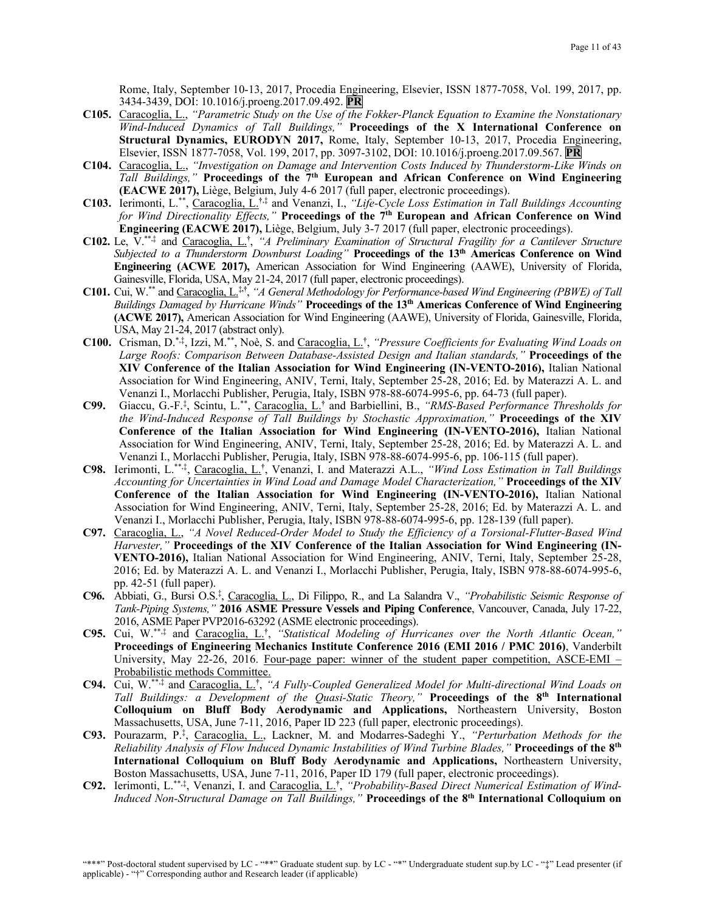Rome, Italy, September 10-13, 2017, Procedia Engineering, Elsevier, ISSN 1877-7058, Vol. 199, 2017, pp. 3434-3439, DOI: 10.1016/j.proeng.2017.09.492. **PR**

- **C105.** Caracoglia, L., *"Parametric Study on the Use of the Fokker-Planck Equation to Examine the Nonstationary Wind-Induced Dynamics of Tall Buildings,"* **Proceedings of the X International Conference on Structural Dynamics, EURODYN 2017,** Rome, Italy, September 10-13, 2017, Procedia Engineering, Elsevier, ISSN 1877-7058, Vol. 199, 2017, pp. 3097-3102, DOI: 10.1016/j.proeng.2017.09.567. **PR**
- **C104.** Caracoglia, L., *"Investigation on Damage and Intervention Costs Induced by Thunderstorm-Like Winds on Tall Buildings,"* **Proceedings of the 7th European and African Conference on Wind Engineering (EACWE 2017),** Liège, Belgium, July 4-6 2017 (full paper, electronic proceedings).
- **C103.** Ierimonti, L. \*\*, Caracoglia, L.**†**,‡ and Venanzi, I., *"Life-Cycle Loss Estimation in Tall Buildings Accounting for Wind Directionality Effects,"* Proceedings of the 7<sup>th</sup> European and African Conference on Wind **Engineering (EACWE 2017),** Liège, Belgium, July 3-7 2017 (full paper, electronic proceedings).
- **C102.** Le, V.\*\*,‡ and Caracoglia, L.**†** , *"A Preliminary Examination of Structural Fragility for a Cantilever Structure Subjected to a Thunderstorm Downburst Loading"* **Proceedings of the 13th Americas Conference on Wind Engineering (ACWE 2017),** American Association for Wind Engineering (AAWE), University of Florida, Gainesville, Florida, USA, May 21-24, 2017 (full paper, electronic proceedings).
- **C101.** Cui, W.\*\* and Caracoglia, L.‡**,†**, *"A General Methodology for Performance-based Wind Engineering (PBWE) of Tall Buildings Damaged by Hurricane Winds"* **Proceedings of the 13th Americas Conference of Wind Engineering (ACWE 2017),** American Association for Wind Engineering (AAWE), University of Florida, Gainesville, Florida, USA, May 21-24, 2017 (abstract only).
- **C100.** Crisman, D.\*,‡, Izzi, M.\*\*, Noè, S. and Caracoglia, L.**†** , *"Pressure Coefficients for Evaluating Wind Loads on Large Roofs: Comparison Between Database-Assisted Design and Italian standards,"* **Proceedings of the XIV Conference of the Italian Association for Wind Engineering (IN-VENTO-2016),** Italian National Association for Wind Engineering, ANIV, Terni, Italy, September 25-28, 2016; Ed. by Materazzi A. L. and Venanzi I., Morlacchi Publisher, Perugia, Italy, ISBN 978-88-6074-995-6, pp. 64-73 (full paper).
- **C99.** Giaccu, G.-F.‡ , Scintu, L.\*\*, Caracoglia, L.**†** and Barbiellini, B., *"RMS-Based Performance Thresholds for the Wind-Induced Response of Tall Buildings by Stochastic Approximation,"* **Proceedings of the XIV Conference of the Italian Association for Wind Engineering (IN-VENTO-2016),** Italian National Association for Wind Engineering, ANIV, Terni, Italy, September 25-28, 2016; Ed. by Materazzi A. L. and Venanzi I., Morlacchi Publisher, Perugia, Italy, ISBN 978-88-6074-995-6, pp. 106-115 (full paper).
- **C98.** Ierimonti, L.\*\*,‡, Caracoglia, L.**†** , Venanzi, I. and Materazzi A.L., *"Wind Loss Estimation in Tall Buildings Accounting for Uncertainties in Wind Load and Damage Model Characterization,"* **Proceedings of the XIV Conference of the Italian Association for Wind Engineering (IN-VENTO-2016),** Italian National Association for Wind Engineering, ANIV, Terni, Italy, September 25-28, 2016; Ed. by Materazzi A. L. and Venanzi I., Morlacchi Publisher, Perugia, Italy, ISBN 978-88-6074-995-6, pp. 128-139 (full paper).
- **C97.** Caracoglia, L., *"A Novel Reduced-Order Model to Study the Efficiency of a Torsional-Flutter-Based Wind Harvester,"* **Proceedings of the XIV Conference of the Italian Association for Wind Engineering (IN-VENTO-2016),** Italian National Association for Wind Engineering, ANIV, Terni, Italy, September 25-28, 2016; Ed. by Materazzi A. L. and Venanzi I., Morlacchi Publisher, Perugia, Italy, ISBN 978-88-6074-995-6, pp. 42-51 (full paper).
- **C96.** Abbiati, G., Bursi O.S.‡ , Caracoglia, L., Di Filippo, R., and La Salandra V., *"Probabilistic Seismic Response of Tank-Piping Systems,"* **2016 ASME Pressure Vessels and Piping Conference**, Vancouver, Canada, July 17-22, 2016, ASME Paper PVP2016-63292 (ASME electronic proceedings).
- **C95.** Cui, W.\*\*,‡ and Caracoglia, L.**†** , *"Statistical Modeling of Hurricanes over the North Atlantic Ocean,"* **Proceedings of Engineering Mechanics Institute Conference 2016 (EMI 2016 / PMC 2016)**, Vanderbilt University, May 22-26, 2016. Four-page paper: winner of the student paper competition, ASCE-EMI – Probabilistic methods Committee.
- **C94.** Cui, W.\*\*,‡ and Caracoglia, L. **†** , *"A Fully-Coupled Generalized Model for Multi-directional Wind Loads on Tall Buildings: a Development of the Quasi-Static Theory,"* **Proceedings of the 8th International Colloquium on Bluff Body Aerodynamic and Applications,** Northeastern University, Boston Massachusetts, USA, June 7-11, 2016, Paper ID 223 (full paper, electronic proceedings).
- **C93.** Pourazarm, P. ‡ , Caracoglia, L., Lackner, M. and Modarres-Sadeghi Y., *"Perturbation Methods for the Reliability Analysis of Flow Induced Dynamic Instabilities of Wind Turbine Blades,"* **Proceedings of the 8th International Colloquium on Bluff Body Aerodynamic and Applications,** Northeastern University, Boston Massachusetts, USA, June 7-11, 2016, Paper ID 179 (full paper, electronic proceedings).
- **C92.** Ierimonti, L.\*\*,‡, Venanzi, I. and Caracoglia, L.**†** , *"Probability-Based Direct Numerical Estimation of Wind-Induced Non-Structural Damage on Tall Buildings,"* **Proceedings of the 8th International Colloquium on**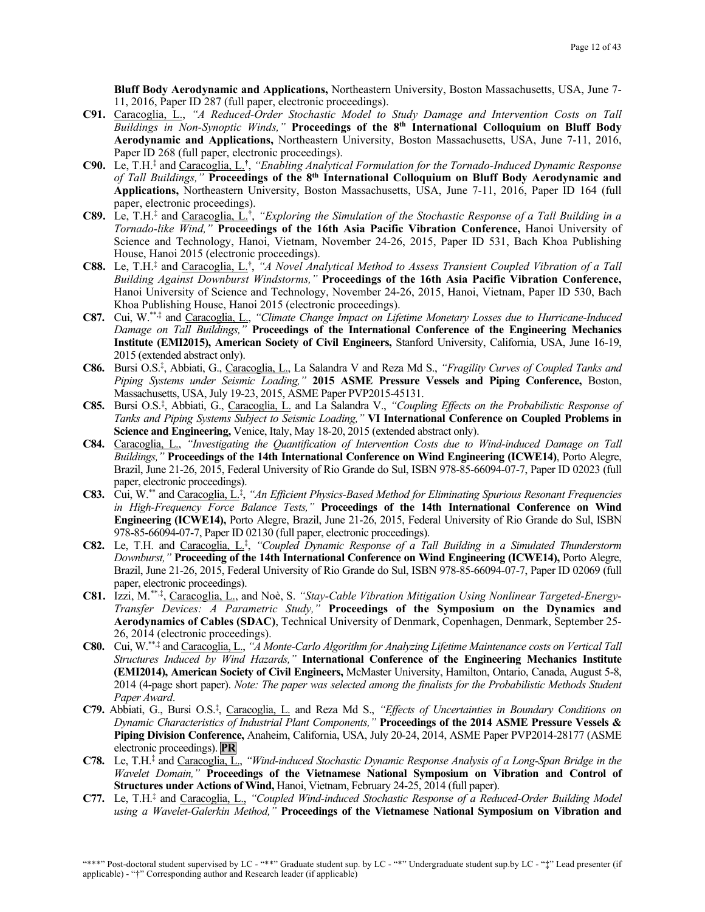**Bluff Body Aerodynamic and Applications,** Northeastern University, Boston Massachusetts, USA, June 7- 11, 2016, Paper ID 287 (full paper, electronic proceedings).

- **C91.** Caracoglia, L., *"A Reduced-Order Stochastic Model to Study Damage and Intervention Costs on Tall Buildings in Non-Synoptic Winds,"* **Proceedings of the 8th International Colloquium on Bluff Body Aerodynamic and Applications,** Northeastern University, Boston Massachusetts, USA, June 7-11, 2016, Paper ID 268 (full paper, electronic proceedings).
- **C90.** Le, T.H.‡ and Caracoglia, L.**†** , *"Enabling Analytical Formulation for the Tornado-Induced Dynamic Response of Tall Buildings,"* **Proceedings of the 8th International Colloquium on Bluff Body Aerodynamic and Applications,** Northeastern University, Boston Massachusetts, USA, June 7-11, 2016, Paper ID 164 (full paper, electronic proceedings).
- **C89.** Le, T.H.‡ and Caracoglia, L.**†** , *"Exploring the Simulation of the Stochastic Response of a Tall Building in a Tornado-like Wind,"* **Proceedings of the 16th Asia Pacific Vibration Conference,** Hanoi University of Science and Technology, Hanoi, Vietnam, November 24-26, 2015, Paper ID 531, Bach Khoa Publishing House, Hanoi 2015 (electronic proceedings).
- **C88.** Le, T.H.‡ and Caracoglia, L.**†** , *"A Novel Analytical Method to Assess Transient Coupled Vibration of a Tall Building Against Downburst Windstorms,"* **Proceedings of the 16th Asia Pacific Vibration Conference,**  Hanoi University of Science and Technology, November 24-26, 2015, Hanoi, Vietnam, Paper ID 530, Bach Khoa Publishing House, Hanoi 2015 (electronic proceedings).
- **C87.** Cui, W.\*\*,‡ and Caracoglia, L., *"Climate Change Impact on Lifetime Monetary Losses due to Hurricane-Induced Damage on Tall Buildings,"* **Proceedings of the International Conference of the Engineering Mechanics Institute (EMI2015), American Society of Civil Engineers,** Stanford University, California, USA, June 16-19, 2015 (extended abstract only).
- **C86.** Bursi O.S.‡ , Abbiati, G., Caracoglia, L., La Salandra V and Reza Md S., *"Fragility Curves of Coupled Tanks and Piping Systems under Seismic Loading,"* **2015 ASME Pressure Vessels and Piping Conference,** Boston, Massachusetts, USA, July 19-23, 2015, ASME Paper PVP2015-45131.
- **C85.** Bursi O.S.‡ , Abbiati, G., Caracoglia, L. and La Salandra V., *"Coupling Effects on the Probabilistic Response of Tanks and Piping Systems Subject to Seismic Loading,"* **VI International Conference on Coupled Problems in Science and Engineering,** Venice, Italy, May 18-20, 2015 (extended abstract only).
- **C84.** Caracoglia, L., *"Investigating the Quantification of Intervention Costs due to Wind-induced Damage on Tall Buildings,"* **Proceedings of the 14th International Conference on Wind Engineering (ICWE14)**, Porto Alegre, Brazil, June 21-26, 2015, Federal University of Rio Grande do Sul, ISBN 978-85-66094-07-7, Paper ID 02023 (full paper, electronic proceedings).
- **C83.** Cui, W.\*\* and Caracoglia, L.‡ , *"An Efficient Physics-Based Method for Eliminating Spurious Resonant Frequencies in High-Frequency Force Balance Tests,"* **Proceedings of the 14th International Conference on Wind Engineering (ICWE14),** Porto Alegre, Brazil, June 21-26, 2015, Federal University of Rio Grande do Sul, ISBN 978-85-66094-07-7, Paper ID 02130 (full paper, electronic proceedings).
- **C82.** Le, T.H. and Caracoglia, L.‡ , *"Coupled Dynamic Response of a Tall Building in a Simulated Thunderstorm Downburst,"* **Proceeding of the 14th International Conference on Wind Engineering (ICWE14),** Porto Alegre, Brazil, June 21-26, 2015, Federal University of Rio Grande do Sul, ISBN 978-85-66094-07-7, Paper ID 02069 (full paper, electronic proceedings).
- **C81.** Izzi, M.\*\*,‡ , Caracoglia, L., and Noè, S. *"Stay-Cable Vibration Mitigation Using Nonlinear Targeted-Energy-Transfer Devices: A Parametric Study,"* **Proceedings of the Symposium on the Dynamics and Aerodynamics of Cables (SDAC)**, Technical University of Denmark, Copenhagen, Denmark, September 25- 26, 2014 (electronic proceedings).
- **C80.** Cui, W.\*\*,‡ and Caracoglia, L., *"A Monte-Carlo Algorithm for Analyzing Lifetime Maintenance costs on Vertical Tall Structures Induced by Wind Hazards,"* **International Conference of the Engineering Mechanics Institute (EMI2014), American Society of Civil Engineers,** McMaster University, Hamilton, Ontario, Canada, August 5-8, 2014 (4-page short paper). *Note: The paper was selected among the finalists for the Probabilistic Methods Student Paper Award*.
- C79. Abbiati, G., Bursi O.S.<sup>‡</sup>, Caracoglia, L. and Reza Md S., "Effects of Uncertainties in Boundary Conditions on *Dynamic Characteristics of Industrial Plant Components,"* **Proceedings of the 2014 ASME Pressure Vessels & Piping Division Conference,** Anaheim, California, USA, July 20-24, 2014, ASME Paper PVP2014-28177 (ASME electronic proceedings). **PR**
- **C78.** Le, T.H.‡ and Caracoglia, L., *"Wind-induced Stochastic Dynamic Response Analysis of a Long-Span Bridge in the Wavelet Domain,"* **Proceedings of the Vietnamese National Symposium on Vibration and Control of Structures under Actions of Wind,** Hanoi, Vietnam, February 24-25, 2014 (full paper).
- **C77.** Le, T.H.‡ and Caracoglia, L., *"Coupled Wind-induced Stochastic Response of a Reduced-Order Building Model using a Wavelet-Galerkin Method,"* **Proceedings of the Vietnamese National Symposium on Vibration and**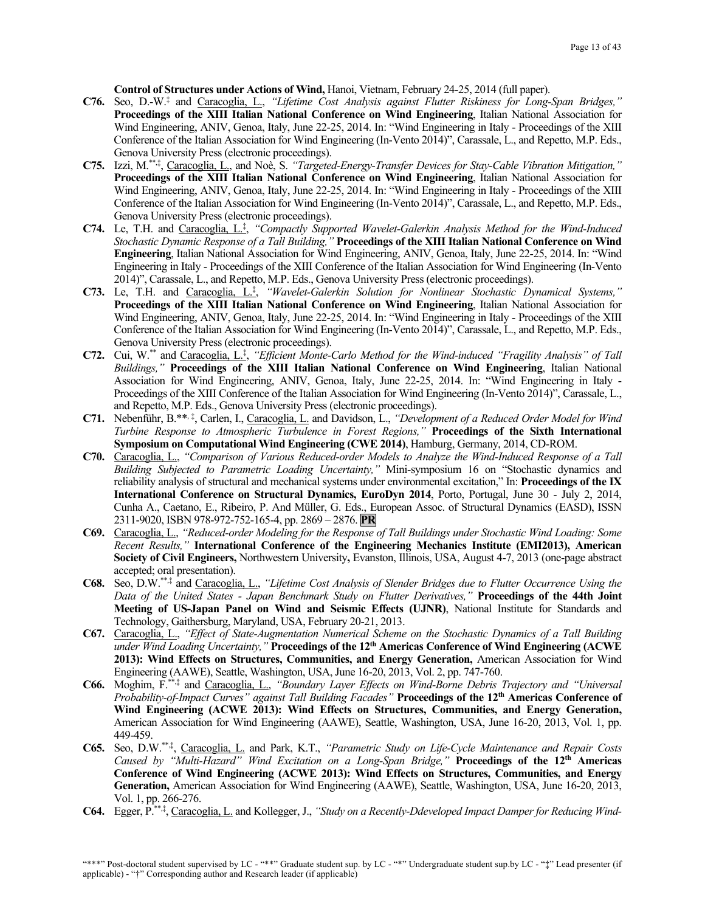**Control of Structures under Actions of Wind,** Hanoi, Vietnam, February 24-25, 2014 (full paper).

- **C76.** Seo, D.-W.‡ and Caracoglia, L., *"Lifetime Cost Analysis against Flutter Riskiness for Long-Span Bridges,"* **Proceedings of the XIII Italian National Conference on Wind Engineering**, Italian National Association for Wind Engineering, ANIV, Genoa, Italy, June 22-25, 2014. In: "Wind Engineering in Italy - Proceedings of the XIII Conference of the Italian Association for Wind Engineering (In-Vento 2014)", Carassale, L., and Repetto, M.P. Eds., Genova University Press (electronic proceedings).
- **C75.** Izzi, M. \*\*,‡, Caracoglia, L., and Noè, S. *"Targeted-Energy-Transfer Devices for Stay-Cable Vibration Mitigation,"* **Proceedings of the XIII Italian National Conference on Wind Engineering**, Italian National Association for Wind Engineering, ANIV, Genoa, Italy, June 22-25, 2014. In: "Wind Engineering in Italy - Proceedings of the XIII Conference of the Italian Association for Wind Engineering (In-Vento 2014)", Carassale, L., and Repetto, M.P. Eds., Genova University Press (electronic proceedings).
- **C74.** Le, T.H. and Caracoglia, L.‡ , *"Compactly Supported Wavelet-Galerkin Analysis Method for the Wind-Induced Stochastic Dynamic Response of a Tall Building,"* **Proceedings of the XIII Italian National Conference on Wind Engineering**, Italian National Association for Wind Engineering, ANIV, Genoa, Italy, June 22-25, 2014. In: "Wind Engineering in Italy - Proceedings of the XIII Conference of the Italian Association for Wind Engineering (In-Vento 2014)", Carassale, L., and Repetto, M.P. Eds., Genova University Press (electronic proceedings).
- **C73.** Le, T.H. and Caracoglia, L.‡ , *"Wavelet-Galerkin Solution for Nonlinear Stochastic Dynamical Systems,"* **Proceedings of the XIII Italian National Conference on Wind Engineering**, Italian National Association for Wind Engineering, ANIV, Genoa, Italy, June 22-25, 2014. In: "Wind Engineering in Italy - Proceedings of the XIII Conference of the Italian Association for Wind Engineering (In-Vento 2014)", Carassale, L., and Repetto, M.P. Eds., Genova University Press (electronic proceedings).
- **C72.** Cui, W.\*\* and Caracoglia, L. ‡ , *"Efficient Monte-Carlo Method for the Wind-induced "Fragility Analysis" of Tall Buildings,"* **Proceedings of the XIII Italian National Conference on Wind Engineering**, Italian National Association for Wind Engineering, ANIV, Genoa, Italy, June 22-25, 2014. In: "Wind Engineering in Italy - Proceedings of the XIII Conference of the Italian Association for Wind Engineering (In-Vento 2014)", Carassale, L., and Repetto, M.P. Eds., Genova University Press (electronic proceedings).
- **C71.** Nebenführ, B.\*\*, ‡, Carlen, I., Caracoglia, L. and Davidson, L., *"Development of a Reduced Order Model for Wind Turbine Response to Atmospheric Turbulence in Forest Regions,"* **Proceedings of the Sixth International Symposium on Computational Wind Engineering (CWE 2014)**, Hamburg, Germany, 2014, CD-ROM.
- **C70.** Caracoglia, L., *"Comparison of Various Reduced-order Models to Analyze the Wind-Induced Response of a Tall Building Subjected to Parametric Loading Uncertainty,"* Mini-symposium 16 on "Stochastic dynamics and reliability analysis of structural and mechanical systems under environmental excitation," In: **Proceedings of the IX International Conference on Structural Dynamics, EuroDyn 2014**, Porto, Portugal, June 30 - July 2, 2014, Cunha A., Caetano, E., Ribeiro, P. And Müller, G. Eds., European Assoc. of Structural Dynamics (EASD), ISSN 2311-9020, ISBN 978-972-752-165-4, pp. 2869 – 2876. **PR**
- **C69.** Caracoglia, L., *"Reduced-order Modeling for the Response of Tall Buildings under Stochastic Wind Loading: Some Recent Results,"* **International Conference of the Engineering Mechanics Institute (EMI2013), American Society of Civil Engineers,** Northwestern University**,** Evanston, Illinois, USA, August 4-7, 2013 (one-page abstract accepted; oral presentation).
- **C68.** Seo, D.W.\*\*,‡ and Caracoglia, L., *"Lifetime Cost Analysis of Slender Bridges due to Flutter Occurrence Using the Data of the United States - Japan Benchmark Study on Flutter Derivatives,"* **Proceedings of the 44th Joint Meeting of US-Japan Panel on Wind and Seismic Effects (UJNR)**, National Institute for Standards and Technology, Gaithersburg, Maryland, USA, February 20-21, 2013.
- **C67.** Caracoglia, L., *"Effect of State-Augmentation Numerical Scheme on the Stochastic Dynamics of a Tall Building under Wind Loading Uncertainty,"* **Proceedings of the 12th Americas Conference of Wind Engineering (ACWE 2013): Wind Effects on Structures, Communities, and Energy Generation,** American Association for Wind Engineering (AAWE), Seattle, Washington, USA, June 16-20, 2013, Vol. 2, pp. 747-760.
- **C66.** Moghim, F.\*\*,‡ and Caracoglia, L., *"Boundary Layer Effects on Wind-Borne Debris Trajectory and "Universal Probability-of-Impact Curves" against Tall Building Facades"* **Proceedings of the 12th Americas Conference of Wind Engineering (ACWE 2013): Wind Effects on Structures, Communities, and Energy Generation,**  American Association for Wind Engineering (AAWE), Seattle, Washington, USA, June 16-20, 2013, Vol. 1, pp. 449-459.
- **C65.** Seo, D.W.\*\*,‡ , Caracoglia, L. and Park, K.T., *"Parametric Study on Life-Cycle Maintenance and Repair Costs Caused by "Multi-Hazard" Wind Excitation on a Long-Span Bridge,"* **Proceedings of the 12th Americas Conference of Wind Engineering (ACWE 2013): Wind Effects on Structures, Communities, and Energy**  Generation, American Association for Wind Engineering (AAWE), Seattle, Washington, USA, June 16-20, 2013, Vol. 1, pp. 266-276.
- **C64.** Egger, P.\*\*,‡, Caracoglia, L. and Kollegger, J., *"Study on a Recently-Ddeveloped Impact Damper for Reducing Wind-*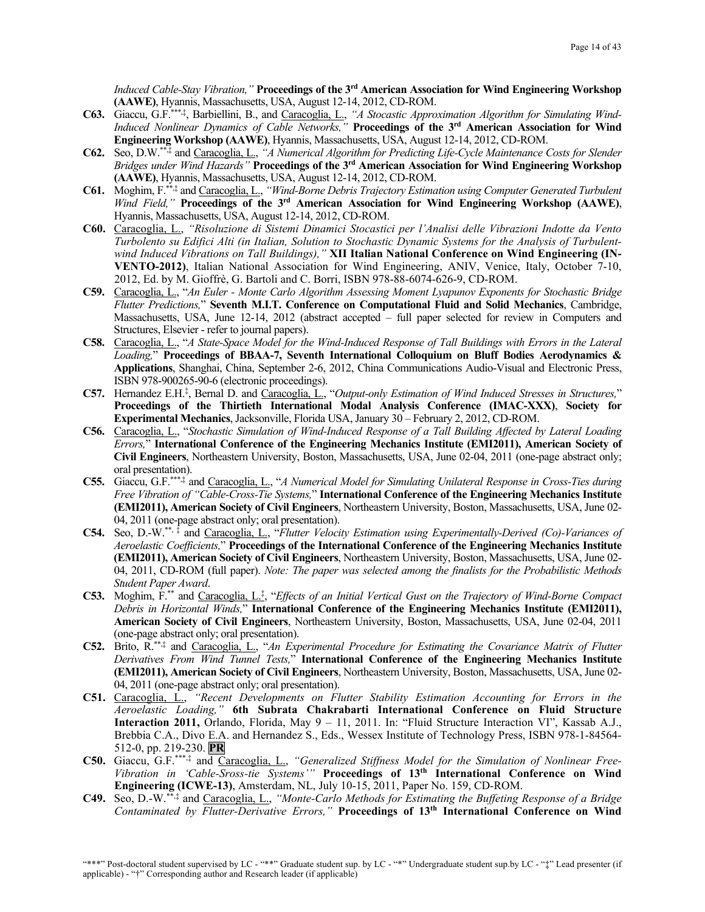*Induced Cable-Stay Vibration,"* **Proceedings of the 3rd American Association for Wind Engineering Workshop (AAWE)**, Hyannis, Massachusetts, USA, August 12-14, 2012, CD-ROM.

- **C63.** Giaccu, G.F. \*\*\*,‡, Barbiellini, B., and Caracoglia, L., *"A Stocastic Approximation Algorithm for Simulating Wind-Induced Nonlinear Dynamics of Cable Networks,"* **Proceedings of the 3rd American Association for Wind Engineering Workshop (AAWE)**, Hyannis, Massachusetts, USA, August 12-14, 2012, CD-ROM.
- **C62.** Seo, D.W.\*\*,‡ and Caracoglia, L., *"A Numerical Algorithm for Predicting Life-Cycle Maintenance Costs for Slender Bridges under Wind Hazards"* **Proceedings of the 3rd American Association for Wind Engineering Workshop (AAWE)**, Hyannis, Massachusetts, USA, August 12-14, 2012, CD-ROM.
- **C61.** Moghim, F.\*\*,‡ and Caracoglia, L., *"Wind-Borne Debris Trajectory Estimation using Computer Generated Turbulent Wind Field,"* **Proceedings of the 3rd American Association for Wind Engineering Workshop (AAWE)**, Hyannis, Massachusetts, USA, August 12-14, 2012, CD-ROM.
- **C60.** Caracoglia, L., *"Risoluzione di Sistemi Dinamici Stocastici per l'Analisi delle Vibrazioni Indotte da Vento Turbolento su Edifici Alti (in Italian, Solution to Stochastic Dynamic Systems for the Analysis of Turbulentwind Induced Vibrations on Tall Buildings),"* **XII Italian National Conference on Wind Engineering (IN-VENTO-2012)**, Italian National Association for Wind Engineering, ANIV, Venice, Italy, October 7-10, 2012, Ed. by M. Gioffrè, G. Bartoli and C. Borri, ISBN 978-88-6074-626-9, CD-ROM.
- **C59.** Caracoglia, L., "*An Euler - Monte Carlo Algorithm Assessing Moment Lyapunov Exponents for Stochastic Bridge Flutter Predictions,*" **Seventh M.I.T. Conference on Computational Fluid and Solid Mechanics**, Cambridge, Massachusetts, USA, June 12-14, 2012 (abstract accepted – full paper selected for review in Computers and Structures, Elsevier - refer to journal papers).
- **C58.** Caracoglia, L., "*A State-Space Model for the Wind-Induced Response of Tall Buildings with Errors in the Lateral Loading,*" **Proceedings of BBAA-7, Seventh International Colloquium on Bluff Bodies Aerodynamics & Applications**, Shanghai, China, September 2-6, 2012, China Communications Audio-Visual and Electronic Press, ISBN 978-900265-90-6 (electronic proceedings).
- **C57.** Hernandez E.H.‡ , Bernal D. and Caracoglia, L., "*Output-only Estimation of Wind Induced Stresses in Structures,*" **Proceedings of the Thirtieth International Modal Analysis Conference (IMAC-XXX)**, **Society for Experimental Mechanics**, Jacksonville, Florida USA, January 30 – February 2, 2012, CD-ROM.
- **C56.** Caracoglia, L., "*Stochastic Simulation of Wind-Induced Response of a Tall Building Affected by Lateral Loading Errors,*" **International Conference of the Engineering Mechanics Institute (EMI2011), American Society of Civil Engineers**, Northeastern University, Boston, Massachusetts, USA, June 02-04, 2011 (one-page abstract only; oral presentation).
- **C55.** Giaccu, G.F.\*\*\*,‡ and Caracoglia, L., "*A Numerical Model for Simulating Unilateral Response in Cross-Ties during Free Vibration of "Cable-Cross-Tie Systems,*" **International Conference of the Engineering Mechanics Institute (EMI2011), American Society of Civil Engineers**, Northeastern University, Boston, Massachusetts, USA, June 02- 04, 2011 (one-page abstract only; oral presentation).
- **C54.** Seo, D.-W.\*\*, ‡ and Caracoglia, L., "*Flutter Velocity Estimation using Experimentally-Derived (Co)-Variances of Aeroelastic Coefficients,*" **Proceedings of the International Conference of the Engineering Mechanics Institute (EMI2011), American Society of Civil Engineers**, Northeastern University, Boston, Massachusetts, USA, June 02- 04, 2011, CD-ROM (full paper). *Note: The paper was selected among the finalists for the Probabilistic Methods Student Paper Award*.
- **C53.** Moghim, F. \*\* and Caracoglia, L.‡ , "*Effects of an Initial Vertical Gust on the Trajectory of Wind-Borne Compact Debris in Horizontal Winds,*" **International Conference of the Engineering Mechanics Institute (EMI2011), American Society of Civil Engineers**, Northeastern University, Boston, Massachusetts, USA, June 02-04, 2011 (one-page abstract only; oral presentation).
- **C52.** Brito, R.\*\*,‡ and Caracoglia, L., "*An Experimental Procedure for Estimating the Covariance Matrix of Flutter Derivatives From Wind Tunnel Tests,*" **International Conference of the Engineering Mechanics Institute (EMI2011), American Society of Civil Engineers**, Northeastern University, Boston, Massachusetts, USA, June 02- 04, 2011 (one-page abstract only; oral presentation).
- **C51.** Caracoglia, L., *"Recent Developments on Flutter Stability Estimation Accounting for Errors in the Aeroelastic Loading,"* **6th Subrata Chakrabarti International Conference on Fluid Structure Interaction 2011,** Orlando, Florida, May 9 – 11, 2011. In: "Fluid Structure Interaction VI", Kassab A.J., Brebbia C.A., Divo E.A. and Hernandez S., Eds., Wessex Institute of Technology Press, ISBN 978-1-84564- 512-0, pp. 219-230. **PR**
- **C50.** Giaccu, G.F.\*\*\*,‡ and Caracoglia, L., *"Generalized Stiffness Model for the Simulation of Nonlinear Free-Vibration in 'Cable-Sross-tie Systems'"* **Proceedings of 13th International Conference on Wind Engineering (ICWE-13)**, Amsterdam, NL, July 10-15, 2011, Paper No. 159, CD-ROM.
- **C49.** Seo, D.-W.\*\*,‡ and Caracoglia, L., *"Monte-Carlo Methods for Estimating the Buffeting Response of a Bridge Contaminated by Flutter-Derivative Errors,"* **Proceedings of 13th International Conference on Wind**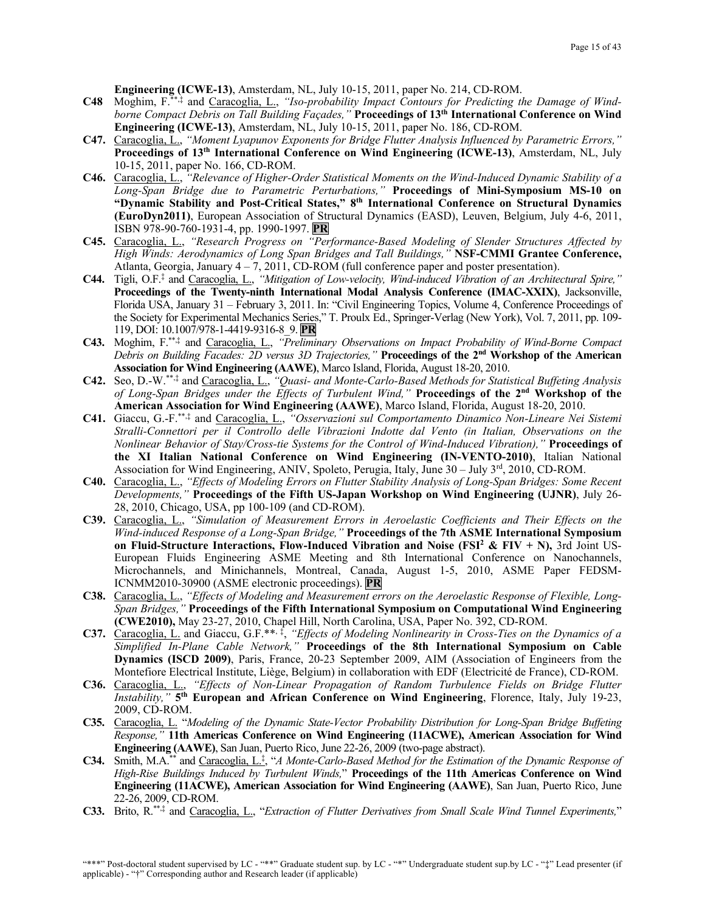**Engineering (ICWE-13)**, Amsterdam, NL, July 10-15, 2011, paper No. 214, CD-ROM.

- **C48** Moghim, F.\*\*,‡ and Caracoglia, L., *"Iso-probability Impact Contours for Predicting the Damage of Windborne Compact Debris on Tall Building Façades,"* **Proceedings of 13th International Conference on Wind Engineering (ICWE-13)**, Amsterdam, NL, July 10-15, 2011, paper No. 186, CD-ROM.
- **C47.** Caracoglia, L., *"Moment Lyapunov Exponents for Bridge Flutter Analysis Influenced by Parametric Errors,"* **Proceedings of 13th International Conference on Wind Engineering (ICWE-13)**, Amsterdam, NL, July 10-15, 2011, paper No. 166, CD-ROM.
- **C46.** Caracoglia, L., *"Relevance of Higher-Order Statistical Moments on the Wind-Induced Dynamic Stability of a Long-Span Bridge due to Parametric Perturbations,"* **Proceedings of Mini-Symposium MS-10 on "Dynamic Stability and Post-Critical States," 8th International Conference on Structural Dynamics (EuroDyn2011)**, European Association of Structural Dynamics (EASD), Leuven, Belgium, July 4-6, 2011, ISBN 978-90-760-1931-4, pp. 1990-1997. **PR**
- **C45.** Caracoglia, L., *"Research Progress on "Performance-Based Modeling of Slender Structures Affected by High Winds: Aerodynamics of Long Span Bridges and Tall Buildings,"* **NSF-CMMI Grantee Conference,**  Atlanta, Georgia, January  $4 - 7$ , 2011, CD-ROM (full conference paper and poster presentation).
- **C44.** Tigli, O.F.‡ and Caracoglia, L., *"Mitigation of Low-velocity, Wind-induced Vibration of an Architectural Spire,"* **Proceedings of the Twenty-ninth International Modal Analysis Conference (IMAC-XXIX)**, Jacksonville, Florida USA, January 31 – February 3, 2011. In: "Civil Engineering Topics, Volume 4, Conference Proceedings of the Society for Experimental Mechanics Series," T. Proulx Ed., Springer-Verlag (New York), Vol. 7, 2011, pp. 109- 119, DOI: 10.1007/978-1-4419-9316-8\_9. **PR**
- **C43.** Moghim, F.\*\*,‡ and Caracoglia, L., *"Preliminary Observations on Impact Probability of Wind-Borne Compact Debris on Building Facades: 2D versus 3D Trajectories,"* **Proceedings of the 2nd Workshop of the American Association for Wind Engineering (AAWE)**, Marco Island, Florida, August 18-20, 2010.
- **C42.** Seo, D.-W.\*\*,‡ and Caracoglia, L., *"Quasi- and Monte-Carlo-Based Methods for Statistical Buffeting Analysis of Long-Span Bridges under the Effects of Turbulent Wind,"* **Proceedings of the 2nd Workshop of the American Association for Wind Engineering (AAWE)**, Marco Island, Florida, August 18-20, 2010.
- **C41.** Giaccu, G.-F.\*\*,‡ and Caracoglia, L., *"Osservazioni sul Comportamento Dinamico Non-Lineare Nei Sistemi Stralli-Connettori per il Controllo delle Vibrazioni Indotte dal Vento (in Italian, Observations on the Nonlinear Behavior of Stay/Cross-tie Systems for the Control of Wind-Induced Vibration),"* **Proceedings of the XI Italian National Conference on Wind Engineering (IN-VENTO-2010)**, Italian National Association for Wind Engineering, ANIV, Spoleto, Perugia, Italy, June 30 – July 3rd, 2010, CD-ROM.
- **C40.** Caracoglia, L., *"Effects of Modeling Errors on Flutter Stability Analysis of Long-Span Bridges: Some Recent Developments,"* **Proceedings of the Fifth US-Japan Workshop on Wind Engineering (UJNR)**, July 26- 28, 2010, Chicago, USA, pp 100-109 (and CD-ROM).
- **C39.** Caracoglia, L., *"Simulation of Measurement Errors in Aeroelastic Coefficients and Their Effects on the Wind-induced Response of a Long-Span Bridge,"* **Proceedings of the 7th ASME International Symposium on Fluid-Structure Interactions, Flow-Induced Vibration and Noise (FSI<sup>2</sup> & FIV + N), 3rd Joint US-**European Fluids Engineering ASME Meeting and 8th International Conference on Nanochannels, Microchannels, and Minichannels, Montreal, Canada, August 1-5, 2010, ASME Paper FEDSM-ICNMM2010-30900 (ASME electronic proceedings). **PR**
- **C38.** Caracoglia, L., *"Effects of Modeling and Measurement errors on the Aeroelastic Response of Flexible, Long-Span Bridges,"* **Proceedings of the Fifth International Symposium on Computational Wind Engineering (CWE2010),** May 23-27, 2010, Chapel Hill, North Carolina, USA, Paper No. 392, CD-ROM.
- **C37.** Caracoglia, L. and Giaccu, G.F.\*\*, ‡, *"Effects of Modeling Nonlinearity in Cross-Ties on the Dynamics of a Simplified In-Plane Cable Network,"* **Proceedings of the 8th International Symposium on Cable Dynamics (ISCD 2009)**, Paris, France, 20-23 September 2009, AIM (Association of Engineers from the Montefiore Electrical Institute, Liège, Belgium) in collaboration with EDF (Electricité de France), CD-ROM.
- **C36.** Caracoglia, L., *"Effects of Non-Linear Propagation of Random Turbulence Fields on Bridge Flutter Instability,"* **5th European and African Conference on Wind Engineering**, Florence, Italy, July 19-23, 2009, CD-ROM.
- **C35.** Caracoglia, L. "*Modeling of the Dynamic State-Vector Probability Distribution for Long-Span Bridge Buffeting Response,"* **11th Americas Conference on Wind Engineering (11ACWE), American Association for Wind Engineering (AAWE)**, San Juan, Puerto Rico, June 22-26, 2009 (two-page abstract).
- **C34.** Smith, M.A. \*\* and Caracoglia, L.‡ , "*A Monte-Carlo-Based Method for the Estimation of the Dynamic Response of High-Rise Buildings Induced by Turbulent Winds,*" **Proceedings of the 11th Americas Conference on Wind Engineering (11ACWE), American Association for Wind Engineering (AAWE)**, San Juan, Puerto Rico, June 22-26, 2009, CD-ROM.
- **C33.** Brito, R.\*\*,‡ and Caracoglia, L., "*Extraction of Flutter Derivatives from Small Scale Wind Tunnel Experiments,*"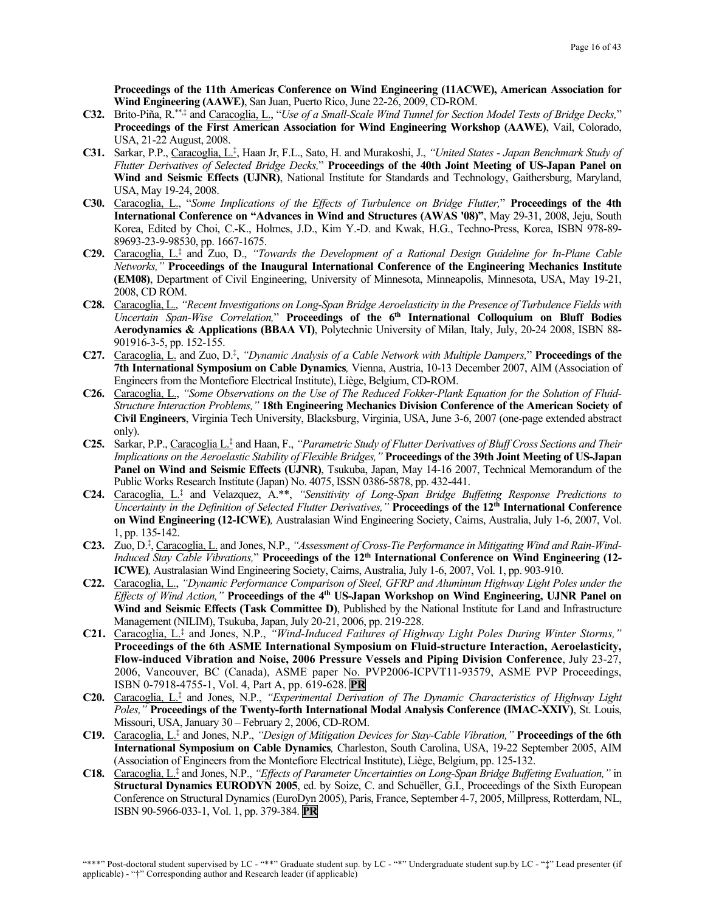**Proceedings of the 11th Americas Conference on Wind Engineering (11ACWE), American Association for Wind Engineering (AAWE)**, San Juan, Puerto Rico, June 22-26, 2009, CD-ROM.

- **C32.** Brito-Piña, R. \*\*,‡ and Caracoglia, L., "*Use of a Small-Scale Wind Tunnel for Section Model Tests of Bridge Decks,*" **Proceedings of the First American Association for Wind Engineering Workshop (AAWE)**, Vail, Colorado, USA, 21-22 August, 2008.
- **C31.** Sarkar, P.P., Caracoglia, L.‡ , Haan Jr, F.L., Sato, H. and Murakoshi, J., *"United States - Japan Benchmark Study of Flutter Derivatives of Selected Bridge Decks,*" **Proceedings of the 40th Joint Meeting of US-Japan Panel on Wind and Seismic Effects (UJNR)**, National Institute for Standards and Technology, Gaithersburg, Maryland, USA, May 19-24, 2008.
- **C30.** Caracoglia, L., "*Some Implications of the Effects of Turbulence on Bridge Flutter,*" **Proceedings of the 4th International Conference on "Advances in Wind and Structures (AWAS '08)"**, May 29-31, 2008, Jeju, South Korea, Edited by Choi, C.-K., Holmes, J.D., Kim Y.-D. and Kwak, H.G., Techno-Press, Korea, ISBN 978-89- 89693-23-9-98530, pp. 1667-1675.
- **C29.** Caracoglia, L.‡ and Zuo, D., *"Towards the Development of a Rational Design Guideline for In-Plane Cable Networks,"* **Proceedings of the Inaugural International Conference of the Engineering Mechanics Institute (EM08)**, Department of Civil Engineering, University of Minnesota, Minneapolis, Minnesota, USA, May 19-21, 2008, CD ROM.
- **C28.** Caracoglia, L., *"Recent Investigations on Long-Span Bridge Aeroelasticity in the Presence of Turbulence Fields with Uncertain Span-Wise Correlation,*" **Proceedings of the 6th International Colloquium on Bluff Bodies Aerodynamics & Applications (BBAA VI)**, Polytechnic University of Milan, Italy, July, 20-24 2008, ISBN 88- 901916-3-5, pp. 152-155.
- **C27.** Caracoglia, L. and Zuo, D.‡ , *"Dynamic Analysis of a Cable Network with Multiple Dampers,*" **Proceedings of the 7th International Symposium on Cable Dynamics***,* Vienna, Austria, 10-13 December 2007, AIM (Association of Engineers from the Montefiore Electrical Institute), Liège, Belgium, CD-ROM.
- **C26.** Caracoglia, L., *"Some Observations on the Use of The Reduced Fokker-Plank Equation for the Solution of Fluid-Structure Interaction Problems,"* **18th Engineering Mechanics Division Conference of the American Society of Civil Engineers**, Virginia Tech University, Blacksburg, Virginia, USA, June 3-6, 2007 (one-page extended abstract only).
- **C25.** Sarkar, P.P., Caracoglia L. ‡ and Haan, F., *"Parametric Study of Flutter Derivatives of Bluff Cross Sections and Their Implications on the Aeroelastic Stability of Flexible Bridges,"* **Proceedings of the 39th Joint Meeting of US-Japan Panel on Wind and Seismic Effects (UJNR)**, Tsukuba, Japan, May 14-16 2007, Technical Memorandum of the Public Works Research Institute (Japan) No. 4075, ISSN 0386-5878, pp. 432-441.
- **C24.** Caracoglia, L.‡ and Velazquez, A.\*\*, *"Sensitivity of Long-Span Bridge Buffeting Response Predictions to Uncertainty in the Definition of Selected Flutter Derivatives,"* **Proceedings of the 12th International Conference on Wind Engineering (12-ICWE)***,* Australasian Wind Engineering Society, Cairns, Australia, July 1-6, 2007, Vol. 1, pp. 135-142.
- **C23.** Zuo, D.‡ , Caracoglia, L. and Jones, N.P., *"Assessment of Cross-Tie Performance in Mitigating Wind and Rain-Wind-Induced Stay Cable Vibrations,*" **Proceedings of the 12th International Conference on Wind Engineering (12- ICWE)***,* Australasian Wind Engineering Society, Cairns, Australia, July 1-6, 2007, Vol. 1, pp. 903-910.
- **C22.** Caracoglia, L., *"Dynamic Performance Comparison of Steel, GFRP and Aluminum Highway Light Poles under the Effects of Wind Action,"* **Proceedings of the 4th US-Japan Workshop on Wind Engineering, UJNR Panel on Wind and Seismic Effects (Task Committee D)**, Published by the National Institute for Land and Infrastructure Management (NILIM), Tsukuba, Japan, July 20-21, 2006, pp. 219-228.
- **C21.** Caracoglia, L.‡ and Jones, N.P., *"Wind-Induced Failures of Highway Light Poles During Winter Storms,"* **Proceedings of the 6th ASME International Symposium on Fluid-structure Interaction, Aeroelasticity, Flow-induced Vibration and Noise, 2006 Pressure Vessels and Piping Division Conference**, July 23-27, 2006, Vancouver, BC (Canada), ASME paper No. PVP2006-ICPVT11-93579, ASME PVP Proceedings, ISBN 0-7918-4755-1, Vol. 4, Part A, pp. 619-628. **PR**
- **C20.** Caracoglia, L.‡ and Jones, N.P., *"Experimental Derivation of The Dynamic Characteristics of Highway Light Poles,"* **Proceedings of the Twenty-forth International Modal Analysis Conference (IMAC-XXIV)**, St. Louis, Missouri, USA, January 30 – February 2, 2006, CD-ROM.
- **C19.** Caracoglia, L.‡ and Jones, N.P., *"Design of Mitigation Devices for Stay-Cable Vibration,"* **Proceedings of the 6th International Symposium on Cable Dynamics***,* Charleston, South Carolina, USA, 19-22 September 2005, AIM (Association of Engineers from the Montefiore Electrical Institute), Liège, Belgium, pp. 125-132.
- **C18.** Caracoglia, L.‡ and Jones, N.P., *"Effects of Parameter Uncertainties on Long-Span Bridge Buffeting Evaluation,"* in **Structural Dynamics EURODYN 2005**, ed. by Soize, C. and Schuëller, G.I., Proceedings of the Sixth European Conference on Structural Dynamics (EuroDyn 2005), Paris, France, September 4-7, 2005, Millpress, Rotterdam, NL, ISBN 90-5966-033-1, Vol. 1, pp. 379-384. **PR**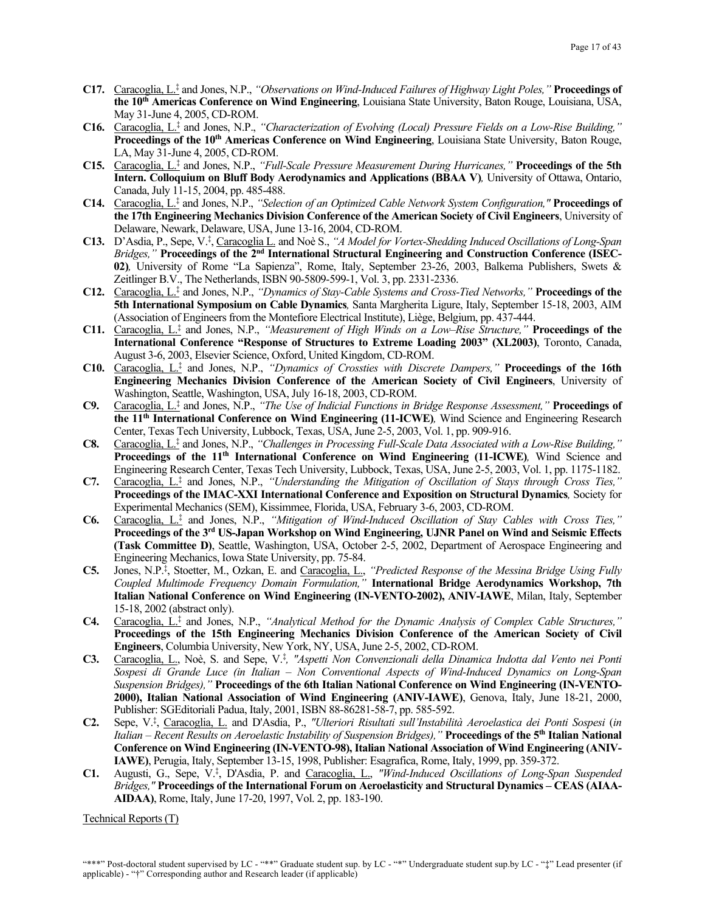- **C17.** Caracoglia, L.‡ and Jones, N.P., *"Observations on Wind-Induced Failures of Highway Light Poles,"* **Proceedings of the 10th Americas Conference on Wind Engineering**, Louisiana State University, Baton Rouge, Louisiana, USA, May 31-June 4, 2005, CD-ROM.
- **C16.** Caracoglia, L. ‡ and Jones, N.P., *"Characterization of Evolving (Local) Pressure Fields on a Low-Rise Building,"* **Proceedings of the 10th Americas Conference on Wind Engineering**, Louisiana State University, Baton Rouge, LA, May 31-June 4, 2005, CD-ROM.
- **C15.** Caracoglia, L. ‡ and Jones, N.P., *"Full-Scale Pressure Measurement During Hurricanes,"* **Proceedings of the 5th Intern. Colloquium on Bluff Body Aerodynamics and Applications (BBAA V)***,* University of Ottawa, Ontario, Canada, July 11-15, 2004, pp. 485-488.
- **C14.** Caracoglia, L. ‡ and Jones, N.P., *"Selection of an Optimized Cable Network System Configuration,"* **Proceedings of the 17th Engineering Mechanics Division Conference of the American Society of Civil Engineers**, University of Delaware, Newark, Delaware, USA, June 13-16, 2004, CD-ROM.
- **C13.** D'Asdia, P., Sepe, V.‡ , Caracoglia L. and Noè S., *"A Model for Vortex-Shedding Induced Oscillations of Long-Span Bridges,"* **Proceedings of the 2nd International Structural Engineering and Construction Conference (ISEC-02)***,* University of Rome "La Sapienza", Rome, Italy, September 23-26, 2003, Balkema Publishers, Swets & Zeitlinger B.V., The Netherlands, ISBN 90-5809-599-1, Vol. 3, pp. 2331-2336.
- **C12.** Caracoglia, L.‡ and Jones, N.P., *"Dynamics of Stay-Cable Systems and Cross-Tied Networks,"* **Proceedings of the 5th International Symposium on Cable Dynamics***,* Santa Margherita Ligure, Italy, September 15-18, 2003, AIM (Association of Engineers from the Montefiore Electrical Institute), Liège, Belgium, pp. 437-444.
- **C11.** Caracoglia, L.‡ and Jones, N.P., *"Measurement of High Winds on a Low–Rise Structure,"* **Proceedings of the International Conference "Response of Structures to Extreme Loading 2003" (XL2003)**, Toronto, Canada, August 3-6, 2003, Elsevier Science, Oxford, United Kingdom, CD-ROM.
- **C10.** Caracoglia, L.‡ and Jones, N.P., *"Dynamics of Crossties with Discrete Dampers,"* **Proceedings of the 16th Engineering Mechanics Division Conference of the American Society of Civil Engineers**, University of Washington, Seattle, Washington, USA, July 16-18, 2003, CD-ROM.
- **C9.** Caracoglia, L.‡ and Jones, N.P., *"The Use of Indicial Functions in Bridge Response Assessment,"* **Proceedings of the 11th International Conference on Wind Engineering (11-ICWE)***,* Wind Science and Engineering Research Center, Texas Tech University, Lubbock, Texas, USA, June 2-5, 2003, Vol. 1, pp. 909-916.
- **C8.** Caracoglia, L.‡ and Jones, N.P., *"Challenges in Processing Full-Scale Data Associated with a Low-Rise Building,"* **Proceedings of the 11th International Conference on Wind Engineering (11-ICWE)***,* Wind Science and Engineering Research Center, Texas Tech University, Lubbock, Texas, USA, June 2-5, 2003, Vol. 1, pp. 1175-1182.
- **C7.** Caracoglia, L.‡ and Jones, N.P., *"Understanding the Mitigation of Oscillation of Stays through Cross Ties,"* **Proceedings of the IMAC-XXI International Conference and Exposition on Structural Dynamics***,* Society for Experimental Mechanics (SEM), Kissimmee, Florida, USA, February 3-6, 2003, CD-ROM.
- **C6.** Caracoglia, L. ‡ and Jones, N.P., *"Mitigation of Wind-Induced Oscillation of Stay Cables with Cross Ties,"* **Proceedings of the 3rd US-Japan Workshop on Wind Engineering, UJNR Panel on Wind and Seismic Effects (Task Committee D)**, Seattle, Washington, USA, October 2-5, 2002, Department of Aerospace Engineering and Engineering Mechanics, Iowa State University, pp. 75-84.
- **C5.** Jones, N.P.‡ , Stoetter, M., Ozkan, E. and Caracoglia, L., *"Predicted Response of the Messina Bridge Using Fully Coupled Multimode Frequency Domain Formulation,"* **International Bridge Aerodynamics Workshop, 7th Italian National Conference on Wind Engineering (IN-VENTO-2002), ANIV-IAWE**, Milan, Italy, September 15-18, 2002 (abstract only).
- **C4.** Caracoglia, L.‡ and Jones, N.P., *"Analytical Method for the Dynamic Analysis of Complex Cable Structures,"* **Proceedings of the 15th Engineering Mechanics Division Conference of the American Society of Civil Engineers**, Columbia University, New York, NY, USA, June 2-5, 2002, CD-ROM.
- **C3.** Caracoglia, L., Noè, S. and Sepe, V.‡ *, "Aspetti Non Convenzionali della Dinamica Indotta dal Vento nei Ponti Sospesi di Grande Luce (in Italian – Non Conventional Aspects of Wind-Induced Dynamics on Long-Span Suspension Bridges),"* **Proceedings of the 6th Italian National Conference on Wind Engineering (IN-VENTO-2000), Italian National Association of Wind Engineering (ANIV-IAWE)**, Genova, Italy, June 18-21, 2000, Publisher: SGEditoriali Padua, Italy, 2001, ISBN 88-86281-58-7, pp. 585-592.
- **C2.** Sepe, V.‡ , Caracoglia, L. and D'Asdia, P., *"Ulteriori Risultati sull'Instabilità Aeroelastica dei Ponti Sospesi* (*in Italian – Recent Results on Aeroelastic Instability of Suspension Bridges),"* **Proceedings of the 5th Italian National Conference on Wind Engineering (IN-VENTO-98), Italian National Association of Wind Engineering (ANIV-IAWE)**, Perugia, Italy, September 13-15, 1998, Publisher: Esagrafica, Rome, Italy, 1999, pp. 359-372.
- **C1.** Augusti, G., Sepe, V.‡ , D'Asdia, P. and Caracoglia, L., *"Wind-Induced Oscillations of Long-Span Suspended Bridges,"* **Proceedings of the International Forum on Aeroelasticity and Structural Dynamics – CEAS (AIAA-AIDAA)**, Rome, Italy, June 17-20, 1997, Vol. 2, pp. 183-190.

Technical Reports (T)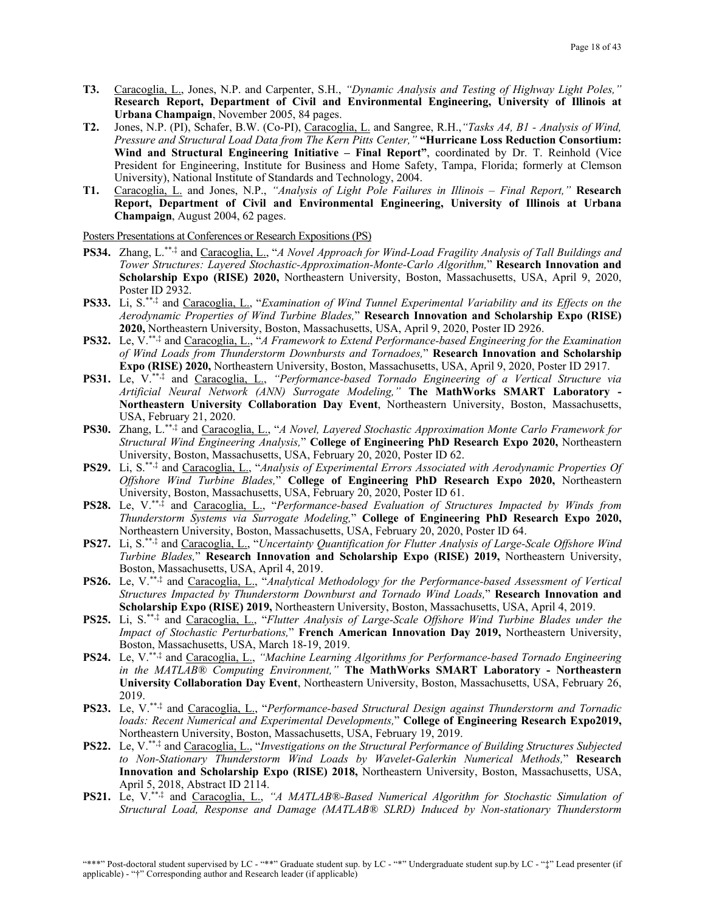- **T3.** Caracoglia, L., Jones, N.P. and Carpenter, S.H., *"Dynamic Analysis and Testing of Highway Light Poles,"* **Research Report, Department of Civil and Environmental Engineering, University of Illinois at Urbana Champaign**, November 2005, 84 pages.
- **T2.** Jones, N.P. (PI), Schafer, B.W. (Co-PI), Caracoglia, L. and Sangree, R.H.,*"Tasks A4, B1 - Analysis of Wind, Pressure and Structural Load Data from The Kern Pitts Center,"* **"Hurricane Loss Reduction Consortium: Wind and Structural Engineering Initiative – Final Report"**, coordinated by Dr. T. Reinhold (Vice President for Engineering, Institute for Business and Home Safety, Tampa, Florida; formerly at Clemson University), National Institute of Standards and Technology, 2004.
- **T1.** Caracoglia, L. and Jones, N.P., *"Analysis of Light Pole Failures in Illinois – Final Report,"* **Research Report, Department of Civil and Environmental Engineering, University of Illinois at Urbana Champaign**, August 2004, 62 pages.

Posters Presentations at Conferences or Research Expositions (PS)

- **PS34.** Zhang, L.\*\*,‡ and Caracoglia, L., "*A Novel Approach for Wind-Load Fragility Analysis of Tall Buildings and Tower Structures: Layered Stochastic-Approximation-Monte-Carlo Algorithm,*" **Research Innovation and Scholarship Expo (RISE) 2020,** Northeastern University, Boston, Massachusetts, USA, April 9, 2020, Poster ID 2932.
- **PS33.** Li, S.\*\*,‡ and Caracoglia, L., "*Examination of Wind Tunnel Experimental Variability and its Effects on the Aerodynamic Properties of Wind Turbine Blades,*" **Research Innovation and Scholarship Expo (RISE) 2020,** Northeastern University, Boston, Massachusetts, USA, April 9, 2020, Poster ID 2926.
- **PS32.** Le, V.\*\*,‡ and Caracoglia, L., "*A Framework to Extend Performance-based Engineering for the Examination of Wind Loads from Thunderstorm Downbursts and Tornadoes,*" **Research Innovation and Scholarship Expo (RISE) 2020,** Northeastern University, Boston, Massachusetts, USA, April 9, 2020, Poster ID 2917.
- **PS31.** Le, V.\*\*,‡ and Caracoglia, L., *"Performance-based Tornado Engineering of a Vertical Structure via Artificial Neural Network (ANN) Surrogate Modeling,"* **The MathWorks SMART Laboratory - Northeastern University Collaboration Day Event**, Northeastern University, Boston, Massachusetts, USA, February 21, 2020.
- **PS30.** Zhang, L.\*\*,‡ and Caracoglia, L., "*A Novel, Layered Stochastic Approximation Monte Carlo Framework for Structural Wind Engineering Analysis,*" **College of Engineering PhD Research Expo 2020,** Northeastern University, Boston, Massachusetts, USA, February 20, 2020, Poster ID 62.
- **PS29.** Li, S.\*\*,‡ and Caracoglia, L., "*Analysis of Experimental Errors Associated with Aerodynamic Properties Of Offshore Wind Turbine Blades,*" **College of Engineering PhD Research Expo 2020,** Northeastern University, Boston, Massachusetts, USA, February 20, 2020, Poster ID 61.
- **PS28.** Le, V.\*\*,‡ and Caracoglia, L., "*Performance-based Evaluation of Structures Impacted by Winds from Thunderstorm Systems via Surrogate Modeling,*" **College of Engineering PhD Research Expo 2020,**  Northeastern University, Boston, Massachusetts, USA, February 20, 2020, Poster ID 64.
- **PS27.** Li, S.\*\*,‡ and Caracoglia, L., "*Uncertainty Quantification for Flutter Analysis of Large-Scale Offshore Wind Turbine Blades,*" **Research Innovation and Scholarship Expo (RISE) 2019,** Northeastern University, Boston, Massachusetts, USA, April 4, 2019.
- **PS26.** Le, V.\*\*,‡ and Caracoglia, L., "*Analytical Methodology for the Performance-based Assessment of Vertical Structures Impacted by Thunderstorm Downburst and Tornado Wind Loads,*" **Research Innovation and Scholarship Expo (RISE) 2019,** Northeastern University, Boston, Massachusetts, USA, April 4, 2019.
- **PS25.** Li, S. \*\*,‡ and Caracoglia, L., "*Flutter Analysis of Large-Scale Offshore Wind Turbine Blades under the Impact of Stochastic Perturbations,*" **French American Innovation Day 2019,** Northeastern University, Boston, Massachusetts, USA, March 18-19, 2019.
- **PS24.** Le, V.\*\*,‡ and Caracoglia, L., *"Machine Learning Algorithms for Performance-based Tornado Engineering in the MATLAB® Computing Environment,"* **The MathWorks SMART Laboratory - Northeastern University Collaboration Day Event**, Northeastern University, Boston, Massachusetts, USA, February 26, 2019.
- **PS23.** Le, V.\*\*,‡ and Caracoglia, L., "*Performance-based Structural Design against Thunderstorm and Tornadic loads: Recent Numerical and Experimental Developments,*" **College of Engineering Research Expo2019,**  Northeastern University, Boston, Massachusetts, USA, February 19, 2019.
- **PS22.** Le, V.\*\*,‡ and Caracoglia, L., "*Investigations on the Structural Performance of Building Structures Subjected to Non-Stationary Thunderstorm Wind Loads by Wavelet-Galerkin Numerical Methods,*" **Research Innovation and Scholarship Expo (RISE) 2018,** Northeastern University, Boston, Massachusetts, USA, April 5, 2018, Abstract ID 2114.
- **PS21.** Le, V.\*\*,‡ and Caracoglia, L., *"A MATLAB®-Based Numerical Algorithm for Stochastic Simulation of Structural Load, Response and Damage (MATLAB® SLRD) Induced by Non-stationary Thunderstorm*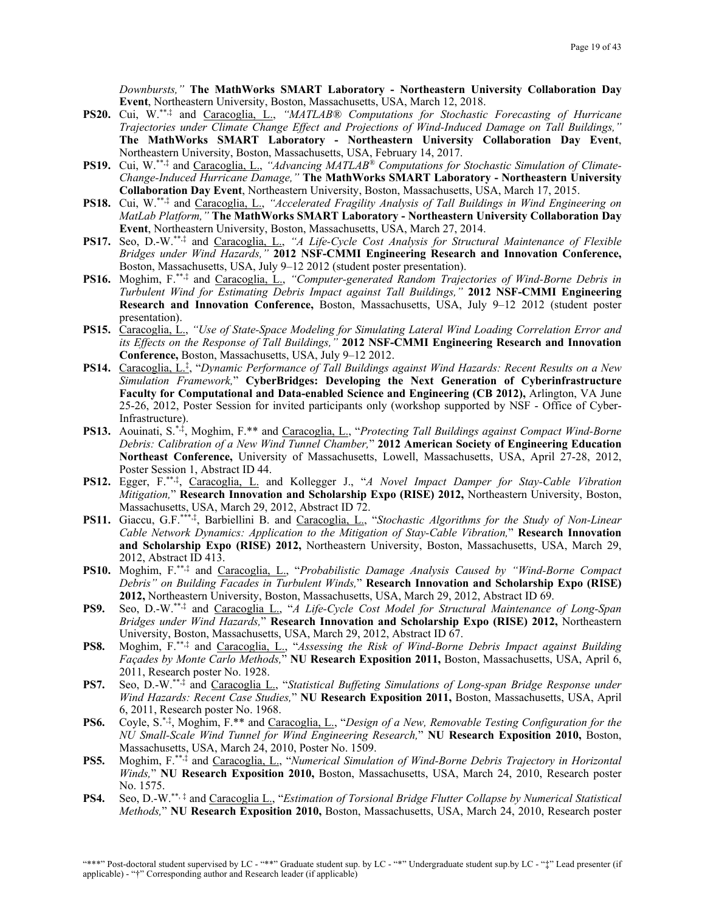*Downbursts,"* **The MathWorks SMART Laboratory - Northeastern University Collaboration Day Event**, Northeastern University, Boston, Massachusetts, USA, March 12, 2018.

- **PS20.** Cui, W. \*\*,‡ and Caracoglia, L., *"MATLAB® Computations for Stochastic Forecasting of Hurricane Trajectories under Climate Change Effect and Projections of Wind-Induced Damage on Tall Buildings,"* **The MathWorks SMART Laboratory - Northeastern University Collaboration Day Event**, Northeastern University, Boston, Massachusetts, USA, February 14, 2017.
- **PS19.** Cui, W.\*\*,‡ and Caracoglia, L., *"Advancing MATLAB® Computations for Stochastic Simulation of Climate-Change-Induced Hurricane Damage,"* **The MathWorks SMART Laboratory - Northeastern University Collaboration Day Event**, Northeastern University, Boston, Massachusetts, USA, March 17, 2015.
- **PS18.** Cui, W.\*\*,‡ and Caracoglia, L., *"Accelerated Fragility Analysis of Tall Buildings in Wind Engineering on MatLab Platform,"* **The MathWorks SMART Laboratory - Northeastern University Collaboration Day Event**, Northeastern University, Boston, Massachusetts, USA, March 27, 2014.
- **PS17.** Seo, D.-W.\*\*,‡ and Caracoglia, L., *"A Life-Cycle Cost Analysis for Structural Maintenance of Flexible Bridges under Wind Hazards,"* **2012 NSF-CMMI Engineering Research and Innovation Conference,** Boston, Massachusetts, USA, July 9–12 2012 (student poster presentation).
- **PS16.** Moghim, F.\*\*,‡ and Caracoglia, L., *"Computer-generated Random Trajectories of Wind-Borne Debris in Turbulent Wind for Estimating Debris Impact against Tall Buildings,"* **2012 NSF-CMMI Engineering Research and Innovation Conference,** Boston, Massachusetts, USA, July 9–12 2012 (student poster presentation).
- **PS15.** Caracoglia, L., *"Use of State-Space Modeling for Simulating Lateral Wind Loading Correlation Error and its Effects on the Response of Tall Buildings,"* **2012 NSF-CMMI Engineering Research and Innovation Conference,** Boston, Massachusetts, USA, July 9–12 2012.
- **PS14.** Caracoglia, L.‡ , "*Dynamic Performance of Tall Buildings against Wind Hazards: Recent Results on a New Simulation Framework,*" **CyberBridges: Developing the Next Generation of Cyberinfrastructure Faculty for Computational and Data-enabled Science and Engineering (CB 2012),** Arlington, VA June 25-26, 2012, Poster Session for invited participants only (workshop supported by NSF - Office of Cyber-Infrastructure).
- **PS13.** Aouinati, S.\*,‡, Moghim, F.\*\* and Caracoglia, L., "*Protecting Tall Buildings against Compact Wind-Borne Debris: Calibration of a New Wind Tunnel Chamber,*" **2012 American Society of Engineering Education Northeast Conference,** University of Massachusetts, Lowell, Massachusetts, USA, April 27-28, 2012, Poster Session 1, Abstract ID 44.
- **PS12.** Egger, F. \*\*,‡ , Caracoglia, L. and Kollegger J., "*A Novel Impact Damper for Stay-Cable Vibration Mitigation,*" **Research Innovation and Scholarship Expo (RISE) 2012,** Northeastern University, Boston, Massachusetts, USA, March 29, 2012, Abstract ID 72.
- **PS11.** Giaccu, G.F.\*\*\*,‡, Barbiellini B. and Caracoglia, L., "*Stochastic Algorithms for the Study of Non-Linear Cable Network Dynamics: Application to the Mitigation of Stay-Cable Vibration,*" **Research Innovation and Scholarship Expo (RISE) 2012,** Northeastern University, Boston, Massachusetts, USA, March 29, 2012, Abstract ID 413.
- **PS10.** Moghim, F.\*\*,‡ and Caracoglia, L., "*Probabilistic Damage Analysis Caused by "Wind-Borne Compact Debris" on Building Facades in Turbulent Winds,*" **Research Innovation and Scholarship Expo (RISE) 2012,** Northeastern University, Boston, Massachusetts, USA, March 29, 2012, Abstract ID 69.
- **PS9.** Seo, D.-W.\*\*,‡ and Caracoglia L., "*A Life-Cycle Cost Model for Structural Maintenance of Long-Span Bridges under Wind Hazards,*" **Research Innovation and Scholarship Expo (RISE) 2012,** Northeastern University, Boston, Massachusetts, USA, March 29, 2012, Abstract ID 67.
- **PS8.** Moghim, F. \*\*,‡ and Caracoglia, L., "*Assessing the Risk of Wind-Borne Debris Impact against Building Façades by Monte Carlo Methods,*" **NU Research Exposition 2011,** Boston, Massachusetts, USA, April 6, 2011, Research poster No. 1928.
- **PS7.** Seo, D.-W.\*\*,‡ and Caracoglia L., "*Statistical Buffeting Simulations of Long-span Bridge Response under Wind Hazards: Recent Case Studies,*" **NU Research Exposition 2011,** Boston, Massachusetts, USA, April 6, 2011, Research poster No. 1968.
- **PS6.** Coyle, S.\*,<sup>‡</sup>, Moghim, F.\*\* and Caracoglia, L., "Design of a New, Removable Testing Configuration for the *NU Small-Scale Wind Tunnel for Wind Engineering Research,*" **NU Research Exposition 2010,** Boston, Massachusetts, USA, March 24, 2010, Poster No. 1509.
- **PS5.** Moghim, F.\*\*,‡ and Caracoglia, L., "*Numerical Simulation of Wind-Borne Debris Trajectory in Horizontal Winds,*" **NU Research Exposition 2010,** Boston, Massachusetts, USA, March 24, 2010, Research poster No. 1575.
- **PS4.** Seo, D.-W.\*\*, ‡ and Caracoglia L., "*Estimation of Torsional Bridge Flutter Collapse by Numerical Statistical Methods,*" **NU Research Exposition 2010,** Boston, Massachusetts, USA, March 24, 2010, Research poster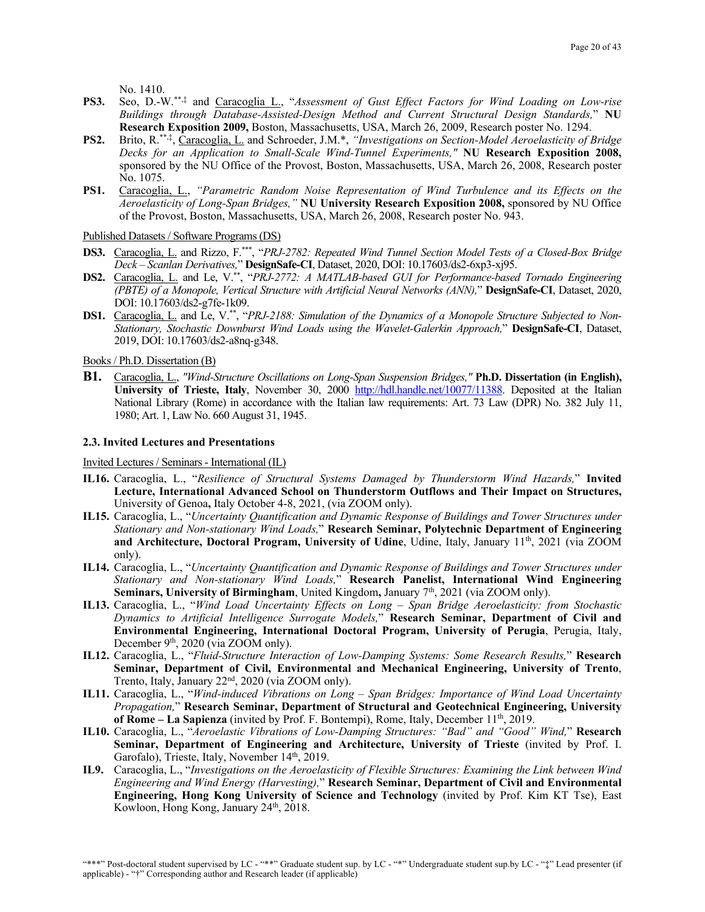No. 1410.

- **PS3.** Seo, D.-W.\*\*,‡ and Caracoglia L., "*Assessment of Gust Effect Factors for Wind Loading on Low-rise Buildings through Database-Assisted-Design Method and Current Structural Design Standards,*" **NU Research Exposition 2009,** Boston, Massachusetts, USA, March 26, 2009, Research poster No. 1294.
- PS2. Brito, R.<sup>\*\*,‡</sup>, Caracoglia, L. and Schroeder, J.M.\*, "Investigations on Section-Model Aeroelasticity of Bridge *Decks for an Application to Small-Scale Wind-Tunnel Experiments,"* **NU Research Exposition 2008,**  sponsored by the NU Office of the Provost, Boston, Massachusetts, USA, March 26, 2008, Research poster No. 1075.
- **PS1.** Caracoglia, L., *"Parametric Random Noise Representation of Wind Turbulence and its Effects on the Aeroelasticity of Long-Span Bridges,"* **NU University Research Exposition 2008,** sponsored by NU Office of the Provost, Boston, Massachusetts, USA, March 26, 2008, Research poster No. 943.

Published Datasets / Software Programs (DS)

- **DS3.** Caracoglia, L. and Rizzo, F.\*\*\*, "*PRJ-2782: Repeated Wind Tunnel Section Model Tests of a Closed-Box Bridge Deck – Scanlan Derivatives,*" **DesignSafe-CI**, Dataset, 2020, DOI: 10.17603/ds2-6xp3-xj95.
- **DS2.** Caracoglia, L. and Le, V.\*\*, "*PRJ-2772: A MATLAB-based GUI for Performance-based Tornado Engineering (PBTE) of a Monopole, Vertical Structure with Artificial Neural Networks (ANN),*" **DesignSafe-CI**, Dataset, 2020, DOI: 10.17603/ds2-g7fe-1k09.
- **DS1.** Caracoglia, L. and Le, V.\*\*, "*PRJ-2188: Simulation of the Dynamics of a Monopole Structure Subjected to Non-Stationary, Stochastic Downburst Wind Loads using the Wavelet-Galerkin Approach,*" **DesignSafe-CI**, Dataset, 2019, DOI: 10.17603/ds2-a8nq-g348.

Books / Ph.D. Dissertation (B)

**B1.** Caracoglia, L., *"Wind-Structure Oscillations on Long-Span Suspension Bridges,"* **Ph.D. Dissertation (in English), University of Trieste, Italy**, November 30, 2000 [http://hdl.handle.net/10077/11388.](http://hdl.handle.net/10077/11388) Deposited at the Italian National Library (Rome) in accordance with the Italian law requirements: Art. 73 Law (DPR) No. 382 July 11, 1980; Art. 1, Law No. 660 August 31, 1945.

#### **2.3. Invited Lectures and Presentations**

Invited Lectures / Seminars - International (IL)

- **IL16.** Caracoglia, L., "*Resilience of Structural Systems Damaged by Thunderstorm Wind Hazards,*" **Invited Lecture, International Advanced School on Thunderstorm Outflows and Their Impact on Structures,**  University of Genoa**,** Italy October 4-8, 2021, (via ZOOM only).
- **IL15.** Caracoglia, L., "*Uncertainty Quantification and Dynamic Response of Buildings and Tower Structures under Stationary and Non-stationary Wind Loads,*" **Research Seminar, Polytechnic Department of Engineering and Architecture, Doctoral Program, University of Udine**, Udine, Italy, January 11<sup>th</sup>, 2021 (via ZOOM only).
- **IL14.** Caracoglia, L., "*Uncertainty Quantification and Dynamic Response of Buildings and Tower Structures under Stationary and Non-stationary Wind Loads,*" **Research Panelist, International Wind Engineering Seminars, University of Birmingham**, United Kingdom**,** January 7th, 2021 (via ZOOM only).
- **IL13.** Caracoglia, L., "*Wind Load Uncertainty Effects on Long – Span Bridge Aeroelasticity: from Stochastic Dynamics to Artificial Intelligence Surrogate Models,*" **Research Seminar, Department of Civil and Environmental Engineering, International Doctoral Program, University of Perugia**, Perugia, Italy, December 9<sup>th</sup>, 2020 (via ZOOM only).
- **IL12.** Caracoglia, L., "*Fluid-Structure Interaction of Low-Damping Systems: Some Research Results,*" **Research Seminar, Department of Civil, Environmental and Mechanical Engineering, University of Trento**, Trento, Italy, January 22<sup>nd</sup>, 2020 (via ZOOM only).
- **IL11.** Caracoglia, L., "*Wind-induced Vibrations on Long – Span Bridges: Importance of Wind Load Uncertainty Propagation,*" **Research Seminar, Department of Structural and Geotechnical Engineering, University**  of Rome - La Sapienza (invited by Prof. F. Bontempi), Rome, Italy, December 11<sup>th</sup>, 2019.
- **IL10.** Caracoglia, L., "*Aeroelastic Vibrations of Low-Damping Structures: "Bad" and "Good" Wind,*" **Research Seminar, Department of Engineering and Architecture, University of Trieste** (invited by Prof. I. Garofalo), Trieste, Italy, November 14<sup>th</sup>, 2019.
- **IL9.** Caracoglia, L., "*Investigations on the Aeroelasticity of Flexible Structures: Examining the Link between Wind Engineering and Wind Energy (Harvesting),*" **Research Seminar, Department of Civil and Environmental Engineering, Hong Kong University of Science and Technology** (invited by Prof. Kim KT Tse), East Kowloon, Hong Kong, January 24<sup>th</sup>, 2018.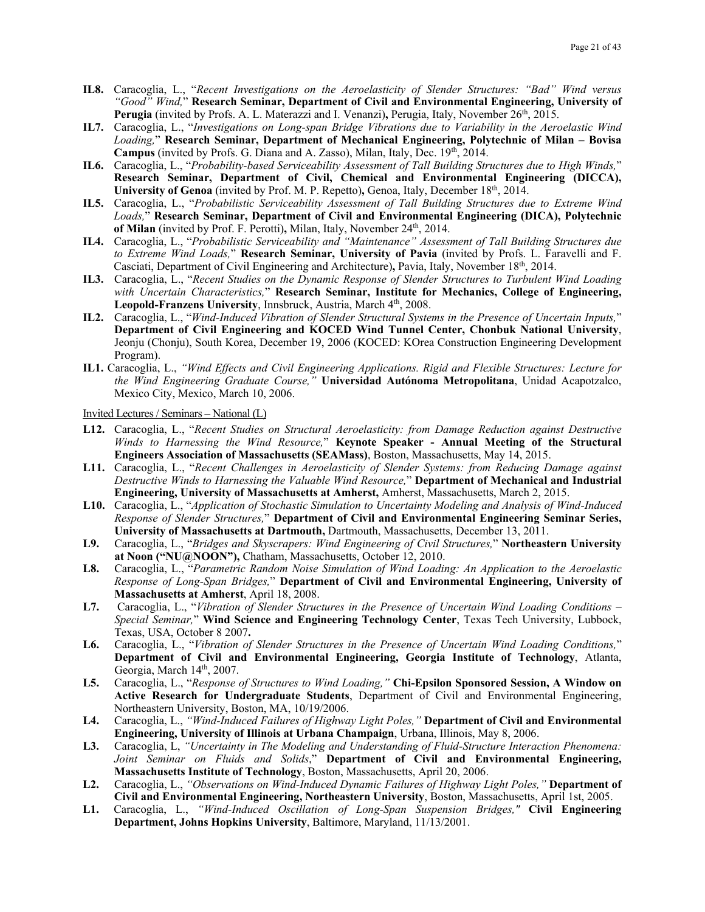- **IL8.** Caracoglia, L., "*Recent Investigations on the Aeroelasticity of Slender Structures: "Bad" Wind versus "Good" Wind,*" **Research Seminar, Department of Civil and Environmental Engineering, University of**  Perugia (invited by Profs. A. L. Materazzi and I. Venanzi), Perugia, Italy, November 26<sup>th</sup>, 2015.
- **IL7.** Caracoglia, L., "*Investigations on Long-span Bridge Vibrations due to Variability in the Aeroelastic Wind Loading,*" **Research Seminar, Department of Mechanical Engineering, Polytechnic of Milan – Bovisa**  Campus (invited by Profs. G. Diana and A. Zasso), Milan, Italy, Dec. 19th, 2014.
- **IL6.** Caracoglia, L., "*Probability-based Serviceability Assessment of Tall Building Structures due to High Winds,*" **Research Seminar, Department of Civil, Chemical and Environmental Engineering (DICCA),**  University of Genoa (invited by Prof. M. P. Repetto), Genoa, Italy, December 18<sup>th</sup>, 2014.
- **IL5.** Caracoglia, L., "*Probabilistic Serviceability Assessment of Tall Building Structures due to Extreme Wind Loads,*" **Research Seminar, Department of Civil and Environmental Engineering (DICA), Polytechnic of Milan** (invited by Prof. F. Perotti)**,** Milan, Italy, November 24th, 2014.
- **IL4.** Caracoglia, L., "*Probabilistic Serviceability and "Maintenance" Assessment of Tall Building Structures due to Extreme Wind Loads,*" **Research Seminar, University of Pavia** (invited by Profs. L. Faravelli and F. Casciati, Department of Civil Engineering and Architecture)**,** Pavia, Italy, November 18th, 2014.
- **IL3.** Caracoglia, L., "*Recent Studies on the Dynamic Response of Slender Structures to Turbulent Wind Loading with Uncertain Characteristics,*" **Research Seminar, Institute for Mechanics, College of Engineering,**  Leopold-Franzens University, Innsbruck, Austria, March 4<sup>th</sup>, 2008.
- **IL2.** Caracoglia, L., "*Wind-Induced Vibration of Slender Structural Systems in the Presence of Uncertain Inputs,*" **Department of Civil Engineering and KOCED Wind Tunnel Center, Chonbuk National University**, Jeonju (Chonju), South Korea, December 19, 2006 (KOCED: KOrea Construction Engineering Development Program).
- **IL1.** Caracoglia, L., *"Wind Effects and Civil Engineering Applications. Rigid and Flexible Structures: Lecture for the Wind Engineering Graduate Course,"* **Universidad Autónoma Metropolitana**, Unidad Acapotzalco, Mexico City, Mexico, March 10, 2006.

Invited Lectures / Seminars – National (L)

- **L12.** Caracoglia, L., "*Recent Studies on Structural Aeroelasticity: from Damage Reduction against Destructive Winds to Harnessing the Wind Resource,*" **Keynote Speaker - Annual Meeting of the Structural Engineers Association of Massachusetts (SEAMass)**, Boston, Massachusetts, May 14, 2015.
- **L11.** Caracoglia, L., "*Recent Challenges in Aeroelasticity of Slender Systems: from Reducing Damage against Destructive Winds to Harnessing the Valuable Wind Resource,*" **Department of Mechanical and Industrial Engineering, University of Massachusetts at Amherst,** Amherst, Massachusetts, March 2, 2015.
- **L10.** Caracoglia, L., "*Application of Stochastic Simulation to Uncertainty Modeling and Analysis of Wind-Induced Response of Slender Structures,*" **Department of Civil and Environmental Engineering Seminar Series, University of Massachusetts at Dartmouth,** Dartmouth, Massachusetts, December 13, 2011.
- **L9.** Caracoglia, L., "*Bridges and Skyscrapers: Wind Engineering of Civil Structures,*" **Northeastern University at Noon ("NU@NOON"),** Chatham, Massachusetts, October 12, 2010.
- **L8.** Caracoglia, L., "*Parametric Random Noise Simulation of Wind Loading: An Application to the Aeroelastic Response of Long-Span Bridges,*" **Department of Civil and Environmental Engineering, University of Massachusetts at Amherst**, April 18, 2008.
- **L7.** Caracoglia, L., "*Vibration of Slender Structures in the Presence of Uncertain Wind Loading Conditions – Special Seminar,*" **Wind Science and Engineering Technology Center**, Texas Tech University, Lubbock, Texas, USA, October 8 2007**.**
- **L6.** Caracoglia, L., "*Vibration of Slender Structures in the Presence of Uncertain Wind Loading Conditions,*" **Department of Civil and Environmental Engineering, Georgia Institute of Technology**, Atlanta, Georgia, March 14<sup>th</sup>, 2007.
- **L5.** Caracoglia, L., "*Response of Structures to Wind Loading,"* **Chi-Epsilon Sponsored Session, A Window on Active Research for Undergraduate Students**, Department of Civil and Environmental Engineering, Northeastern University, Boston, MA, 10/19/2006.
- **L4.** Caracoglia, L., *"Wind-Induced Failures of Highway Light Poles,"* **Department of Civil and Environmental Engineering, University of Illinois at Urbana Champaign**, Urbana, Illinois, May 8, 2006.
- **L3.** Caracoglia, L, *"Uncertainty in The Modeling and Understanding of Fluid-Structure Interaction Phenomena: Joint Seminar on Fluids and Solids*," **Department of Civil and Environmental Engineering, Massachusetts Institute of Technology**, Boston, Massachusetts, April 20, 2006.
- **L2.** Caracoglia, L., *"Observations on Wind-Induced Dynamic Failures of Highway Light Poles,"* **Department of Civil and Environmental Engineering, Northeastern University**, Boston, Massachusetts, April 1st, 2005.
- **L1.** Caracoglia, L., *"Wind-Induced Oscillation of Long-Span Suspension Bridges,"* **Civil Engineering Department, Johns Hopkins University**, Baltimore, Maryland, 11/13/2001.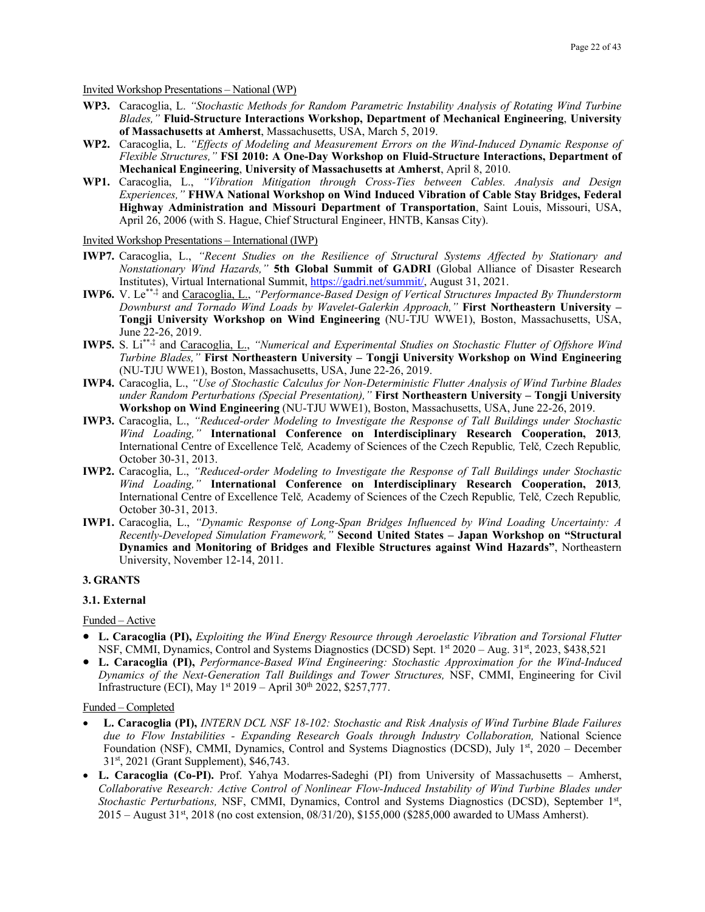Invited Workshop Presentations – National (WP)

- **WP3.** Caracoglia, L. *"Stochastic Methods for Random Parametric Instability Analysis of Rotating Wind Turbine Blades,"* **Fluid-Structure Interactions Workshop, Department of Mechanical Engineering**, **University of Massachusetts at Amherst**, Massachusetts, USA, March 5, 2019.
- **WP2.** Caracoglia, L. *"Effects of Modeling and Measurement Errors on the Wind-Induced Dynamic Response of Flexible Structures,"* **FSI 2010: A One-Day Workshop on Fluid-Structure Interactions, Department of Mechanical Engineering**, **University of Massachusetts at Amherst**, April 8, 2010.
- **WP1.** Caracoglia, L., *"Vibration Mitigation through Cross-Ties between Cables. Analysis and Design Experiences,"* **FHWA National Workshop on Wind Induced Vibration of Cable Stay Bridges, Federal Highway Administration and Missouri Department of Transportation**, Saint Louis, Missouri, USA, April 26, 2006 (with S. Hague, Chief Structural Engineer, HNTB, Kansas City).

#### Invited Workshop Presentations – International (IWP)

- **IWP7.** Caracoglia, L., *"Recent Studies on the Resilience of Structural Systems Affected by Stationary and Nonstationary Wind Hazards,"* **5th Global Summit of GADRI** (Global Alliance of Disaster Research Institutes), Virtual International Summit, [https://gadri.net/summit/,](https://gadri.net/summit/) August 31, 2021.
- **IWP6.** V. Le\*\*,‡ and Caracoglia, L., *"Performance-Based Design of Vertical Structures Impacted By Thunderstorm Downburst and Tornado Wind Loads by Wavelet-Galerkin Approach,"* **First Northeastern University – Tongji University Workshop on Wind Engineering** (NU-TJU WWE1), Boston, Massachusetts, USA, June 22-26, 2019.
- **IWP5.** S. Li\*\*,‡ and Caracoglia, L., *"Numerical and Experimental Studies on Stochastic Flutter of Offshore Wind Turbine Blades,"* **First Northeastern University – Tongji University Workshop on Wind Engineering**  (NU-TJU WWE1), Boston, Massachusetts, USA, June 22-26, 2019.
- **IWP4.** Caracoglia, L., *"Use of Stochastic Calculus for Non-Deterministic Flutter Analysis of Wind Turbine Blades under Random Perturbations (Special Presentation),"* **First Northeastern University – Tongji University Workshop on Wind Engineering** (NU-TJU WWE1), Boston, Massachusetts, USA, June 22-26, 2019.
- **IWP3.** Caracoglia, L., *"Reduced-order Modeling to Investigate the Response of Tall Buildings under Stochastic Wind Loading,"* **International Conference on Interdisciplinary Research Cooperation, 2013***,*  International Centre of Excellence Telč*,* Academy of Sciences of the Czech Republic*,* Telč*,* Czech Republic*,*  October 30-31, 2013.
- **IWP2.** Caracoglia, L., *"Reduced-order Modeling to Investigate the Response of Tall Buildings under Stochastic Wind Loading,"* **International Conference on Interdisciplinary Research Cooperation, 2013***,*  International Centre of Excellence Telč*,* Academy of Sciences of the Czech Republic*,* Telč*,* Czech Republic*,*  October 30-31, 2013.
- **IWP1.** Caracoglia, L., *"Dynamic Response of Long-Span Bridges Influenced by Wind Loading Uncertainty: A Recently-Developed Simulation Framework,"* **Second United States – Japan Workshop on "Structural Dynamics and Monitoring of Bridges and Flexible Structures against Wind Hazards"**, Northeastern University, November 12-14, 2011.

#### **3. GRANTS**

#### **3.1. External**

#### Funded – Active

- **L. Caracoglia (PI),** *Exploiting the Wind Energy Resource through Aeroelastic Vibration and Torsional Flutter* NSF, CMMI, Dynamics, Control and Systems Diagnostics (DCSD) Sept. 1st 2020 – Aug. 31st, 2023, \$438,521
- **L. Caracoglia (PI),** *Performance-Based Wind Engineering: Stochastic Approximation for the Wind-Induced Dynamics of the Next-Generation Tall Buildings and Tower Structures,* NSF, CMMI, Engineering for Civil Infrastructure (ECI), May 1st 2019 – April 30th 2022, \$257,777.

#### Funded – Completed

- **L. Caracoglia (PI),** *INTERN DCL NSF 18-102: Stochastic and Risk Analysis of Wind Turbine Blade Failures due to Flow Instabilities - Expanding Research Goals through Industry Collaboration,* National Science Foundation (NSF), CMMI, Dynamics, Control and Systems Diagnostics (DCSD), July 1<sup>st</sup>, 2020 – December 31st, 2021 (Grant Supplement), \$46,743.
- **L. Caracoglia (Co-PI).** Prof. Yahya Modarres-Sadeghi (PI) from University of Massachusetts Amherst, *Collaborative Research: Active Control of Nonlinear Flow-Induced Instability of Wind Turbine Blades under Stochastic Perturbations,* NSF, CMMI, Dynamics, Control and Systems Diagnostics (DCSD), September 1st,  $2015 -$  August  $31<sup>st</sup>$ ,  $2018$  (no cost extension,  $08/31/20$ ),  $$155,000$  (\$285,000 awarded to UMass Amherst).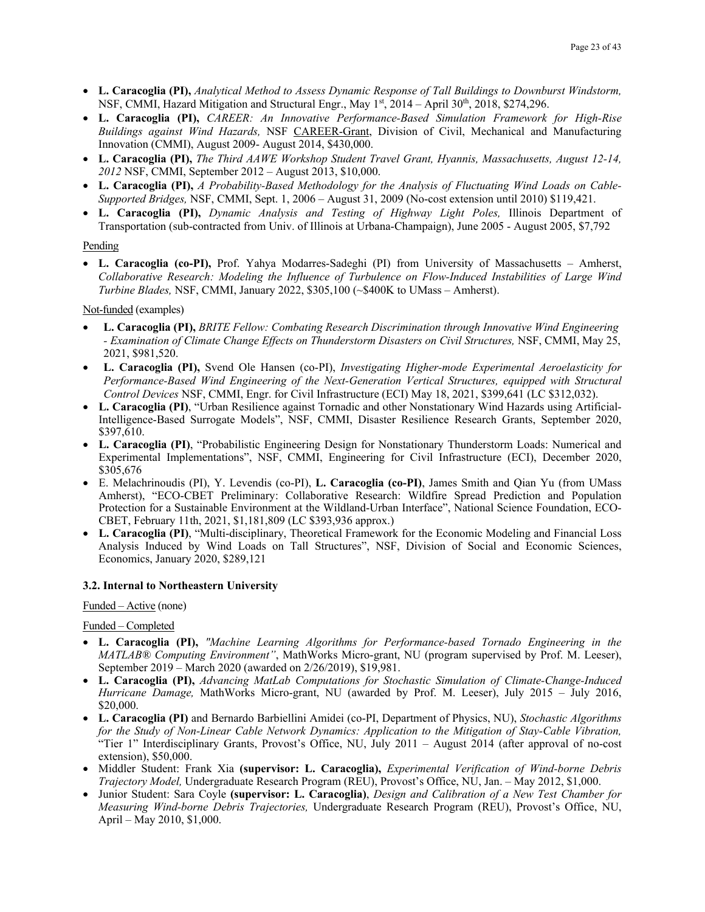- **L. Caracoglia (PI),** *Analytical Method to Assess Dynamic Response of Tall Buildings to Downburst Windstorm,* NSF, CMMI, Hazard Mitigation and Structural Engr., May 1st, 2014 - April 30th, 2018, \$274,296.
- **L. Caracoglia (PI),** *CAREER: An Innovative Performance-Based Simulation Framework for High-Rise Buildings against Wind Hazards,* NSF CAREER-Grant, Division of Civil, Mechanical and Manufacturing Innovation (CMMI), August 2009- August 2014, \$430,000.
- **L. Caracoglia (PI),** *The Third AAWE Workshop Student Travel Grant, Hyannis, Massachusetts, August 12-14, 2012* NSF, CMMI, September 2012 – August 2013, \$10,000.
- **L. Caracoglia (PI),** *A Probability-Based Methodology for the Analysis of Fluctuating Wind Loads on Cable-Supported Bridges,* NSF, CMMI, Sept. 1, 2006 – August 31, 2009 (No-cost extension until 2010) \$119,421.
- **L. Caracoglia (PI),** *Dynamic Analysis and Testing of Highway Light Poles,* Illinois Department of Transportation (sub-contracted from Univ. of Illinois at Urbana-Champaign), June 2005 - August 2005, \$7,792

#### Pending

• **L. Caracoglia (co-PI),** Prof. Yahya Modarres-Sadeghi (PI) from University of Massachusetts – Amherst, *Collaborative Research: Modeling the Influence of Turbulence on Flow-Induced Instabilities of Large Wind Turbine Blades,* NSF, CMMI, January 2022, \$305,100 (~\$400K to UMass – Amherst).

Not-funded (examples)

- **L. Caracoglia (PI),** *BRITE Fellow: Combating Research Discrimination through Innovative Wind Engineering - Examination of Climate Change Effects on Thunderstorm Disasters on Civil Structures,* NSF, CMMI, May 25, 2021, \$981,520.
- **L. Caracoglia (PI),** Svend Ole Hansen (co-PI), *Investigating Higher-mode Experimental Aeroelasticity for Performance-Based Wind Engineering of the Next-Generation Vertical Structures, equipped with Structural Control Devices* NSF, CMMI, Engr. for Civil Infrastructure (ECI) May 18, 2021, \$399,641 (LC \$312,032).
- **L. Caracoglia (PI)**, "Urban Resilience against Tornadic and other Nonstationary Wind Hazards using Artificial-Intelligence-Based Surrogate Models", NSF, CMMI, Disaster Resilience Research Grants, September 2020, \$397,610.
- **L. Caracoglia (PI)**, "Probabilistic Engineering Design for Nonstationary Thunderstorm Loads: Numerical and Experimental Implementations", NSF, CMMI, Engineering for Civil Infrastructure (ECI), December 2020, \$305,676
- E. Melachrinoudis (PI), Y. Levendis (co-PI), **L. Caracoglia (co-PI)**, James Smith and Qian Yu (from UMass Amherst), "ECO-CBET Preliminary: Collaborative Research: Wildfire Spread Prediction and Population Protection for a Sustainable Environment at the Wildland-Urban Interface", National Science Foundation, ECO-CBET, February 11th, 2021, \$1,181,809 (LC \$393,936 approx.)
- **L. Caracoglia (PI)**, "Multi-disciplinary, Theoretical Framework for the Economic Modeling and Financial Loss Analysis Induced by Wind Loads on Tall Structures", NSF, Division of Social and Economic Sciences, Economics, January 2020, \$289,121

## **3.2. Internal to Northeastern University**

#### Funded – Active (none)

Funded – Completed

- **L. Caracoglia (PI),** *"Machine Learning Algorithms for Performance-based Tornado Engineering in the MATLAB® Computing Environment"*, MathWorks Micro-grant, NU (program supervised by Prof. M. Leeser), September 2019 – March 2020 (awarded on 2/26/2019), \$19,981.
- **L. Caracoglia (PI),** *Advancing MatLab Computations for Stochastic Simulation of Climate-Change-Induced Hurricane Damage,* MathWorks Micro-grant, NU (awarded by Prof. M. Leeser), July 2015 – July 2016, \$20,000.
- **L. Caracoglia (PI)** and Bernardo Barbiellini Amidei (co-PI, Department of Physics, NU), *Stochastic Algorithms for the Study of Non-Linear Cable Network Dynamics: Application to the Mitigation of Stay-Cable Vibration,*  "Tier 1" Interdisciplinary Grants, Provost's Office, NU, July 2011 – August 2014 (after approval of no-cost extension), \$50,000.
- Middler Student: Frank Xia **(supervisor: L. Caracoglia),** *Experimental Verification of Wind-borne Debris Trajectory Model,* Undergraduate Research Program (REU), Provost's Office, NU, Jan. – May 2012, \$1,000.
- Junior Student: Sara Coyle **(supervisor: L. Caracoglia)**, *Design and Calibration of a New Test Chamber for Measuring Wind-borne Debris Trajectories,* Undergraduate Research Program (REU), Provost's Office, NU, April – May 2010, \$1,000.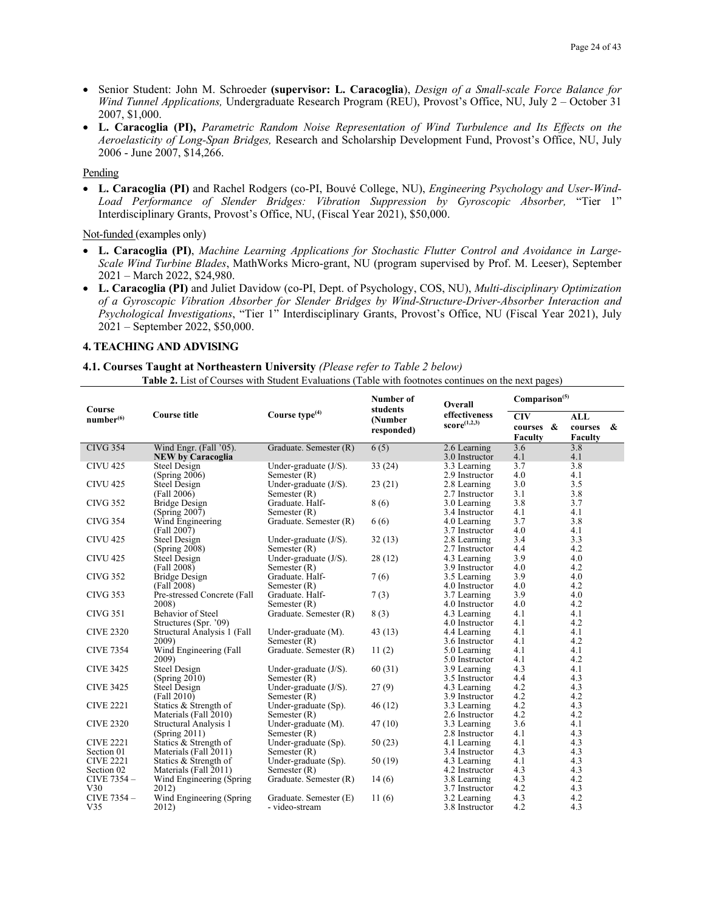- Senior Student: John M. Schroeder **(supervisor: L. Caracoglia**), *Design of a Small-scale Force Balance for Wind Tunnel Applications,* Undergraduate Research Program (REU), Provost's Office, NU, July 2 – October 31 2007, \$1,000.
- **L. Caracoglia (PI),** *Parametric Random Noise Representation of Wind Turbulence and Its Effects on the Aeroelasticity of Long-Span Bridges,* Research and Scholarship Development Fund, Provost's Office, NU, July 2006 - June 2007, \$14,266.

#### Pending

• **L. Caracoglia (PI)** and Rachel Rodgers (co-PI, Bouvé College, NU), *Engineering Psychology and User-Wind-Load Performance of Slender Bridges: Vibration Suppression by Gyroscopic Absorber,* "Tier 1" Interdisciplinary Grants, Provost's Office, NU, (Fiscal Year 2021), \$50,000.

#### Not-funded (examples only)

- **L. Caracoglia (PI)**, *Machine Learning Applications for Stochastic Flutter Control and Avoidance in Large-Scale Wind Turbine Blades*, MathWorks Micro-grant, NU (program supervised by Prof. M. Leeser), September 2021 – March 2022, \$24,980.
- **L. Caracoglia (PI)** and Juliet Davidow (co-PI, Dept. of Psychology, COS, NU), *Multi-disciplinary Optimization of a Gyroscopic Vibration Absorber for Slender Bridges by Wind-Structure-Driver-Absorber Interaction and Psychological Investigations*, "Tier 1" Interdisciplinary Grants, Provost's Office, NU (Fiscal Year 2021), July 2021 – September 2022, \$50,000.

#### **4. TEACHING AND ADVISING**

#### **4.1. Courses Taught at Northeastern University** *(Please refer to Table 2 below)* **Table 2.** List of Courses with Student Evaluations (Table with footnotes continues on the next pages)

|                                 |                                 |                                            | Number of           | Overall                        | Comparison <sup>(5)</sup> |            |                   |
|---------------------------------|---------------------------------|--------------------------------------------|---------------------|--------------------------------|---------------------------|------------|-------------------|
| Course<br>number <sup>(6)</sup> | <b>Course title</b>             | Course type $(4)$                          | students<br>(Number | effectiveness                  | <b>CIV</b>                | <b>ALL</b> |                   |
|                                 |                                 |                                            | responded)          | $score^{(1,2,3)}$              | courses &                 | courses    | $\boldsymbol{\&}$ |
|                                 |                                 |                                            |                     |                                | <b>Faculty</b>            | Faculty    |                   |
| <b>CIVG 354</b>                 | Wind Engr. (Fall '05).          | Graduate. Semester (R)                     | 6(5)                | 2.6 Learning                   | 3.6                       | 3.8        |                   |
|                                 | <b>NEW by Caracoglia</b>        |                                            |                     | 3.0 Instructor                 | 4.1                       | 4.1        |                   |
| <b>CIVU 425</b>                 | <b>Steel Design</b>             | Under-graduate $(J/S)$ .                   | 33(24)              | 3.3 Learning                   | 3.7                       | 3.8        |                   |
|                                 | (Spring 2006)                   | Semester $(R)$                             |                     | 2.9 Instructor                 | 4.0                       | 4.1        |                   |
| <b>CIVU 425</b>                 | Steel Design                    | Under-graduate $(J/S)$ .                   | 23(21)              | 2.8 Learning                   | 3.0                       | 3.5        |                   |
|                                 | (Fall 2006)                     | Semester $(R)$                             |                     | 2.7 Instructor                 | 3.1                       | 3.8        |                   |
| <b>CIVG 352</b>                 | <b>Bridge Design</b>            | Graduate. Half-                            | 8(6)                | 3.0 Learning                   | 3.8                       | 3.7        |                   |
|                                 | (Spring 2007)                   | Semester $(R)$                             |                     | 3.4 Instructor                 | 4.1                       | 4.1        |                   |
| <b>CIVG 354</b>                 | Wind Engineering                | Graduate. Semester (R)                     | 6(6)                | 4.0 Learning                   | 3.7                       | 3.8        |                   |
|                                 | (Fall 2007)                     |                                            |                     | 3.7 Instructor                 | 4.0                       | 4.1        |                   |
| <b>CIVU 425</b>                 | <b>Steel Design</b>             | Under-graduate (J/S).                      | 32(13)              | 2.8 Learning                   | 3.4                       | 3.3        |                   |
|                                 | (Spring 2008)                   | Semester $(R)$                             |                     | 2.7 Instructor                 | 4.4                       | 4.2        |                   |
| <b>CIVU 425</b>                 | Steel Design                    | Under-graduate $(J/S)$ .                   | 28(12)              | 4.3 Learning                   | 3.9                       | 4.0        |                   |
|                                 | (Fall 2008)                     | Semester $(R)$                             |                     | 3.9 Instructor                 | 4.0                       | 4.2        |                   |
| <b>CIVG 352</b>                 | <b>Bridge Design</b>            | Graduate. Half-                            | 7(6)                | 3.5 Learning                   | 3.9                       | 4.0        |                   |
|                                 | (Fall 2008)                     | Semester $(R)$                             |                     | 4.0 Instructor                 | 4.0                       | 4.2        |                   |
| <b>CIVG 353</b>                 | Pre-stressed Concrete (Fall     | Graduate. Half-                            | 7(3)                | 3.7 Learning                   | 3.9                       | 4.0        |                   |
|                                 | 2008)                           | Semester $(R)$                             |                     | 4.0 Instructor                 | 4.0                       | 4.2        |                   |
| <b>CIVG 351</b>                 | Behavior of Steel               | Graduate. Semester (R)                     | 8(3)                | 4.3 Learning                   | 4.1                       | 4.1        |                   |
|                                 | Structures (Spr. '09)           |                                            |                     | 4.0 Instructor                 | 4.1                       | 4.2        |                   |
| <b>CIVE 2320</b>                | Structural Analysis 1 (Fall     | Under-graduate $(M)$ .                     | 43(13)              | 4.4 Learning                   | 4.1                       | 4.1        |                   |
| <b>CIVE 7354</b>                | 2009)<br>Wind Engineering (Fall | Semester $(R)$                             |                     | 3.6 Instructor                 | 4.1<br>4.1                | 4.2<br>4.1 |                   |
|                                 | 2009)                           | Graduate. Semester (R)                     | 11(2)               | 5.0 Learning<br>5.0 Instructor | 4.1                       | 4.2        |                   |
| <b>CIVE 3425</b>                |                                 |                                            |                     |                                | 4.3                       | 4.1        |                   |
|                                 | <b>Steel Design</b>             | Under-graduate $(J/S)$ .                   | 60(31)              | 3.9 Learning                   | 4.4                       | 4.3        |                   |
| <b>CIVE 3425</b>                | (Spring 2010)<br>Steel Design   | Semester $(R)$<br>Under-graduate $(J/S)$ . | 27(9)               | 3.5 Instructor<br>4.3 Learning | 4.2                       | 4.3        |                   |
|                                 | (Fall 2010)                     | Semester $(R)$                             |                     | 3.9 Instructor                 | 4.2                       | 4.2        |                   |
| <b>CIVE 2221</b>                | Statics & Strength of           | Under-graduate (Sp).                       | 46(12)              | 3.3 Learning                   | 4.2                       | 4.3        |                   |
|                                 | Materials (Fall 2010)           | Semester $(R)$                             |                     | 2.6 Instructor                 | 4.2                       | 4.2        |                   |
| <b>CIVE 2320</b>                | Structural Analysis 1           | Under-graduate $(M)$ .                     | 47(10)              | 3.3 Learning                   | 3.6                       | 4.1        |                   |
|                                 | (Spring 2011)                   | Semester $(R)$                             |                     | 2.8 Instructor                 | 4.1                       | 4.3        |                   |
| <b>CIVE 2221</b>                | Statics & Strength of           | Under-graduate (Sp).                       | 50(23)              | 4.1 Learning                   | 4.1                       | 4.3        |                   |
| Section 01                      | Materials (Fall 2011)           | Semester $(R)$                             |                     | 3.4 Instructor                 | 4.3                       | 4.3        |                   |
| <b>CIVE 2221</b>                | Statics & Strength of           | Under-graduate (Sp).                       | 50(19)              | 4.3 Learning                   | 4.1                       | 4.3        |                   |
| Section 02                      | Materials (Fall 2011)           | Semester $(R)$                             |                     | 4.2 Instructor                 | 4.3                       | 4.3        |                   |
| CIVE 7354 -                     | Wind Engineering (Spring)       | Graduate. Semester (R)                     | 14(6)               | 3.8 Learning                   | 4.3                       | 4.2        |                   |
| V30                             | 2012)                           |                                            |                     | 3.7 Instructor                 | 4.2                       | 4.3        |                   |
| CIVE 7354 -                     | Wind Engineering (Spring)       | Graduate. Semester (E)                     | 11(6)               | 3.2 Learning                   | 4.3                       | 4.2        |                   |
| V35                             | 2012)                           | - video-stream                             |                     | 3.8 Instructor                 | 4.2                       | 4.3        |                   |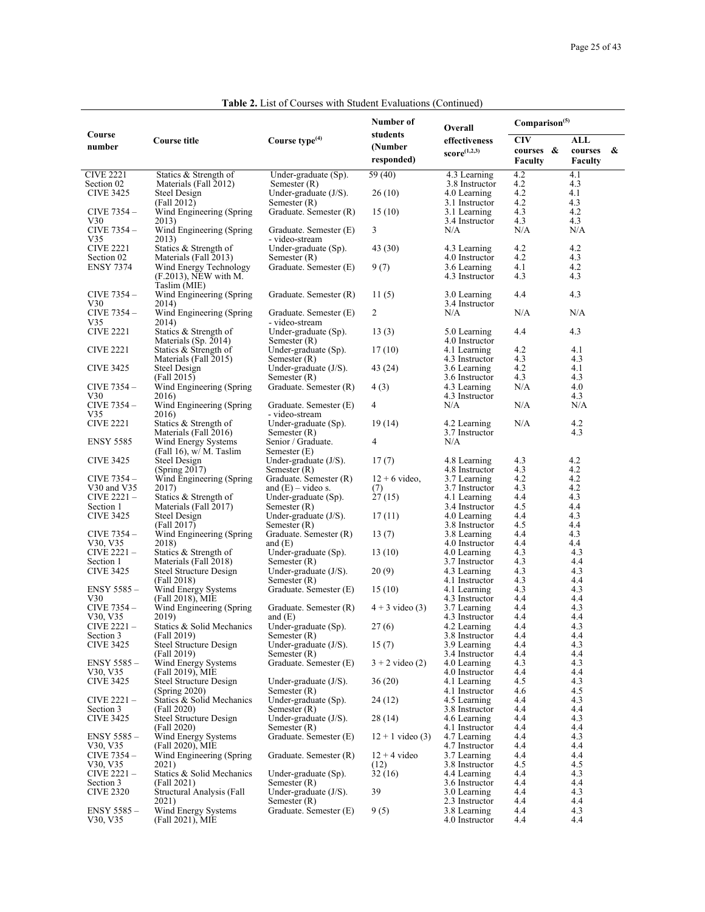## **Table 2.** List of Courses with Student Evaluations (Continued)

|                                |                                                    |                                            | Number of          | Overall                        | Comparison <sup>(5)</sup> |                |
|--------------------------------|----------------------------------------------------|--------------------------------------------|--------------------|--------------------------------|---------------------------|----------------|
| Course                         | Course title                                       | Course type $(4)$                          | students           | effectiveness                  | <b>CIV</b>                | ALL            |
| number                         |                                                    |                                            | (Number            | $score^{(1,2,3)}$              | courses &                 | courses<br>- & |
|                                |                                                    |                                            | responded)         |                                | <b>Faculty</b>            | Faculty        |
| <b>CIVE 2221</b>               | Statics & Strength of                              | Under-graduate (Sp).                       | 59 (40)            | 4.3 Learning                   | 4.2                       | 4.1            |
| Section 02<br><b>CIVE 3425</b> | Materials (Fall 2012)<br>Steel Design              | Semester $(R)$<br>Under-graduate $(J/S)$ . | 26 (10)            | 3.8 Instructor<br>4.0 Learning | 4.2<br>4.2                | 4.3<br>4.1     |
|                                | (Fall 2012)                                        | Semester (R)                               |                    | 3.1 Instructor                 | 4.2                       | 4.3            |
| CIVE 7354 -                    | Wind Engineering (Spring)                          | Graduate. Semester (R)                     | 15 (10)            | 3.1 Learning                   | 4.3                       | 4.2            |
| V30<br>CIVE 7354 -             | 2013)                                              | Graduate. Semester (E)                     |                    | 3.4 Instructor                 | 4.3<br>N/A                | 4.3<br>N/A     |
| V35                            | Wind Engineering (Spring)<br>2013)                 | - video-stream                             | 3                  | N/A                            |                           |                |
| <b>CIVE 2221</b>               | Statics & Strength of                              | Under-graduate (Sp).                       | 43 (30)            | 4.3 Learning                   | 4.2                       | 4.2            |
| Section 02                     | Materials (Fall 2013)                              | Semester (R)                               |                    | 4.0 Instructor                 | 4.2                       | 4.3            |
| <b>ENSY 7374</b>               | Wind Energy Technology<br>$(F.2013)$ , NEW with M. | Graduate. Semester (E)                     | 9(7)               | 3.6 Learning<br>4.3 Instructor | 4.1<br>4.3                | 4.2<br>4.3     |
|                                | Taslim (MIE)                                       |                                            |                    |                                |                           |                |
| CIVE 7354 -                    | Wind Engineering (Spring                           | Graduate. Semester (R)                     | 11(5)              | 3.0 Learning                   | 4.4                       | 4.3            |
| V30<br>CIVE 7354 -             | 2014)<br>Wind Engineering (Spring)                 | Graduate. Semester (E)                     | 2                  | 3.4 Instructor<br>N/A          | N/A                       | N/A            |
| V35                            | 2014)                                              | - video-stream                             |                    |                                |                           |                |
| <b>CIVE 2221</b>               | Statics & Strength of                              | Under-graduate (Sp).                       | 13(3)              | 5.0 Learning                   | 4.4                       | 4.3            |
| <b>CIVE 2221</b>               | Materials (Sp. 2014)<br>Statics & Strength of      | Semester $(R)$<br>Under-graduate (Sp).     | 17(10)             | 4.0 Instructor<br>4.1 Learning | 4.2                       | 4.1            |
|                                | Materials (Fall 2015)                              | Semester $(R)$                             |                    | 4.3 Instructor                 | 4.3                       | 4.3            |
| <b>CIVE 3425</b>               | Steel Design                                       | Under-graduate $(J/S)$ .                   | 43 (24)            | 3.6 Learning                   | 4.2                       | 4.1            |
| CIVE $7354-$                   | (Fall 2015)                                        | Semester $(R)$                             |                    | 3.6 Instructor                 | 4.3                       | 4.3            |
| V30                            | Wind Engineering (Spring)<br>2016)                 | Graduate. Semester (R)                     | 4(3)               | 4.3 Learning<br>4.3 Instructor | N/A                       | 4.0<br>4.3     |
| CIVE 7354 -                    | Wind Engineering (Spring)                          | Graduate. Semester (E)                     | 4                  | N/A                            | N/A                       | N/A            |
| V35                            | 2016)                                              | - video-stream                             |                    |                                |                           |                |
| <b>CIVE 2221</b>               | Statics & Strength of<br>Materials (Fall 2016)     | Under-graduate (Sp).<br>Semester $(R)$     | 19(14)             | 4.2 Learning<br>3.7 Instructor | N/A                       | 4.2<br>4.3     |
| <b>ENSY 5585</b>               | Wind Energy Systems                                | Senior / Graduate.                         | 4                  | N/A                            |                           |                |
|                                | (Fall 16), w/ M. Taslim                            | Semester (E)                               |                    |                                |                           |                |
| <b>CIVE 3425</b>               | Steel Design<br>(Spring 2017)                      | Under-graduate $(J/S)$ .<br>Semester $(R)$ | 17(7)              | 4.8 Learning<br>4.8 Instructor | 4.3<br>4.3                | 4.2<br>4.2     |
| CIVE 7354 -                    | Wind Engineering (Spring)                          | Graduate. Semester (R)                     | $12 + 6$ video,    | 3.7 Learning                   | 4.2                       | 4.2            |
| V30 and V35                    | 2017)                                              | and $(E)$ – video s.                       | (7)                | 3.7 Instructor                 | 4.3                       | 4.2            |
| CIVE 2221 -                    | Statics & Strength of                              | Under-graduate (Sp).                       | 27(15)             | 4.1 Learning                   | 4.4<br>4.5                | 4.3<br>4.4     |
| Section 1<br><b>CIVE 3425</b>  | Materials (Fall 2017)<br>Steel Design              | Semester $(R)$<br>Under-graduate $(J/S)$ . | 17(11)             | 3.4 Instructor<br>4.0 Learning | 4.4                       | 4.3            |
|                                | (Fall 2017)                                        | Semester $(R)$                             |                    | 3.8 Instructor                 | 4.5                       | 4.4            |
| CIVE 7354 -                    | Wind Engineering (Spring)                          | Graduate. Semester (R)                     | 13(7)              | 3.8 Learning                   | 4.4                       | 4.3            |
| V30, V35<br>CIVE 2221-         | 2018)<br>Statics & Strength of                     | and $(E)$<br>Under-graduate (Sp).          | 13 (10)            | 4.0 Instructor<br>4.0 Learning | 4.4<br>4.3                | 4.4<br>4.3     |
| Section 1                      | Materials (Fall 2018)                              | Semester $(R)$                             |                    | 3.7 Instructor                 | 4.3                       | 4.4            |
| <b>CIVE 3425</b>               | Steel Structure Design                             | Under-graduate $(J/S)$ .                   | 20(9)              | 4.3 Learning                   | 4.3                       | 4.3            |
| $ENSY 5585 -$                  | (Fall 2018)<br>Wind Energy Systems                 | Semester $(R)$<br>Graduate. Semester (E)   | 15(10)             | 4.1 Instructor<br>4.1 Learning | 4.3<br>4.3                | 4.4<br>4.3     |
| V30                            | (Fall 2018), MIE                                   |                                            |                    | 4.3 Instructor                 | 4.4                       | 4.4            |
| CIVE 7354 -                    | Wind Engineering (Spring)                          | Graduate. Semester (R)                     | $4 + 3$ video (3)  | 3.7 Learning                   | 4.4                       | 4.3            |
| V30, V35<br>CIVE 2221-         | 2019)<br>Statics & Solid Mechanics                 | and $(E)$<br>Under-graduate (Sp).          | 27(6)              | 4.3 Instructor<br>4.2 Learning | 4.4<br>4.4                | 4.4<br>4.3     |
| Section 3                      | (Fall 2019)                                        | Semester $(R)$                             |                    | 3.8 Instructor                 | 4.4                       | 4.4            |
| <b>CIVE 3425</b>               | Steel Structure Design                             | Under-graduate $(J/S)$ .                   | 15(7)              | 3.9 Learning                   | 4.4                       | 4.3            |
| ENSY 5585 -                    | (Fall 2019)<br>Wind Energy Systems                 | Semester $(R)$<br>Graduate. Semester (E)   | $3 + 2$ video (2)  | 3.4 Instructor<br>4.0 Learning | 4.4<br>4.3                | 4.4<br>4.3     |
| V30, V35                       | (Fall 2019), MIE                                   |                                            |                    | 4.0 Instructor                 | 4.4                       | 4.4            |
| <b>CIVE 3425</b>               | Steel Structure Design                             | Under-graduate $(J/S)$ .                   | 36(20)             | 4.1 Learning                   | 4.5                       | 4.3            |
| CIVE 2221-                     | (Spring 2020)<br>Statics & Solid Mechanics         | Semester $(R)$<br>Under-graduate (Sp).     |                    | 4.1 Instructor                 | 4.6<br>4.4                | 4.5<br>4.3     |
| Section 3                      | (Fall 2020)                                        | Semester $(R)$                             | 24 (12)            | 4.5 Learning<br>3.8 Instructor | 4.4                       | 4.4            |
| <b>CIVE 3425</b>               | Steel Structure Design                             | Under-graduate $(J/S)$ .                   | 28(14)             | 4.6 Learning                   | 4.4                       | 4.3            |
|                                | (Fall 2020)                                        | Semester $(R)$                             |                    | 4.1 Instructor                 | 4.4                       | 4.4            |
| ENSY 5585 -<br>V30, V35        | Wind Energy Systems<br>(Fall 2020), MIE            | Graduate. Semester (E)                     | $12 + 1$ video (3) | 4.7 Learning<br>4.7 Instructor | 4.4<br>4.4                | 4.3<br>4.4     |
| CIVE 7354 -                    | Wind Engineering (Spring                           | Graduate. Semester (R)                     | $12 + 4$ video     | 3.7 Learning                   | 4.4                       | 4.4            |
| V30, V35                       | 2021)                                              |                                            | (12)               | 3.8 Instructor                 | 4.5                       | 4.5            |
| CIVE 2221-<br>Section 3        | Statics & Solid Mechanics<br>(Fall 2021)           | Under-graduate (Sp).<br>Semester $(R)$     | 32(16)             | 4.4 Learning<br>3.6 Instructor | 4.4<br>4.4                | 4.3<br>4.4     |
| <b>CIVE 2320</b>               | Structural Analysis (Fall                          | Under-graduate (J/S).                      | 39                 | 3.0 Learning                   | 4.4                       | 4.3            |
|                                | 2021)                                              | Semester $(R)$                             |                    | 2.3 Instructor                 | 4.4                       | 4.4            |
| ENSY 5585 -<br>V30, V35        | Wind Energy Systems<br>(Fall 2021), MIE            | Graduate. Semester (E)                     | 9(5)               | 3.8 Learning<br>4.0 Instructor | 4.4<br>4.4                | 4.3<br>4.4     |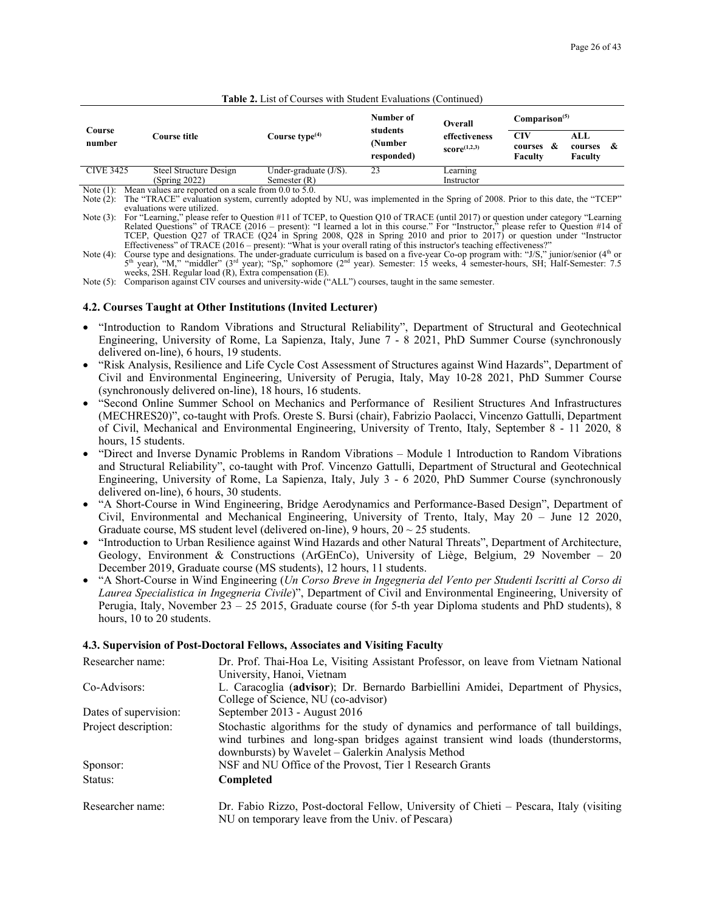#### **Table 2.** List of Courses with Student Evaluations (Continued)

|                  | Course title                            | Course type $(4)$                          | Number of<br>Overall              |                                  | Comparison <sup>(5)</sup>                 |                                 |
|------------------|-----------------------------------------|--------------------------------------------|-----------------------------------|----------------------------------|-------------------------------------------|---------------------------------|
| Course<br>number |                                         |                                            | students<br>(Number<br>responded) | effectiveness<br>score $(1,2,3)$ | CIV<br><b>&amp;</b><br>courses<br>Faculty | ALL<br>-&<br>courses<br>Faculty |
| <b>CIVE 3425</b> | Steel Structure Design<br>(Spring 2022) | Under-graduate $(J/S)$ .<br>Semester $(R)$ | 23                                | Learning<br>Instructor           |                                           |                                 |

Note (1): Mean values are reported on a scale from 0.0 to 5.0.

Note (2): The "TRACE" evaluation system, currently adopted by NU, was implemented in the Spring of 2008. Prior to this date, the "TCEP" evaluations were utilized. Note (3): For "Learning," please refer to Question #11 of TCEP, to Question Q10 of TRACE (until 2017) or question under category "Learning

Related Questions" of TRACE (2016 – present): "I learned a lot in this course." For "Instructor," please refer to Question #14 of<br>TCEP, Question Q27 of TRACE (Q24 in Spring 2008, Q28 in Spring 2010 and prior to 2017) or q

weeks, 2SH. Regular load (R), Extra compensation (E).

Note (5): Comparison against CIV courses and university-wide ("ALL") courses, taught in the same semester.

#### **4.2. Courses Taught at Other Institutions (Invited Lecturer)**

- "Introduction to Random Vibrations and Structural Reliability", Department of Structural and Geotechnical Engineering, University of Rome, La Sapienza, Italy, June 7 - 8 2021, PhD Summer Course (synchronously delivered on-line), 6 hours, 19 students.
- "Risk Analysis, Resilience and Life Cycle Cost Assessment of Structures against Wind Hazards", Department of Civil and Environmental Engineering, University of Perugia, Italy, May 10-28 2021, PhD Summer Course (synchronously delivered on-line), 18 hours, 16 students.
- "Second Online Summer School on Mechanics and Performance of Resilient Structures And Infrastructures (MECHRES20)", co-taught with Profs. Oreste S. Bursi (chair), Fabrizio Paolacci, Vincenzo Gattulli, Department of Civil, Mechanical and Environmental Engineering, University of Trento, Italy, September 8 - 11 2020, 8 hours, 15 students.
- "Direct and Inverse Dynamic Problems in Random Vibrations Module 1 Introduction to Random Vibrations and Structural Reliability", co-taught with Prof. Vincenzo Gattulli, Department of Structural and Geotechnical Engineering, University of Rome, La Sapienza, Italy, July 3 - 6 2020, PhD Summer Course (synchronously delivered on-line), 6 hours, 30 students.
- "A Short-Course in Wind Engineering, Bridge Aerodynamics and Performance-Based Design", Department of Civil, Environmental and Mechanical Engineering, University of Trento, Italy, May 20 – June 12 2020, Graduate course, MS student level (delivered on-line), 9 hours,  $20 \sim 25$  students.
- "Introduction to Urban Resilience against Wind Hazards and other Natural Threats", Department of Architecture, Geology, Environment & Constructions (ArGEnCo), University of Liège, Belgium, 29 November – 20 December 2019, Graduate course (MS students), 12 hours, 11 students.
- "A Short-Course in Wind Engineering (*Un Corso Breve in Ingegneria del Vento per Studenti Iscritti al Corso di Laurea Specialistica in Ingegneria Civile*)", Department of Civil and Environmental Engineering, University of Perugia, Italy, November 23 – 25 2015, Graduate course (for 5-th year Diploma students and PhD students), 8 hours, 10 to 20 students.

#### **4.3. Supervision of Post-Doctoral Fellows, Associates and Visiting Faculty**

| Researcher name:      | Dr. Prof. Thai-Hoa Le, Visiting Assistant Professor, on leave from Vietnam National<br>University, Hanoi, Vietnam                                                                                                           |
|-----------------------|-----------------------------------------------------------------------------------------------------------------------------------------------------------------------------------------------------------------------------|
| Co-Advisors:          | L. Caracoglia (advisor); Dr. Bernardo Barbiellini Amidei, Department of Physics,<br>College of Science, NU (co-advisor)                                                                                                     |
| Dates of supervision: | September 2013 - August 2016                                                                                                                                                                                                |
| Project description:  | Stochastic algorithms for the study of dynamics and performance of tall buildings,<br>wind turbines and long-span bridges against transient wind loads (thunderstorms,<br>downbursts) by Wavelet – Galerkin Analysis Method |
| Sponsor:              | NSF and NU Office of the Provost, Tier 1 Research Grants                                                                                                                                                                    |
| Status:               | Completed                                                                                                                                                                                                                   |
| Researcher name:      | Dr. Fabio Rizzo, Post-doctoral Fellow, University of Chieti – Pescara, Italy (visiting<br>NU on temporary leave from the Univ. of Pescara)                                                                                  |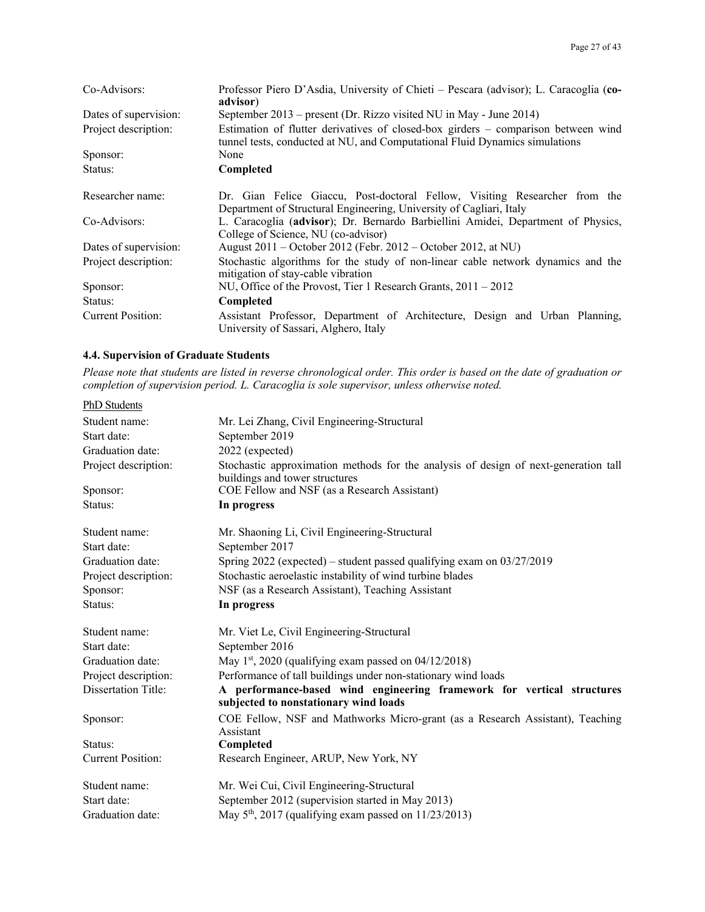| Co-Advisors:             | Professor Piero D'Asdia, University of Chieti – Pescara (advisor); L. Caracoglia (co-<br>advisor)                                                                |
|--------------------------|------------------------------------------------------------------------------------------------------------------------------------------------------------------|
| Dates of supervision:    | September 2013 – present (Dr. Rizzo visited NU in May - June 2014)                                                                                               |
| Project description:     | Estimation of flutter derivatives of closed-box girders – comparison between wind<br>tunnel tests, conducted at NU, and Computational Fluid Dynamics simulations |
| Sponsor:                 | None                                                                                                                                                             |
| Status:                  | Completed                                                                                                                                                        |
| Researcher name:         | Dr. Gian Felice Giaccu, Post-doctoral Fellow, Visiting Researcher from the<br>Department of Structural Engineering, University of Cagliari, Italy                |
| Co-Advisors:             | L. Caracoglia (advisor); Dr. Bernardo Barbiellini Amidei, Department of Physics,<br>College of Science, NU (co-advisor)                                          |
| Dates of supervision:    | August 2011 – October 2012 (Febr. 2012 – October 2012, at NU)                                                                                                    |
| Project description:     | Stochastic algorithms for the study of non-linear cable network dynamics and the<br>mitigation of stay-cable vibration                                           |
| Sponsor:                 | NU, Office of the Provost, Tier 1 Research Grants, $2011 - 2012$                                                                                                 |
| Status:                  | Completed                                                                                                                                                        |
| <b>Current Position:</b> | Assistant Professor, Department of Architecture, Design and Urban Planning,<br>University of Sassari, Alghero, Italy                                             |

## **4.4. Supervision of Graduate Students**

*Please note that students are listed in reverse chronological order. This order is based on the date of graduation or completion of supervision period. L. Caracoglia is sole supervisor, unless otherwise noted.*

| PhD Students               |                                                                                                                       |
|----------------------------|-----------------------------------------------------------------------------------------------------------------------|
| Student name:              | Mr. Lei Zhang, Civil Engineering-Structural                                                                           |
| Start date:                | September 2019                                                                                                        |
| Graduation date:           | 2022 (expected)                                                                                                       |
| Project description:       | Stochastic approximation methods for the analysis of design of next-generation tall<br>buildings and tower structures |
| Sponsor:                   | COE Fellow and NSF (as a Research Assistant)                                                                          |
| Status:                    | In progress                                                                                                           |
| Student name:              | Mr. Shaoning Li, Civil Engineering-Structural                                                                         |
| Start date:                | September 2017                                                                                                        |
| Graduation date:           | Spring $2022$ (expected) – student passed qualifying exam on $03/27/2019$                                             |
| Project description:       | Stochastic aeroelastic instability of wind turbine blades                                                             |
| Sponsor:                   | NSF (as a Research Assistant), Teaching Assistant                                                                     |
| Status:                    | In progress                                                                                                           |
| Student name:              | Mr. Viet Le, Civil Engineering-Structural                                                                             |
| Start date:                | September 2016                                                                                                        |
| Graduation date:           | May 1st, 2020 (qualifying exam passed on $04/12/2018$ )                                                               |
| Project description:       | Performance of tall buildings under non-stationary wind loads                                                         |
| <b>Dissertation Title:</b> | A performance-based wind engineering framework for vertical structures<br>subjected to nonstationary wind loads       |
| Sponsor:                   | COE Fellow, NSF and Mathworks Micro-grant (as a Research Assistant), Teaching<br>Assistant                            |
| Status:                    | Completed                                                                                                             |
| <b>Current Position:</b>   | Research Engineer, ARUP, New York, NY                                                                                 |
| Student name:              | Mr. Wei Cui, Civil Engineering-Structural                                                                             |
| Start date:                | September 2012 (supervision started in May 2013)                                                                      |
| Graduation date:           | May $5th$ , 2017 (qualifying exam passed on 11/23/2013)                                                               |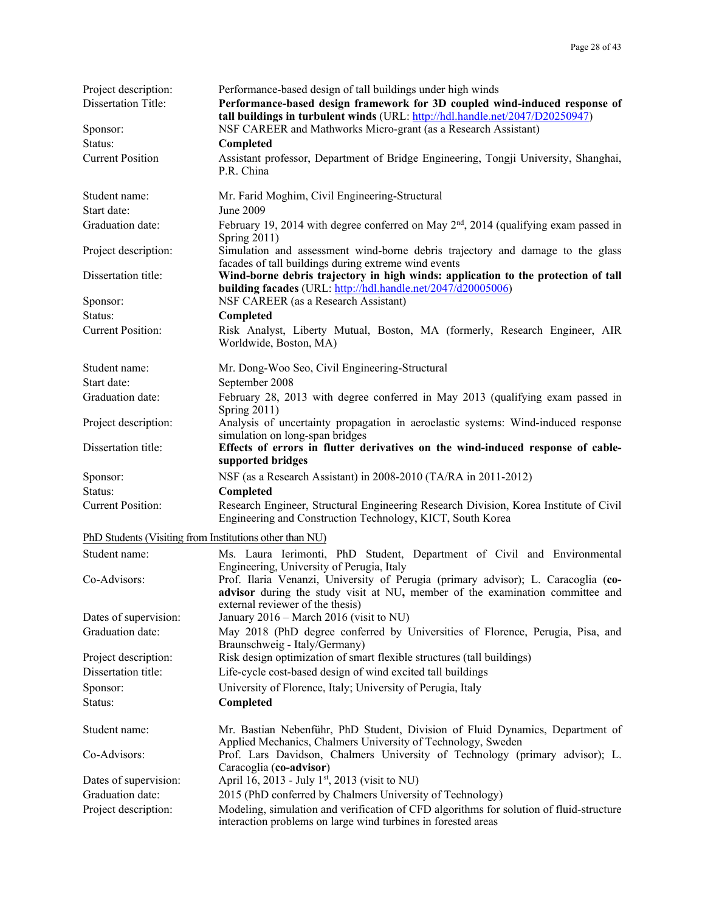| Project description:                                    | Performance-based design of tall buildings under high winds                                                                                                                                            |
|---------------------------------------------------------|--------------------------------------------------------------------------------------------------------------------------------------------------------------------------------------------------------|
| <b>Dissertation Title:</b>                              | Performance-based design framework for 3D coupled wind-induced response of<br>tall buildings in turbulent winds (URL: http://hdl.handle.net/2047/D20250947)                                            |
| Sponsor:                                                | NSF CAREER and Mathworks Micro-grant (as a Research Assistant)                                                                                                                                         |
| Status:                                                 | Completed                                                                                                                                                                                              |
| <b>Current Position</b>                                 | Assistant professor, Department of Bridge Engineering, Tongji University, Shanghai,<br>P.R. China                                                                                                      |
| Student name:                                           | Mr. Farid Moghim, Civil Engineering-Structural                                                                                                                                                         |
| Start date:                                             | June 2009                                                                                                                                                                                              |
| Graduation date:                                        | February 19, 2014 with degree conferred on May 2 <sup>nd</sup> , 2014 (qualifying exam passed in<br>Spring $2011$ )                                                                                    |
| Project description:                                    | Simulation and assessment wind-borne debris trajectory and damage to the glass<br>facades of tall buildings during extreme wind events                                                                 |
| Dissertation title:                                     | Wind-borne debris trajectory in high winds: application to the protection of tall<br>building facades (URL: http://hdl.handle.net/2047/d20005006)                                                      |
| Sponsor:                                                | NSF CAREER (as a Research Assistant)                                                                                                                                                                   |
| Status:                                                 | Completed                                                                                                                                                                                              |
| <b>Current Position:</b>                                | Risk Analyst, Liberty Mutual, Boston, MA (formerly, Research Engineer, AIR<br>Worldwide, Boston, MA)                                                                                                   |
| Student name:                                           | Mr. Dong-Woo Seo, Civil Engineering-Structural                                                                                                                                                         |
| Start date:                                             | September 2008                                                                                                                                                                                         |
| Graduation date:                                        | February 28, 2013 with degree conferred in May 2013 (qualifying exam passed in<br>Spring $2011$ )                                                                                                      |
| Project description:                                    | Analysis of uncertainty propagation in aeroelastic systems: Wind-induced response<br>simulation on long-span bridges                                                                                   |
| Dissertation title:                                     | Effects of errors in flutter derivatives on the wind-induced response of cable-<br>supported bridges                                                                                                   |
| Sponsor:                                                | NSF (as a Research Assistant) in 2008-2010 (TA/RA in 2011-2012)                                                                                                                                        |
| Status:                                                 | Completed                                                                                                                                                                                              |
| <b>Current Position:</b>                                | Research Engineer, Structural Engineering Research Division, Korea Institute of Civil<br>Engineering and Construction Technology, KICT, South Korea                                                    |
| PhD Students (Visiting from Institutions other than NU) |                                                                                                                                                                                                        |
| Student name:                                           | Ms. Laura Ierimonti, PhD Student, Department of Civil and Environmental<br>Engineering, University of Perugia, Italy                                                                                   |
| Co-Advisors:                                            | Prof. Ilaria Venanzi, University of Perugia (primary advisor); L. Caracoglia (co-<br>advisor during the study visit at NU, member of the examination committee and<br>external reviewer of the thesis) |
| Dates of supervision:                                   | January 2016 – March 2016 (visit to NU)                                                                                                                                                                |
| Graduation date:                                        | May 2018 (PhD degree conferred by Universities of Florence, Perugia, Pisa, and<br>Braunschweig - Italy/Germany)                                                                                        |
| Project description:                                    | Risk design optimization of smart flexible structures (tall buildings)                                                                                                                                 |
| Dissertation title:                                     | Life-cycle cost-based design of wind excited tall buildings                                                                                                                                            |
| Sponsor:<br>Status:                                     | University of Florence, Italy; University of Perugia, Italy<br>Completed                                                                                                                               |
| Student name:                                           | Mr. Bastian Nebenführ, PhD Student, Division of Fluid Dynamics, Department of<br>Applied Mechanics, Chalmers University of Technology, Sweden                                                          |
| Co-Advisors:                                            | Prof. Lars Davidson, Chalmers University of Technology (primary advisor); L.<br>Caracoglia (co-advisor)                                                                                                |
| Dates of supervision:                                   | April 16, 2013 - July 1 <sup>st</sup> , 2013 (visit to NU)                                                                                                                                             |
| Graduation date:                                        | 2015 (PhD conferred by Chalmers University of Technology)                                                                                                                                              |
| Project description:                                    | Modeling, simulation and verification of CFD algorithms for solution of fluid-structure<br>interaction problems on large wind turbines in forested areas                                               |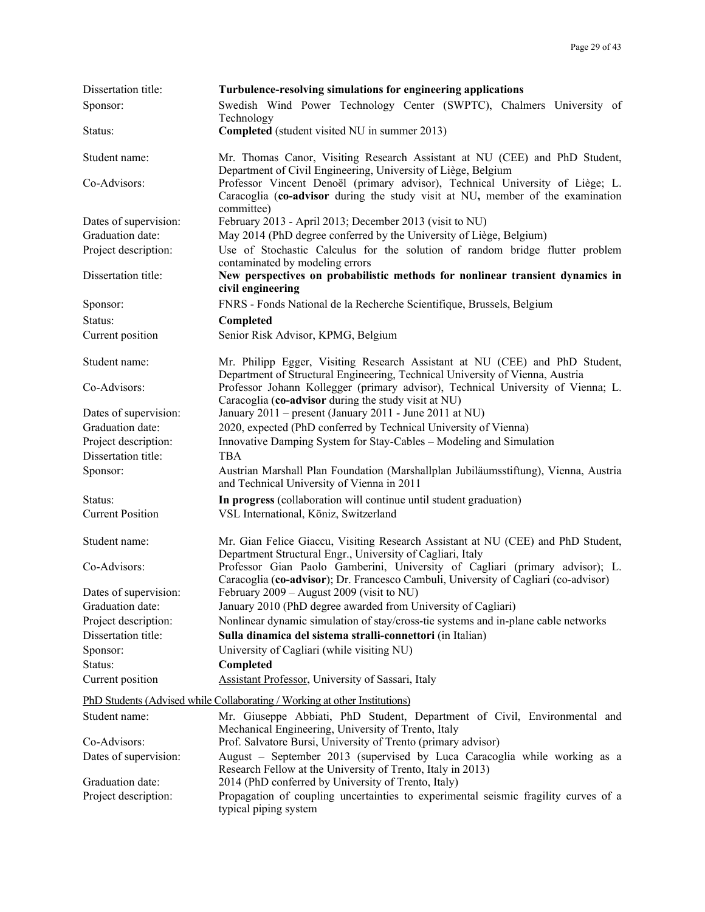| Dissertation title:     | Turbulence-resolving simulations for engineering applications                                                                                                                 |
|-------------------------|-------------------------------------------------------------------------------------------------------------------------------------------------------------------------------|
| Sponsor:                | Swedish Wind Power Technology Center (SWPTC), Chalmers University of<br>Technology                                                                                            |
| Status:                 | Completed (student visited NU in summer 2013)                                                                                                                                 |
| Student name:           | Mr. Thomas Canor, Visiting Research Assistant at NU (CEE) and PhD Student,<br>Department of Civil Engineering, University of Liège, Belgium                                   |
| Co-Advisors:            | Professor Vincent Denoël (primary advisor), Technical University of Liège; L.<br>Caracoglia (co-advisor during the study visit at NU, member of the examination<br>committee) |
| Dates of supervision:   | February 2013 - April 2013; December 2013 (visit to NU)                                                                                                                       |
| Graduation date:        | May 2014 (PhD degree conferred by the University of Liège, Belgium)                                                                                                           |
| Project description:    | Use of Stochastic Calculus for the solution of random bridge flutter problem<br>contaminated by modeling errors                                                               |
| Dissertation title:     | New perspectives on probabilistic methods for nonlinear transient dynamics in<br>civil engineering                                                                            |
| Sponsor:                | FNRS - Fonds National de la Recherche Scientifique, Brussels, Belgium                                                                                                         |
| Status:                 | Completed                                                                                                                                                                     |
| Current position        | Senior Risk Advisor, KPMG, Belgium                                                                                                                                            |
| Student name:           | Mr. Philipp Egger, Visiting Research Assistant at NU (CEE) and PhD Student,<br>Department of Structural Engineering, Technical University of Vienna, Austria                  |
| Co-Advisors:            | Professor Johann Kollegger (primary advisor), Technical University of Vienna; L.<br>Caracoglia (co-advisor during the study visit at NU)                                      |
| Dates of supervision:   | January 2011 – present (January 2011 - June 2011 at NU)                                                                                                                       |
| Graduation date:        | 2020, expected (PhD conferred by Technical University of Vienna)                                                                                                              |
| Project description:    | Innovative Damping System for Stay-Cables – Modeling and Simulation                                                                                                           |
| Dissertation title:     | <b>TBA</b>                                                                                                                                                                    |
| Sponsor:                | Austrian Marshall Plan Foundation (Marshallplan Jubiläumsstiftung), Vienna, Austria<br>and Technical University of Vienna in 2011                                             |
| Status:                 | In progress (collaboration will continue until student graduation)                                                                                                            |
| <b>Current Position</b> | VSL International, Köniz, Switzerland                                                                                                                                         |
| Student name:           | Mr. Gian Felice Giaccu, Visiting Research Assistant at NU (CEE) and PhD Student,<br>Department Structural Engr., University of Cagliari, Italy                                |
| Co-Advisors:            | Professor Gian Paolo Gamberini, University of Cagliari (primary advisor); L.<br>Caracoglia (co-advisor); Dr. Francesco Cambuli, University of Cagliari (co-advisor)           |
| Dates of supervision:   | February 2009 - August 2009 (visit to NU)                                                                                                                                     |
| Graduation date:        | January 2010 (PhD degree awarded from University of Cagliari)                                                                                                                 |
| Project description:    | Nonlinear dynamic simulation of stay/cross-tie systems and in-plane cable networks                                                                                            |
| Dissertation title:     | Sulla dinamica del sistema stralli-connettori (in Italian)                                                                                                                    |
| Sponsor:                | University of Cagliari (while visiting NU)                                                                                                                                    |
| Status:                 | Completed                                                                                                                                                                     |
| Current position        | Assistant Professor, University of Sassari, Italy                                                                                                                             |
|                         | PhD Students (Advised while Collaborating / Working at other Institutions)                                                                                                    |
| Student name:           | Mr. Giuseppe Abbiati, PhD Student, Department of Civil, Environmental and<br>Mechanical Engineering, University of Trento, Italy                                              |
| Co-Advisors:            | Prof. Salvatore Bursi, University of Trento (primary advisor)                                                                                                                 |
| Dates of supervision:   | August - September 2013 (supervised by Luca Caracoglia while working as a<br>Research Fellow at the University of Trento, Italy in 2013)                                      |
| Graduation date:        | 2014 (PhD conferred by University of Trento, Italy)                                                                                                                           |
| Project description:    | Propagation of coupling uncertainties to experimental seismic fragility curves of a<br>typical piping system                                                                  |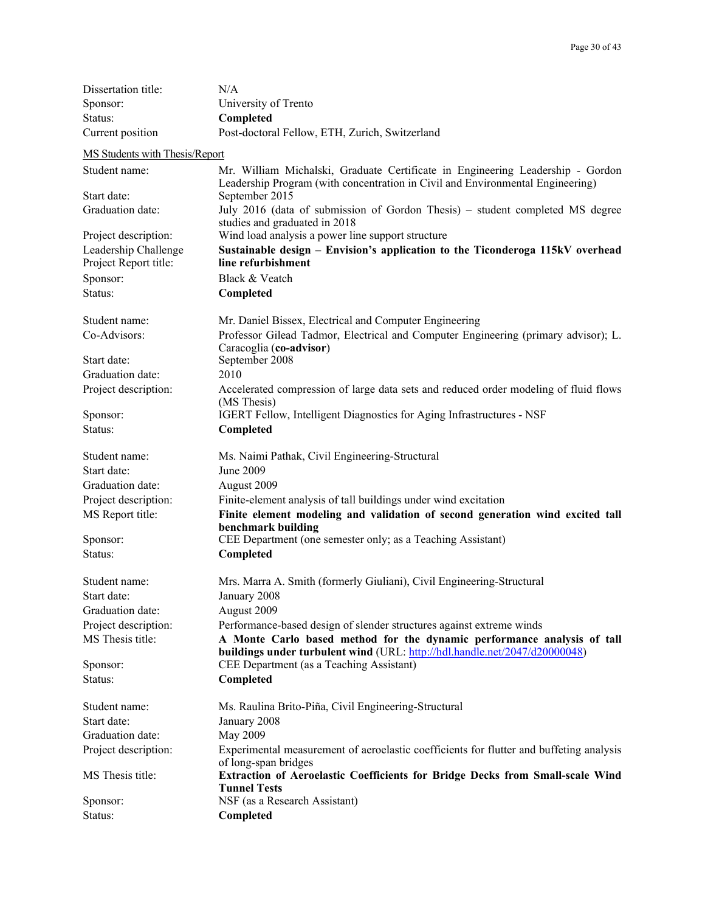| Dissertation title:            | N/A                                                                                                                                                   |
|--------------------------------|-------------------------------------------------------------------------------------------------------------------------------------------------------|
| Sponsor:                       | University of Trento                                                                                                                                  |
| Status:                        | Completed                                                                                                                                             |
| Current position               | Post-doctoral Fellow, ETH, Zurich, Switzerland                                                                                                        |
| MS Students with Thesis/Report |                                                                                                                                                       |
| Student name:                  | Mr. William Michalski, Graduate Certificate in Engineering Leadership - Gordon                                                                        |
|                                | Leadership Program (with concentration in Civil and Environmental Engineering)                                                                        |
| Start date:                    | September 2015                                                                                                                                        |
| Graduation date:               | July 2016 (data of submission of Gordon Thesis) – student completed MS degree<br>studies and graduated in 2018                                        |
| Project description:           | Wind load analysis a power line support structure                                                                                                     |
| Leadership Challenge           | Sustainable design - Envision's application to the Ticonderoga 115kV overhead                                                                         |
| Project Report title:          | line refurbishment                                                                                                                                    |
| Sponsor:                       | Black & Veatch                                                                                                                                        |
| Status:                        | Completed                                                                                                                                             |
| Student name:                  | Mr. Daniel Bissex, Electrical and Computer Engineering                                                                                                |
| Co-Advisors:                   | Professor Gilead Tadmor, Electrical and Computer Engineering (primary advisor); L.<br>Caracoglia (co-advisor)                                         |
| Start date:                    | September 2008                                                                                                                                        |
| Graduation date:               | 2010                                                                                                                                                  |
| Project description:           | Accelerated compression of large data sets and reduced order modeling of fluid flows                                                                  |
|                                | (MS Thesis)                                                                                                                                           |
| Sponsor:                       | IGERT Fellow, Intelligent Diagnostics for Aging Infrastructures - NSF                                                                                 |
| Status:                        | Completed                                                                                                                                             |
| Student name:                  | Ms. Naimi Pathak, Civil Engineering-Structural                                                                                                        |
| Start date:                    | June 2009                                                                                                                                             |
| Graduation date:               | August 2009                                                                                                                                           |
| Project description:           | Finite-element analysis of tall buildings under wind excitation                                                                                       |
| MS Report title:               | Finite element modeling and validation of second generation wind excited tall<br>benchmark building                                                   |
| Sponsor:                       | CEE Department (one semester only; as a Teaching Assistant)                                                                                           |
| Status:                        | Completed                                                                                                                                             |
| Student name:                  | Mrs. Marra A. Smith (formerly Giuliani), Civil Engineering-Structural                                                                                 |
| Start date:                    | January 2008                                                                                                                                          |
| Graduation date:               | August 2009                                                                                                                                           |
| Project description:           | Performance-based design of slender structures against extreme winds                                                                                  |
| MS Thesis title:               | A Monte Carlo based method for the dynamic performance analysis of tall<br>buildings under turbulent wind (URL: http://hdl.handle.net/2047/d20000048) |
| Sponsor:                       | CEE Department (as a Teaching Assistant)                                                                                                              |
| Status:                        | Completed                                                                                                                                             |
| Student name:                  | Ms. Raulina Brito-Piña, Civil Engineering-Structural                                                                                                  |
| Start date:                    | January 2008                                                                                                                                          |
| Graduation date:               | May 2009                                                                                                                                              |
| Project description:           | Experimental measurement of aeroelastic coefficients for flutter and buffeting analysis                                                               |
| MS Thesis title:               | of long-span bridges<br>Extraction of Aeroelastic Coefficients for Bridge Decks from Small-scale Wind                                                 |
| Sponsor:                       | <b>Tunnel Tests</b><br>NSF (as a Research Assistant)                                                                                                  |
| Status:                        | Completed                                                                                                                                             |
|                                |                                                                                                                                                       |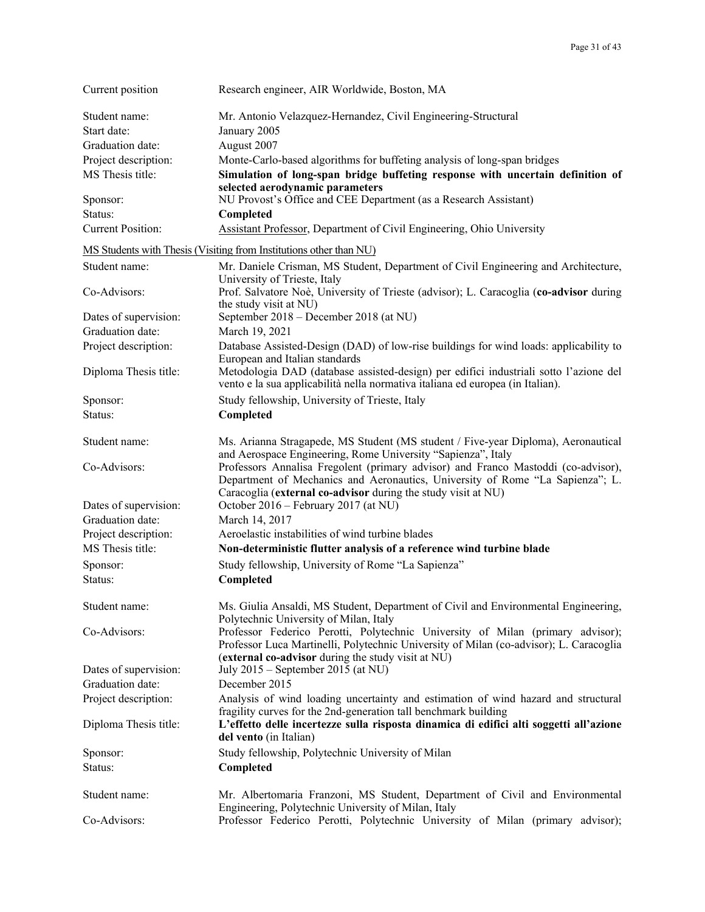| Current position         | Research engineer, AIR Worldwide, Boston, MA                                                                                                                                                                                        |
|--------------------------|-------------------------------------------------------------------------------------------------------------------------------------------------------------------------------------------------------------------------------------|
| Student name:            | Mr. Antonio Velazquez-Hernandez, Civil Engineering-Structural                                                                                                                                                                       |
| Start date:              | January 2005                                                                                                                                                                                                                        |
| Graduation date:         | August 2007                                                                                                                                                                                                                         |
| Project description:     | Monte-Carlo-based algorithms for buffeting analysis of long-span bridges                                                                                                                                                            |
| MS Thesis title:         | Simulation of long-span bridge buffeting response with uncertain definition of<br>selected aerodynamic parameters                                                                                                                   |
| Sponsor:                 | NU Provost's Office and CEE Department (as a Research Assistant)                                                                                                                                                                    |
| Status:                  | Completed                                                                                                                                                                                                                           |
| <b>Current Position:</b> | Assistant Professor, Department of Civil Engineering, Ohio University                                                                                                                                                               |
|                          | MS Students with Thesis (Visiting from Institutions other than NU)                                                                                                                                                                  |
| Student name:            | Mr. Daniele Crisman, MS Student, Department of Civil Engineering and Architecture,<br>University of Trieste, Italy                                                                                                                  |
| Co-Advisors:             | Prof. Salvatore Noè, University of Trieste (advisor); L. Caracoglia (co-advisor during<br>the study visit at NU)                                                                                                                    |
| Dates of supervision:    | September 2018 – December 2018 (at NU)                                                                                                                                                                                              |
| Graduation date:         | March 19, 2021                                                                                                                                                                                                                      |
| Project description:     | Database Assisted-Design (DAD) of low-rise buildings for wind loads: applicability to<br>European and Italian standards                                                                                                             |
| Diploma Thesis title:    | Metodologia DAD (database assisted-design) per edifici industriali sotto l'azione del<br>vento e la sua applicabilità nella normativa italiana ed europea (in Italian).                                                             |
| Sponsor:                 | Study fellowship, University of Trieste, Italy                                                                                                                                                                                      |
| Status:                  | Completed                                                                                                                                                                                                                           |
| Student name:            | Ms. Arianna Stragapede, MS Student (MS student / Five-year Diploma), Aeronautical<br>and Aerospace Engineering, Rome University "Sapienza", Italy                                                                                   |
| Co-Advisors:             | Professors Annalisa Fregolent (primary advisor) and Franco Mastoddi (co-advisor),<br>Department of Mechanics and Aeronautics, University of Rome "La Sapienza"; L.<br>Caracoglia (external co-advisor during the study visit at NU) |
| Dates of supervision:    | October 2016 – February 2017 (at NU)                                                                                                                                                                                                |
| Graduation date:         | March 14, 2017                                                                                                                                                                                                                      |
| Project description:     | Aeroelastic instabilities of wind turbine blades                                                                                                                                                                                    |
| MS Thesis title:         | Non-deterministic flutter analysis of a reference wind turbine blade                                                                                                                                                                |
| Sponsor:                 | Study fellowship, University of Rome "La Sapienza"                                                                                                                                                                                  |
| Status:                  | Completed                                                                                                                                                                                                                           |
| Student name:            | Ms. Giulia Ansaldi, MS Student, Department of Civil and Environmental Engineering,<br>Polytechnic University of Milan, Italy                                                                                                        |
| Co-Advisors:             | Professor Federico Perotti, Polytechnic University of Milan (primary advisor);<br>Professor Luca Martinelli, Polytechnic University of Milan (co-advisor); L. Caracoglia<br>(external co-advisor during the study visit at NU)      |
| Dates of supervision:    | July $2015$ – September 2015 (at NU)                                                                                                                                                                                                |
| Graduation date:         | December 2015                                                                                                                                                                                                                       |
| Project description:     | Analysis of wind loading uncertainty and estimation of wind hazard and structural                                                                                                                                                   |
| Diploma Thesis title:    | fragility curves for the 2nd-generation tall benchmark building<br>L'effetto delle incertezze sulla risposta dinamica di edifici alti soggetti all'azione<br>del vento (in Italian)                                                 |
| Sponsor:                 | Study fellowship, Polytechnic University of Milan                                                                                                                                                                                   |
| Status:                  | Completed                                                                                                                                                                                                                           |
| Student name:            | Mr. Albertomaria Franzoni, MS Student, Department of Civil and Environmental<br>Engineering, Polytechnic University of Milan, Italy                                                                                                 |
| Co-Advisors:             | Professor Federico Perotti, Polytechnic University of Milan (primary advisor);                                                                                                                                                      |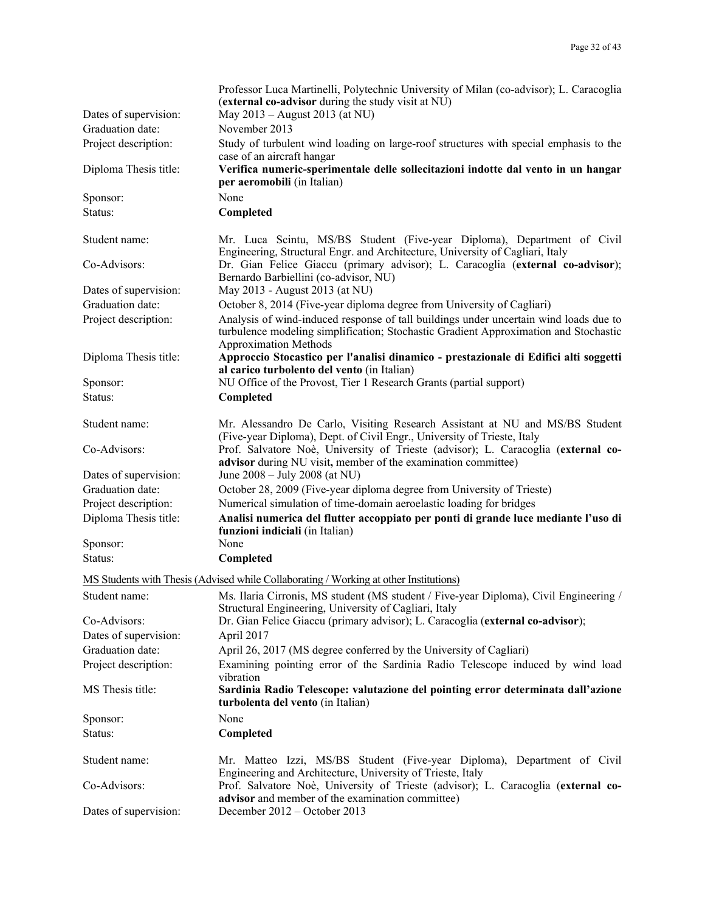|                       | Professor Luca Martinelli, Polytechnic University of Milan (co-advisor); L. Caracoglia<br>(external co-advisor during the study visit at NU)                                                                  |
|-----------------------|---------------------------------------------------------------------------------------------------------------------------------------------------------------------------------------------------------------|
| Dates of supervision: | May 2013 - August 2013 (at NU)                                                                                                                                                                                |
| Graduation date:      | November 2013                                                                                                                                                                                                 |
| Project description:  | Study of turbulent wind loading on large-roof structures with special emphasis to the                                                                                                                         |
| Diploma Thesis title: | case of an aircraft hangar<br>Verifica numeric-sperimentale delle sollecitazioni indotte dal vento in un hangar<br>per aeromobili (in Italian)                                                                |
| Sponsor:              | None                                                                                                                                                                                                          |
| Status:               | Completed                                                                                                                                                                                                     |
| Student name:         | Mr. Luca Scintu, MS/BS Student (Five-year Diploma), Department of Civil<br>Engineering, Structural Engr. and Architecture, University of Cagliari, Italy                                                      |
| Co-Advisors:          | Dr. Gian Felice Giaccu (primary advisor); L. Caracoglia (external co-advisor);<br>Bernardo Barbiellini (co-advisor, NU)                                                                                       |
| Dates of supervision: | May 2013 - August 2013 (at NU)                                                                                                                                                                                |
| Graduation date:      | October 8, 2014 (Five-year diploma degree from University of Cagliari)                                                                                                                                        |
| Project description:  | Analysis of wind-induced response of tall buildings under uncertain wind loads due to<br>turbulence modeling simplification; Stochastic Gradient Approximation and Stochastic<br><b>Approximation Methods</b> |
| Diploma Thesis title: | Approccio Stocastico per l'analisi dinamico - prestazionale di Edifici alti soggetti<br>al carico turbolento del vento (in Italian)                                                                           |
| Sponsor:              | NU Office of the Provost, Tier 1 Research Grants (partial support)                                                                                                                                            |
| Status:               | Completed                                                                                                                                                                                                     |
| Student name:         | Mr. Alessandro De Carlo, Visiting Research Assistant at NU and MS/BS Student<br>(Five-year Diploma), Dept. of Civil Engr., University of Trieste, Italy                                                       |
| Co-Advisors:          | Prof. Salvatore Noè, University of Trieste (advisor); L. Caracoglia (external co-<br>advisor during NU visit, member of the examination committee)                                                            |
| Dates of supervision: | June 2008 – July 2008 (at NU)                                                                                                                                                                                 |
| Graduation date:      | October 28, 2009 (Five-year diploma degree from University of Trieste)                                                                                                                                        |
| Project description:  | Numerical simulation of time-domain aeroelastic loading for bridges                                                                                                                                           |
| Diploma Thesis title: | Analisi numerica del flutter accoppiato per ponti di grande luce mediante l'uso di<br>funzioni indiciali (in Italian)                                                                                         |
| Sponsor:              | None                                                                                                                                                                                                          |
| Status:               | Completed                                                                                                                                                                                                     |
|                       | MS Students with Thesis (Advised while Collaborating / Working at other Institutions)                                                                                                                         |
| Student name:         | Ms. Ilaria Cirronis, MS student (MS student / Five-year Diploma), Civil Engineering /<br>Structural Engineering, University of Cagliari, Italy                                                                |
| Co-Advisors:          | Dr. Gian Felice Giaccu (primary advisor); L. Caracoglia (external co-advisor);                                                                                                                                |
| Dates of supervision: | April 2017                                                                                                                                                                                                    |
| Graduation date:      | April 26, 2017 (MS degree conferred by the University of Cagliari)                                                                                                                                            |
| Project description:  | Examining pointing error of the Sardinia Radio Telescope induced by wind load                                                                                                                                 |
| MS Thesis title:      | vibration<br>Sardinia Radio Telescope: valutazione del pointing error determinata dall'azione<br>turbolenta del vento (in Italian)                                                                            |
| Sponsor:              | None                                                                                                                                                                                                          |
| Status:               | Completed                                                                                                                                                                                                     |
| Student name:         | Mr. Matteo Izzi, MS/BS Student (Five-year Diploma), Department of Civil<br>Engineering and Architecture, University of Trieste, Italy                                                                         |
| Co-Advisors:          | Prof. Salvatore Noè, University of Trieste (advisor); L. Caracoglia (external co-<br>advisor and member of the examination committee)                                                                         |
| Dates of supervision: | December $2012 -$ October 2013                                                                                                                                                                                |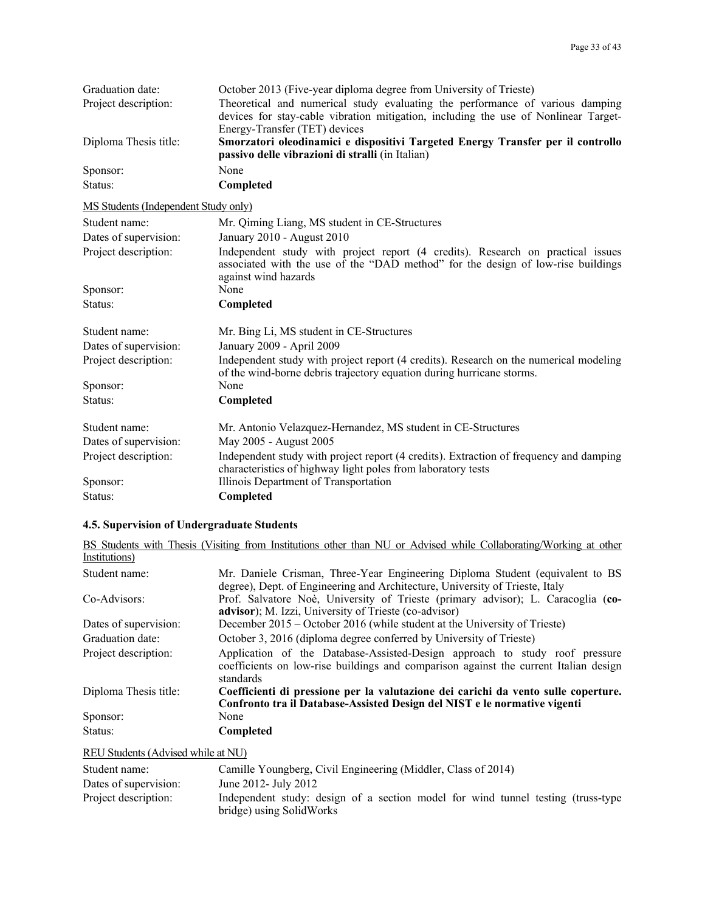| Graduation date:<br>Project description: | October 2013 (Five-year diploma degree from University of Trieste)<br>Theoretical and numerical study evaluating the performance of various damping                                         |
|------------------------------------------|---------------------------------------------------------------------------------------------------------------------------------------------------------------------------------------------|
|                                          | devices for stay-cable vibration mitigation, including the use of Nonlinear Target-                                                                                                         |
|                                          | Energy-Transfer (TET) devices                                                                                                                                                               |
| Diploma Thesis title:                    | Smorzatori oleodinamici e dispositivi Targeted Energy Transfer per il controllo<br>passivo delle vibrazioni di stralli (in Italian)                                                         |
| Sponsor:                                 | None                                                                                                                                                                                        |
| Status:                                  | Completed                                                                                                                                                                                   |
| MS Students (Independent Study only)     |                                                                                                                                                                                             |
| Student name:                            | Mr. Qiming Liang, MS student in CE-Structures                                                                                                                                               |
| Dates of supervision:                    | January 2010 - August 2010                                                                                                                                                                  |
| Project description:                     | Independent study with project report (4 credits). Research on practical issues<br>associated with the use of the "DAD method" for the design of low-rise buildings<br>against wind hazards |
| Sponsor:                                 | None                                                                                                                                                                                        |
| Status:                                  | Completed                                                                                                                                                                                   |
| Student name:                            | Mr. Bing Li, MS student in CE-Structures                                                                                                                                                    |
| Dates of supervision:                    | January 2009 - April 2009                                                                                                                                                                   |
| Project description:                     | Independent study with project report (4 credits). Research on the numerical modeling<br>of the wind-borne debris trajectory equation during hurricane storms.                              |
| Sponsor:                                 | None                                                                                                                                                                                        |
| Status:                                  | Completed                                                                                                                                                                                   |
| Student name:                            | Mr. Antonio Velazquez-Hernandez, MS student in CE-Structures                                                                                                                                |
| Dates of supervision:                    | May 2005 - August 2005                                                                                                                                                                      |
| Project description:                     | Independent study with project report (4 credits). Extraction of frequency and damping<br>characteristics of highway light poles from laboratory tests                                      |
| Sponsor:                                 | Illinois Department of Transportation                                                                                                                                                       |
| Status:                                  | Completed                                                                                                                                                                                   |

# **4.5. Supervision of Undergraduate Students**

|                       | BS Students with Thesis (Visiting from Institutions other than NU or Advised while Collaborating/Working at other                                                                |
|-----------------------|----------------------------------------------------------------------------------------------------------------------------------------------------------------------------------|
| Institutions)         |                                                                                                                                                                                  |
| Student name:         | Mr. Daniele Crisman, Three-Year Engineering Diploma Student (equivalent to BS                                                                                                    |
|                       | degree), Dept. of Engineering and Architecture, University of Trieste, Italy                                                                                                     |
| Co-Advisors:          | Prof. Salvatore Noè, University of Trieste (primary advisor); L. Caracoglia (co-                                                                                                 |
|                       | <b>advisor</b> ); M. Izzi, University of Trieste (co-advisor)                                                                                                                    |
| Dates of supervision: | December 2015 – October 2016 (while student at the University of Trieste)                                                                                                        |
| Graduation date:      | October 3, 2016 (diploma degree conferred by University of Trieste)                                                                                                              |
| Project description:  | Application of the Database-Assisted-Design approach to study roof pressure<br>coefficients on low-rise buildings and comparison against the current Italian design<br>standards |
| Diploma Thesis title: | Coefficienti di pressione per la valutazione dei carichi da vento sulle coperture.                                                                                               |
|                       | Confronto tra il Database-Assisted Design del NIST e le normative vigenti                                                                                                        |
| Sponsor:              | None                                                                                                                                                                             |
| Status:               | Completed                                                                                                                                                                        |
|                       |                                                                                                                                                                                  |

## REU Students (Advised while at NU)

| Student name:         | Camille Youngberg, Civil Engineering (Middler, Class of 2014)                                                 |
|-----------------------|---------------------------------------------------------------------------------------------------------------|
| Dates of supervision: | June 2012- July 2012                                                                                          |
| Project description:  | Independent study: design of a section model for wind tunnel testing (truss-type)<br>bridge) using SolidWorks |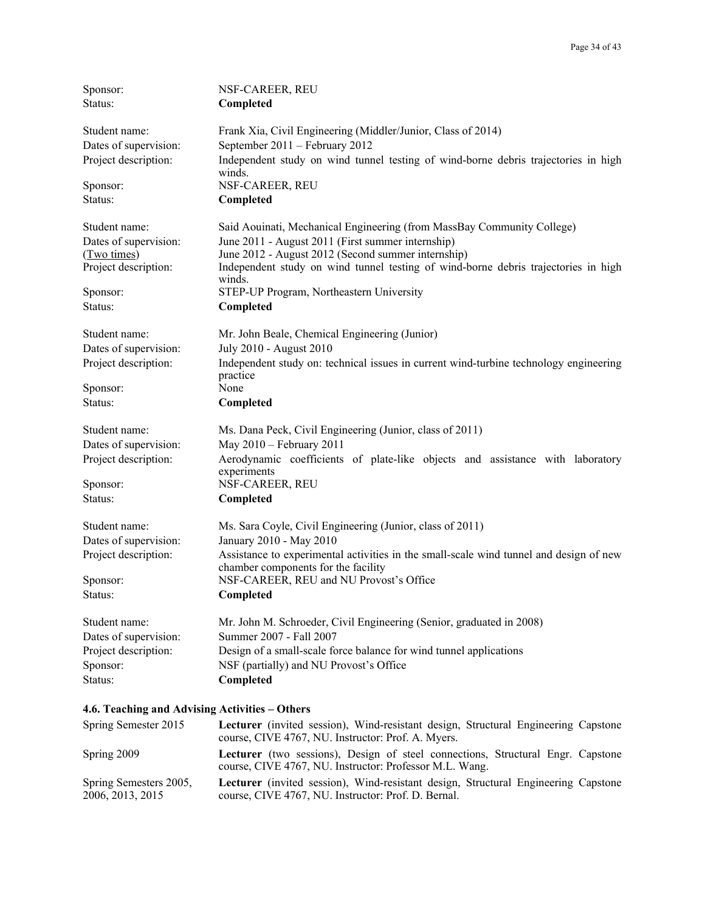| Sponsor:              | NSF-CAREER, REU                                                                                                               |
|-----------------------|-------------------------------------------------------------------------------------------------------------------------------|
| Status:               | Completed                                                                                                                     |
| Student name:         | Frank Xia, Civil Engineering (Middler/Junior, Class of 2014)                                                                  |
| Dates of supervision: | September 2011 - February 2012                                                                                                |
| Project description:  | Independent study on wind tunnel testing of wind-borne debris trajectories in high<br>winds.                                  |
| Sponsor:              | NSF-CAREER, REU                                                                                                               |
| Status:               | Completed                                                                                                                     |
| Student name:         | Said Aouinati, Mechanical Engineering (from MassBay Community College)                                                        |
| Dates of supervision: | June 2011 - August 2011 (First summer internship)                                                                             |
| (Two times)           | June 2012 - August 2012 (Second summer internship)                                                                            |
| Project description:  | Independent study on wind tunnel testing of wind-borne debris trajectories in high<br>winds.                                  |
| Sponsor:              | STEP-UP Program, Northeastern University                                                                                      |
| Status:               | Completed                                                                                                                     |
| Student name:         | Mr. John Beale, Chemical Engineering (Junior)                                                                                 |
| Dates of supervision: | July 2010 - August 2010                                                                                                       |
| Project description:  | Independent study on: technical issues in current wind-turbine technology engineering<br>practice                             |
| Sponsor:              | None                                                                                                                          |
| Status:               | Completed                                                                                                                     |
| Student name:         | Ms. Dana Peck, Civil Engineering (Junior, class of 2011)                                                                      |
| Dates of supervision: | May 2010 - February 2011                                                                                                      |
| Project description:  | Aerodynamic coefficients of plate-like objects and assistance with laboratory<br>experiments                                  |
| Sponsor:              | NSF-CAREER, REU                                                                                                               |
| Status:               | Completed                                                                                                                     |
| Student name:         | Ms. Sara Coyle, Civil Engineering (Junior, class of 2011)                                                                     |
| Dates of supervision: | January 2010 - May 2010                                                                                                       |
| Project description:  | Assistance to experimental activities in the small-scale wind tunnel and design of new<br>chamber components for the facility |
| Sponsor:              | NSF-CAREER, REU and NU Provost's Office                                                                                       |
| Status:               | Completed                                                                                                                     |
| Student name:         | Mr. John M. Schroeder, Civil Engineering (Senior, graduated in 2008)                                                          |
| Dates of supervision: | Summer 2007 - Fall 2007                                                                                                       |
| Project description:  | Design of a small-scale force balance for wind tunnel applications                                                            |
| Sponsor:              | NSF (partially) and NU Provost's Office                                                                                       |
| Status:               | Completed                                                                                                                     |
|                       |                                                                                                                               |

## **4.6. Teaching and Advising Activities – Others**

| Spring Semester 2015                       | <b>Lecturer</b> (invited session), Wind-resistant design, Structural Engineering Capstone<br>course, CIVE 4767, NU. Instructor: Prof. A. Myers. |
|--------------------------------------------|-------------------------------------------------------------------------------------------------------------------------------------------------|
| Spring 2009                                | Lecturer (two sessions), Design of steel connections, Structural Engr. Capstone<br>course, CIVE 4767, NU. Instructor: Professor M.L. Wang.      |
| Spring Semesters 2005,<br>2006, 2013, 2015 | Lecturer (invited session), Wind-resistant design, Structural Engineering Capstone<br>course, CIVE 4767, NU. Instructor: Prof. D. Bernal.       |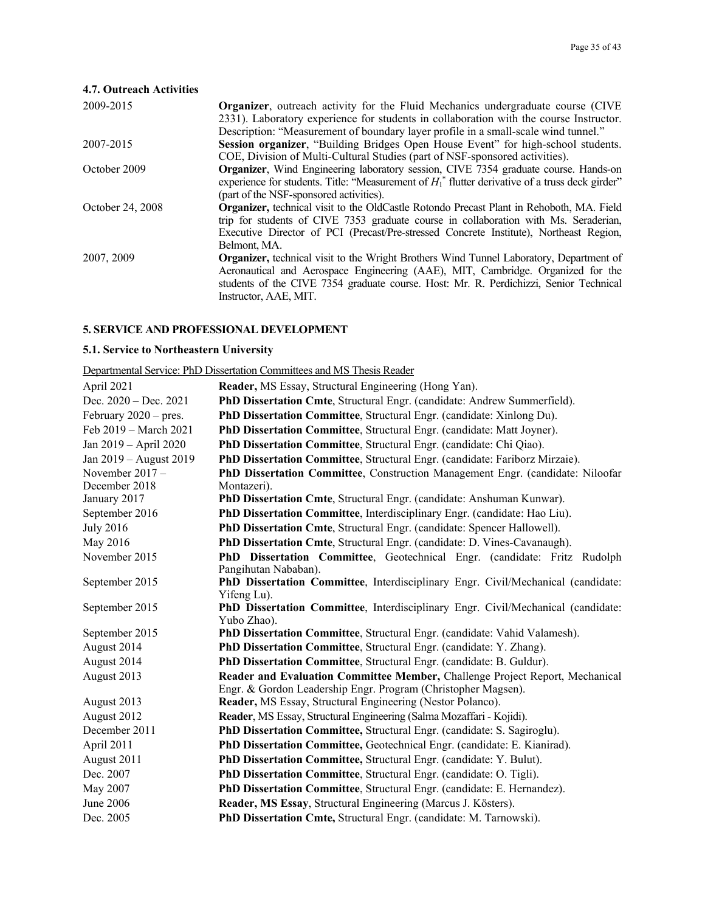## **4.7. Outreach Activities**

| 2009-2015        | <b>Organizer</b> , outreach activity for the Fluid Mechanics undergraduate course (CIVE)           |
|------------------|----------------------------------------------------------------------------------------------------|
|                  | 2331). Laboratory experience for students in collaboration with the course Instructor.             |
|                  | Description: "Measurement of boundary layer profile in a small-scale wind tunnel."                 |
| 2007-2015        | Session organizer, "Building Bridges Open House Event" for high-school students.                   |
|                  | COE, Division of Multi-Cultural Studies (part of NSF-sponsored activities).                        |
| October 2009     | Organizer, Wind Engineering laboratory session, CIVE 7354 graduate course. Hands-on                |
|                  | experience for students. Title: "Measurement of $H_1^*$ flutter derivative of a truss deck girder" |
|                  | (part of the NSF-sponsored activities).                                                            |
| October 24, 2008 | <b>Organizer</b> , technical visit to the OldCastle Rotondo Precast Plant in Rehoboth, MA. Field   |
|                  | trip for students of CIVE 7353 graduate course in collaboration with Ms. Seraderian,               |
|                  | Executive Director of PCI (Precast/Pre-stressed Concrete Institute), Northeast Region,             |
|                  | Belmont, MA.                                                                                       |
| 2007, 2009       | <b>Organizer</b> , technical visit to the Wright Brothers Wind Tunnel Laboratory, Department of    |
|                  | Aeronautical and Aerospace Engineering (AAE), MIT, Cambridge. Organized for the                    |
|                  | students of the CIVE 7354 graduate course. Host: Mr. R. Perdichizzi, Senior Technical              |
|                  | Instructor, AAE, MIT.                                                                              |
|                  |                                                                                                    |

## **5. SERVICE AND PROFESSIONAL DEVELOPMENT**

## **5.1. Service to Northeastern University**

Departmental Service: PhD Dissertation Committees and MS Thesis Reader

| April 2021              | Reader, MS Essay, Structural Engineering (Hong Yan).                                            |
|-------------------------|-------------------------------------------------------------------------------------------------|
| Dec. $2020 - Dec. 2021$ | PhD Dissertation Cmte, Structural Engr. (candidate: Andrew Summerfield).                        |
| February $2020$ – pres. | PhD Dissertation Committee, Structural Engr. (candidate: Xinlong Du).                           |
| Feb 2019 - March 2021   | PhD Dissertation Committee, Structural Engr. (candidate: Matt Joyner).                          |
| Jan 2019 - April 2020   | PhD Dissertation Committee, Structural Engr. (candidate: Chi Qiao).                             |
| Jan 2019 - August 2019  | PhD Dissertation Committee, Structural Engr. (candidate: Fariborz Mirzaie).                     |
| November $2017 -$       | PhD Dissertation Committee, Construction Management Engr. (candidate: Niloofar                  |
| December 2018           | Montazeri).                                                                                     |
| January 2017            | PhD Dissertation Cmte, Structural Engr. (candidate: Anshuman Kunwar).                           |
| September 2016          | PhD Dissertation Committee, Interdisciplinary Engr. (candidate: Hao Liu).                       |
| <b>July 2016</b>        | PhD Dissertation Cmte, Structural Engr. (candidate: Spencer Hallowell).                         |
| May 2016                | PhD Dissertation Cmte, Structural Engr. (candidate: D. Vines-Cavanaugh).                        |
| November 2015           | PhD Dissertation Committee, Geotechnical Engr. (candidate: Fritz Rudolph                        |
|                         | Pangihutan Nababan).                                                                            |
| September 2015          | PhD Dissertation Committee, Interdisciplinary Engr. Civil/Mechanical (candidate:                |
|                         | Yifeng Lu).                                                                                     |
| September 2015          | PhD Dissertation Committee, Interdisciplinary Engr. Civil/Mechanical (candidate:<br>Yubo Zhao). |
| September 2015          | PhD Dissertation Committee, Structural Engr. (candidate: Vahid Valamesh).                       |
| August 2014             | PhD Dissertation Committee, Structural Engr. (candidate: Y. Zhang).                             |
| August 2014             | PhD Dissertation Committee, Structural Engr. (candidate: B. Guldur).                            |
| August 2013             | Reader and Evaluation Committee Member, Challenge Project Report, Mechanical                    |
|                         | Engr. & Gordon Leadership Engr. Program (Christopher Magsen).                                   |
| August 2013             | Reader, MS Essay, Structural Engineering (Nestor Polanco).                                      |
| August 2012             | Reader, MS Essay, Structural Engineering (Salma Mozaffari - Kojidi).                            |
| December 2011           | PhD Dissertation Committee, Structural Engr. (candidate: S. Sagiroglu).                         |
| April 2011              | PhD Dissertation Committee, Geotechnical Engr. (candidate: E. Kianirad).                        |
| August 2011             | PhD Dissertation Committee, Structural Engr. (candidate: Y. Bulut).                             |
| Dec. 2007               | PhD Dissertation Committee, Structural Engr. (candidate: O. Tigli).                             |
| May 2007                | PhD Dissertation Committee, Structural Engr. (candidate: E. Hernandez).                         |
| June 2006               | Reader, MS Essay, Structural Engineering (Marcus J. Kösters).                                   |
| Dec. 2005               | PhD Dissertation Cmte, Structural Engr. (candidate: M. Tarnowski).                              |
|                         |                                                                                                 |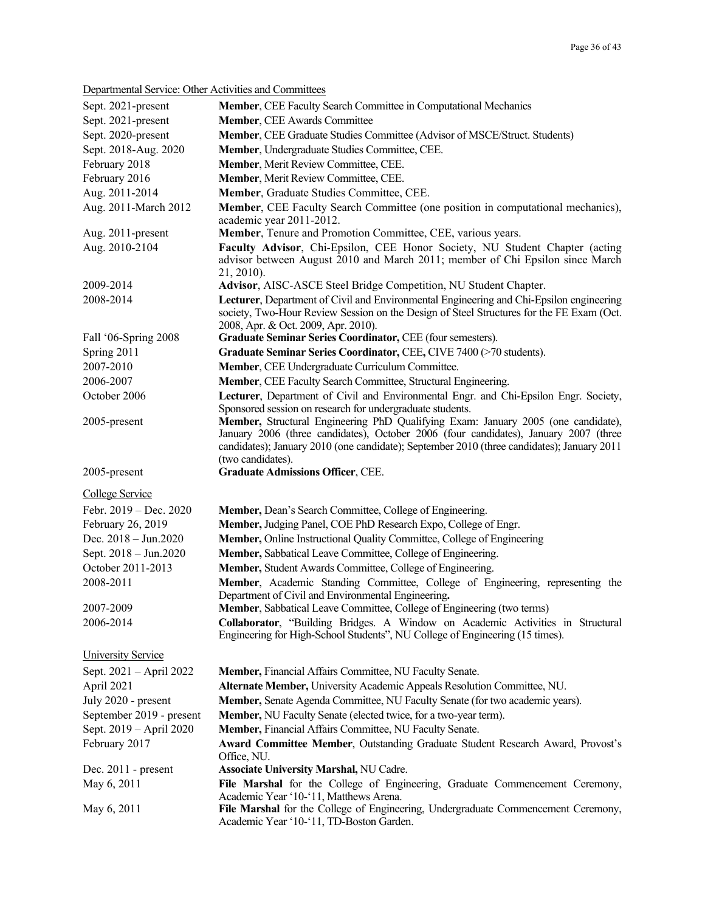Departmental Service: Other Activities and Committees

| Deparamental Dervice. Other Tech vitres and Committees |                                                                                                                                                                                                                                                                                                                                                           |
|--------------------------------------------------------|-----------------------------------------------------------------------------------------------------------------------------------------------------------------------------------------------------------------------------------------------------------------------------------------------------------------------------------------------------------|
| Sept. 2021-present                                     | Member, CEE Faculty Search Committee in Computational Mechanics                                                                                                                                                                                                                                                                                           |
| Sept. 2021-present                                     | <b>Member, CEE Awards Committee</b>                                                                                                                                                                                                                                                                                                                       |
| Sept. 2020-present                                     | Member, CEE Graduate Studies Committee (Advisor of MSCE/Struct. Students)                                                                                                                                                                                                                                                                                 |
| Sept. 2018-Aug. 2020                                   | Member, Undergraduate Studies Committee, CEE.                                                                                                                                                                                                                                                                                                             |
| February 2018                                          | Member, Merit Review Committee, CEE.                                                                                                                                                                                                                                                                                                                      |
| February 2016                                          | Member, Merit Review Committee, CEE.                                                                                                                                                                                                                                                                                                                      |
| Aug. 2011-2014                                         | Member, Graduate Studies Committee, CEE.                                                                                                                                                                                                                                                                                                                  |
| Aug. 2011-March 2012                                   | Member, CEE Faculty Search Committee (one position in computational mechanics),                                                                                                                                                                                                                                                                           |
|                                                        | academic year 2011-2012.                                                                                                                                                                                                                                                                                                                                  |
| Aug. 2011-present                                      | Member, Tenure and Promotion Committee, CEE, various years.                                                                                                                                                                                                                                                                                               |
| Aug. 2010-2104                                         | Faculty Advisor, Chi-Epsilon, CEE Honor Society, NU Student Chapter (acting<br>advisor between August 2010 and March 2011; member of Chi Epsilon since March<br>21, 2010).                                                                                                                                                                                |
| 2009-2014                                              | Advisor, AISC-ASCE Steel Bridge Competition, NU Student Chapter.                                                                                                                                                                                                                                                                                          |
| 2008-2014                                              | Lecturer, Department of Civil and Environmental Engineering and Chi-Epsilon engineering                                                                                                                                                                                                                                                                   |
|                                                        | society, Two-Hour Review Session on the Design of Steel Structures for the FE Exam (Oct.<br>2008, Apr. & Oct. 2009, Apr. 2010).                                                                                                                                                                                                                           |
| Fall '06-Spring 2008                                   | Graduate Seminar Series Coordinator, CEE (four semesters).                                                                                                                                                                                                                                                                                                |
| Spring 2011                                            | Graduate Seminar Series Coordinator, CEE, CIVE 7400 (>70 students).                                                                                                                                                                                                                                                                                       |
| 2007-2010                                              | Member, CEE Undergraduate Curriculum Committee.                                                                                                                                                                                                                                                                                                           |
| 2006-2007                                              | Member, CEE Faculty Search Committee, Structural Engineering.                                                                                                                                                                                                                                                                                             |
| October 2006                                           | Lecturer, Department of Civil and Environmental Engr. and Chi-Epsilon Engr. Society,                                                                                                                                                                                                                                                                      |
| 2005-present                                           | Sponsored session on research for undergraduate students.<br>Member, Structural Engineering PhD Qualifying Exam: January 2005 (one candidate),<br>January 2006 (three candidates), October 2006 (four candidates), January 2007 (three<br>candidates); January 2010 (one candidate); September 2010 (three candidates); January 2011<br>(two candidates). |
| 2005-present                                           | <b>Graduate Admissions Officer, CEE.</b>                                                                                                                                                                                                                                                                                                                  |
| College Service                                        |                                                                                                                                                                                                                                                                                                                                                           |
| Febr. $2019 - Dec. 2020$                               | Member, Dean's Search Committee, College of Engineering.                                                                                                                                                                                                                                                                                                  |
| February 26, 2019                                      | Member, Judging Panel, COE PhD Research Expo, College of Engr.                                                                                                                                                                                                                                                                                            |
| Dec. 2018 - Jun.2020                                   | Member, Online Instructional Quality Committee, College of Engineering                                                                                                                                                                                                                                                                                    |
| Sept. 2018 - Jun.2020                                  | Member, Sabbatical Leave Committee, College of Engineering.                                                                                                                                                                                                                                                                                               |
| October 2011-2013                                      | Member, Student Awards Committee, College of Engineering.                                                                                                                                                                                                                                                                                                 |
| 2008-2011                                              | Member, Academic Standing Committee, College of Engineering, representing the                                                                                                                                                                                                                                                                             |
|                                                        | Department of Civil and Environmental Engineering.                                                                                                                                                                                                                                                                                                        |
| 2007-2009                                              | Member, Sabbatical Leave Committee, College of Engineering (two terms)                                                                                                                                                                                                                                                                                    |
| 2006-2014                                              | Collaborator, "Building Bridges. A Window on Academic Activities in Structural<br>Engineering for High-School Students", NU College of Engineering (15 times).                                                                                                                                                                                            |
| <b>University Service</b>                              |                                                                                                                                                                                                                                                                                                                                                           |
| Sept. 2021 - April 2022                                | Member, Financial Affairs Committee, NU Faculty Senate.                                                                                                                                                                                                                                                                                                   |
| April 2021                                             | Alternate Member, University Academic Appeals Resolution Committee, NU.                                                                                                                                                                                                                                                                                   |
| July 2020 - present                                    | Member, Senate Agenda Committee, NU Faculty Senate (for two academic years).                                                                                                                                                                                                                                                                              |
| September 2019 - present                               | Member, NU Faculty Senate (elected twice, for a two-year term).                                                                                                                                                                                                                                                                                           |
| Sept. 2019 – April 2020                                | Member, Financial Affairs Committee, NU Faculty Senate.                                                                                                                                                                                                                                                                                                   |
| February 2017                                          | Award Committee Member, Outstanding Graduate Student Research Award, Provost's<br>Office, NU.                                                                                                                                                                                                                                                             |
| Dec. $2011$ - present                                  | <b>Associate University Marshal, NU Cadre.</b>                                                                                                                                                                                                                                                                                                            |
| May 6, 2011                                            | File Marshal for the College of Engineering, Graduate Commencement Ceremony,<br>Academic Year '10-'11, Matthews Arena.                                                                                                                                                                                                                                    |
| May 6, 2011                                            | File Marshal for the College of Engineering, Undergraduate Commencement Ceremony,<br>Academic Year '10-'11, TD-Boston Garden.                                                                                                                                                                                                                             |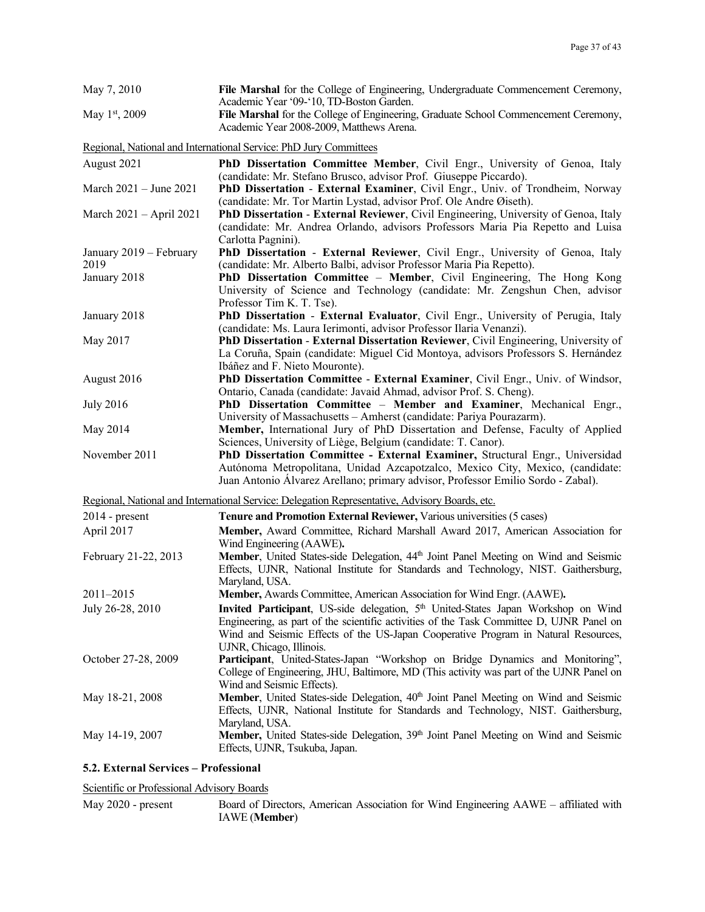| May 7, 2010                     | File Marshal for the College of Engineering, Undergraduate Commencement Ceremony,<br>Academic Year '09-'10, TD-Boston Garden.                                                                                                                                                   |
|---------------------------------|---------------------------------------------------------------------------------------------------------------------------------------------------------------------------------------------------------------------------------------------------------------------------------|
| May 1 <sup>st</sup> , 2009      | File Marshal for the College of Engineering, Graduate School Commencement Ceremony,<br>Academic Year 2008-2009, Matthews Arena.                                                                                                                                                 |
|                                 | Regional, National and International Service: PhD Jury Committees                                                                                                                                                                                                               |
| August 2021                     | PhD Dissertation Committee Member, Civil Engr., University of Genoa, Italy                                                                                                                                                                                                      |
| March 2021 – June 2021          | (candidate: Mr. Stefano Brusco, advisor Prof. Giuseppe Piccardo).<br>PhD Dissertation - External Examiner, Civil Engr., Univ. of Trondheim, Norway<br>(candidate: Mr. Tor Martin Lystad, advisor Prof. Ole Andre Øiseth).                                                       |
| March 2021 - April 2021         | PhD Dissertation - External Reviewer, Civil Engineering, University of Genoa, Italy<br>(candidate: Mr. Andrea Orlando, advisors Professors Maria Pia Repetto and Luisa<br>Carlotta Pagnini).                                                                                    |
| January 2019 – February<br>2019 | PhD Dissertation - External Reviewer, Civil Engr., University of Genoa, Italy<br>(candidate: Mr. Alberto Balbi, advisor Professor Maria Pia Repetto).                                                                                                                           |
| January 2018                    | PhD Dissertation Committee - Member, Civil Engineering, The Hong Kong<br>University of Science and Technology (candidate: Mr. Zengshun Chen, advisor<br>Professor Tim K. T. Tse).                                                                                               |
| January 2018                    | PhD Dissertation - External Evaluator, Civil Engr., University of Perugia, Italy<br>(candidate: Ms. Laura Ierimonti, advisor Professor Ilaria Venanzi).                                                                                                                         |
| May 2017                        | PhD Dissertation - External Dissertation Reviewer, Civil Engineering, University of<br>La Coruña, Spain (candidate: Miguel Cid Montoya, advisors Professors S. Hernández<br>Ibáñez and F. Nieto Mouronte).                                                                      |
| August 2016                     | PhD Dissertation Committee - External Examiner, Civil Engr., Univ. of Windsor,<br>Ontario, Canada (candidate: Javaid Ahmad, advisor Prof. S. Cheng).                                                                                                                            |
| <b>July 2016</b>                | PhD Dissertation Committee - Member and Examiner, Mechanical Engr.,                                                                                                                                                                                                             |
| May 2014                        | University of Massachusetts - Amherst (candidate: Pariya Pourazarm).<br>Member, International Jury of PhD Dissertation and Defense, Faculty of Applied<br>Sciences, University of Liège, Belgium (candidate: T. Canor).                                                         |
| November 2011                   | PhD Dissertation Committee - External Examiner, Structural Engr., Universidad<br>Autónoma Metropolitana, Unidad Azcapotzalco, Mexico City, Mexico, (candidate:<br>Juan Antonio Álvarez Arellano; primary advisor, Professor Emilio Sordo - Zabal).                              |
|                                 | Regional, National and International Service: Delegation Representative, Advisory Boards, etc.                                                                                                                                                                                  |
| $2014$ - present                | Tenure and Promotion External Reviewer, Various universities (5 cases)                                                                                                                                                                                                          |
| April 2017                      | Member, Award Committee, Richard Marshall Award 2017, American Association for<br>Wind Engineering (AAWE).                                                                                                                                                                      |
| February 21-22, 2013            | Member, United States-side Delegation, 44 <sup>th</sup> Joint Panel Meeting on Wind and Seismic<br>Effects, UJNR, National Institute for Standards and Technology, NIST. Gaithersburg,<br>Maryland, USA.                                                                        |
| 2011-2015                       | Member, Awards Committee, American Association for Wind Engr. (AAWE).                                                                                                                                                                                                           |
| July 26-28, 2010                | Invited Participant, US-side delegation, 5 <sup>th</sup> United-States Japan Workshop on Wind<br>Engineering, as part of the scientific activities of the Task Committee D, UJNR Panel on<br>Wind and Seismic Effects of the US-Japan Cooperative Program in Natural Resources, |
| October 27-28, 2009             | UJNR, Chicago, Illinois.<br>Participant, United-States-Japan "Workshop on Bridge Dynamics and Monitoring",<br>College of Engineering, JHU, Baltimore, MD (This activity was part of the UJNR Panel on<br>Wind and Seismic Effects).                                             |
| May 18-21, 2008                 | Member, United States-side Delegation, 40 <sup>th</sup> Joint Panel Meeting on Wind and Seismic<br>Effects, UJNR, National Institute for Standards and Technology, NIST. Gaithersburg,<br>Maryland, USA.                                                                        |
| May 14-19, 2007                 | Member, United States-side Delegation, 39th Joint Panel Meeting on Wind and Seismic<br>Effects, UJNR, Tsukuba, Japan.                                                                                                                                                           |

## **5.2. External Services – Professional**

## Scientific or Professional Advisory Boards

May 2020 - present Board of Directors, American Association for Wind Engineering AAWE – affiliated with IAWE (**Member**)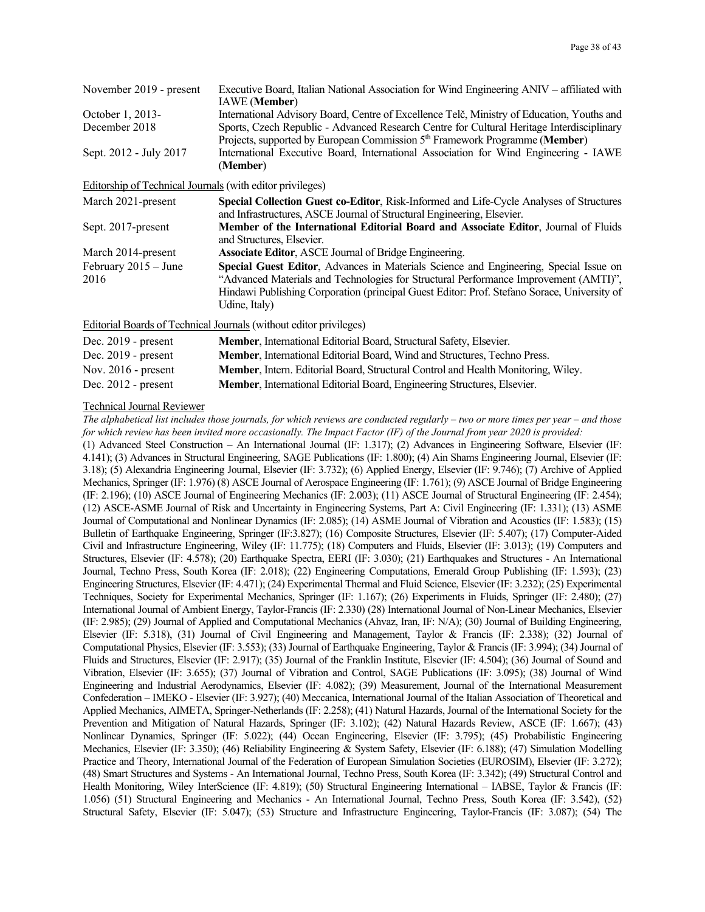| November 2019 - present                                          | Executive Board, Italian National Association for Wind Engineering ANIV – affiliated with<br><b>IAWE</b> (Member)                                                                                                                                                                             |
|------------------------------------------------------------------|-----------------------------------------------------------------------------------------------------------------------------------------------------------------------------------------------------------------------------------------------------------------------------------------------|
| October 1, 2013-                                                 | International Advisory Board, Centre of Excellence Telč, Ministry of Education, Youths and                                                                                                                                                                                                    |
| December 2018                                                    | Sports, Czech Republic - Advanced Research Centre for Cultural Heritage Interdisciplinary                                                                                                                                                                                                     |
| Sept. 2012 - July 2017                                           | Projects, supported by European Commission 5 <sup>th</sup> Framework Programme (Member)<br>International Executive Board, International Association for Wind Engineering - IAWE<br>(Member)                                                                                                   |
| <b>Editorship of Technical Journals (with editor privileges)</b> |                                                                                                                                                                                                                                                                                               |
| March 2021-present                                               | Special Collection Guest co-Editor, Risk-Informed and Life-Cycle Analyses of Structures<br>and Infrastructures, ASCE Journal of Structural Engineering, Elsevier.                                                                                                                             |
| Sept. 2017-present                                               | Member of the International Editorial Board and Associate Editor, Journal of Fluids<br>and Structures, Elsevier.                                                                                                                                                                              |
| March 2014-present                                               | <b>Associate Editor, ASCE Journal of Bridge Engineering.</b>                                                                                                                                                                                                                                  |
| February $2015 -$ June<br>2016                                   | Special Guest Editor, Advances in Materials Science and Engineering, Special Issue on<br>"Advanced Materials and Technologies for Structural Performance Improvement (AMTI)",<br>Hindawi Publishing Corporation (principal Guest Editor: Prof. Stefano Sorace, University of<br>Udine, Italy) |
|                                                                  | Editorial Boards of Technical Journals (without editor privileges)                                                                                                                                                                                                                            |
| Dec. $2019$ - present                                            | <b>Member, International Editorial Board, Structural Safety, Elsevier.</b>                                                                                                                                                                                                                    |
| Dec. $2019$ - present                                            | Member, International Editorial Board, Wind and Structures, Techno Press.                                                                                                                                                                                                                     |
|                                                                  | the matter than the state of the talks to the                                                                                                                                                                                                                                                 |

#### Nov. 2016 - present **Member**, Intern. Editorial Board, Structural Control and Health Monitoring, Wiley. Dec. 2012 - present **Member**, International Editorial Board, Engineering Structures, Elsevier.

#### Technical Journal Reviewer

*The alphabetical list includes those journals, for which reviews are conducted regularly – two or more times per year – and those for which review has been invited more occasionally. The Impact Factor (IF) of the Journal from year 2020 is provided:* (1) Advanced Steel Construction – An International Journal (IF: 1.317); (2) Advances in Engineering Software, Elsevier (IF: 4.141); (3) Advances in Structural Engineering, SAGE Publications (IF: 1.800); (4) Ain Shams Engineering Journal, Elsevier (IF: 3.18); (5) Alexandria Engineering Journal, Elsevier (IF: 3.732); (6) Applied Energy, Elsevier (IF: 9.746); (7) Archive of Applied Mechanics, Springer (IF: 1.976) (8) ASCE Journal of Aerospace Engineering (IF: 1.761); (9) ASCE Journal of Bridge Engineering (IF: 2.196); (10) ASCE Journal of Engineering Mechanics (IF: 2.003); (11) ASCE Journal of Structural Engineering (IF: 2.454); (12) ASCE-ASME Journal of Risk and Uncertainty in Engineering Systems, Part A: Civil Engineering (IF: 1.331); (13) ASME Journal of Computational and Nonlinear Dynamics (IF: 2.085); (14) ASME Journal of Vibration and Acoustics (IF: 1.583); (15) Bulletin of Earthquake Engineering, Springer (IF:3.827); (16) Composite Structures, Elsevier (IF: 5.407); (17) Computer-Aided Civil and Infrastructure Engineering, Wiley (IF: 11.775); (18) Computers and Fluids, Elsevier (IF: 3.013); (19) Computers and Structures, Elsevier (IF: 4.578); (20) Earthquake Spectra, EERI (IF: 3.030); (21) Earthquakes and Structures - An International Journal, Techno Press, South Korea (IF: 2.018); (22) Engineering Computations, Emerald Group Publishing (IF: 1.593); (23) Engineering Structures, Elsevier (IF: 4.471); (24) Experimental Thermal and Fluid Science, Elsevier (IF: 3.232); (25) Experimental Techniques, Society for Experimental Mechanics, Springer (IF: 1.167); (26) Experiments in Fluids, Springer (IF: 2.480); (27) International Journal of Ambient Energy, Taylor-Francis (IF: 2.330) (28) International Journal of Non-Linear Mechanics, Elsevier (IF: 2.985); (29) Journal of Applied and Computational Mechanics (Ahvaz, Iran, IF: N/A); (30) Journal of Building Engineering, Elsevier (IF: 5.318), (31) Journal of Civil Engineering and Management, Taylor & Francis (IF: 2.338); (32) Journal of Computational Physics, Elsevier (IF: 3.553); (33) Journal of Earthquake Engineering, Taylor & Francis (IF: 3.994); (34) Journal of Fluids and Structures, Elsevier (IF: 2.917); (35) Journal of the Franklin Institute, Elsevier (IF: 4.504); (36) Journal of Sound and Vibration, Elsevier (IF: 3.655); (37) Journal of Vibration and Control, SAGE Publications (IF: 3.095); (38) Journal of Wind Engineering and Industrial Aerodynamics, Elsevier (IF: 4.082); (39) Measurement, Journal of the International Measurement Confederation – IMEKO - Elsevier (IF: 3.927); (40) Meccanica, International Journal of the Italian Association of Theoretical and Applied Mechanics, AIMETA, Springer-Netherlands (IF: 2.258); (41) Natural Hazards, Journal of the International Society for the Prevention and Mitigation of Natural Hazards, Springer (IF: 3.102); (42) Natural Hazards Review, ASCE (IF: 1.667); (43) Nonlinear Dynamics, Springer (IF: 5.022); (44) Ocean Engineering, Elsevier (IF: 3.795); (45) Probabilistic Engineering Mechanics, Elsevier (IF: 3.350); (46) Reliability Engineering & System Safety, Elsevier (IF: 6.188); (47) Simulation Modelling Practice and Theory, International Journal of the Federation of European Simulation Societies (EUROSIM), Elsevier (IF: 3.272); (48) Smart Structures and Systems - An International Journal, Techno Press, South Korea (IF: 3.342); (49) Structural Control and Health Monitoring, Wiley InterScience (IF: 4.819); (50) Structural Engineering International – IABSE, Taylor & Francis (IF: 1.056) (51) Structural Engineering and Mechanics - An International Journal, Techno Press, South Korea (IF: 3.542), (52) Structural Safety, Elsevier (IF: 5.047); (53) Structure and Infrastructure Engineering, Taylor-Francis (IF: 3.087); (54) The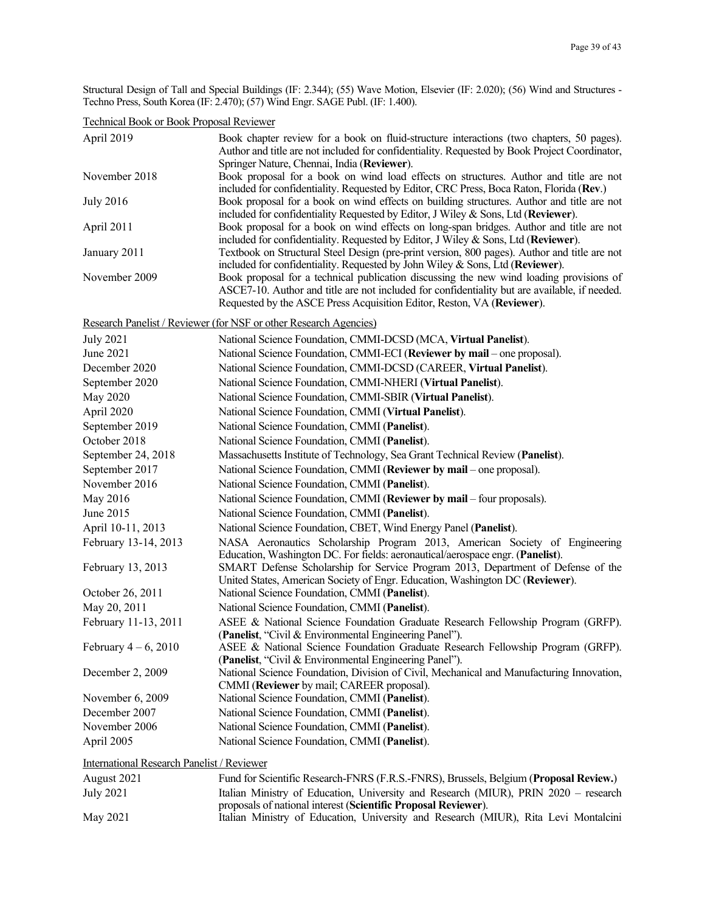Structural Design of Tall and Special Buildings (IF: 2.344); (55) Wave Motion, Elsevier (IF: 2.020); (56) Wind and Structures - Techno Press, South Korea (IF: 2.470); (57) Wind Engr. SAGE Publ. (IF: 1.400).

Technical Book or Book Proposal Reviewer

| April 2019                                        | Book chapter review for a book on fluid-structure interactions (two chapters, 50 pages).<br>Author and title are not included for confidentiality. Requested by Book Project Coordinator,                                                                          |
|---------------------------------------------------|--------------------------------------------------------------------------------------------------------------------------------------------------------------------------------------------------------------------------------------------------------------------|
|                                                   | Springer Nature, Chennai, India (Reviewer).                                                                                                                                                                                                                        |
| November 2018                                     | Book proposal for a book on wind load effects on structures. Author and title are not<br>included for confidentiality. Requested by Editor, CRC Press, Boca Raton, Florida (Rev.)                                                                                  |
| <b>July 2016</b>                                  | Book proposal for a book on wind effects on building structures. Author and title are not<br>included for confidentiality Requested by Editor, J Wiley & Sons, Ltd (Reviewer).                                                                                     |
| April 2011                                        | Book proposal for a book on wind effects on long-span bridges. Author and title are not<br>included for confidentiality. Requested by Editor, J Wiley & Sons, Ltd (Reviewer).                                                                                      |
| January 2011                                      | Textbook on Structural Steel Design (pre-print version, 800 pages). Author and title are not<br>included for confidentiality. Requested by John Wiley & Sons, Ltd (Reviewer).                                                                                      |
| November 2009                                     | Book proposal for a technical publication discussing the new wind loading provisions of<br>ASCE7-10. Author and title are not included for confidentiality but are available, if needed.<br>Requested by the ASCE Press Acquisition Editor, Reston, VA (Reviewer). |
|                                                   | Research Panelist / Reviewer (for NSF or other Research Agencies)                                                                                                                                                                                                  |
| <b>July 2021</b>                                  | National Science Foundation, CMMI-DCSD (MCA, Virtual Panelist).                                                                                                                                                                                                    |
| June 2021                                         | National Science Foundation, CMMI-ECI (Reviewer by mail – one proposal).                                                                                                                                                                                           |
| December 2020                                     | National Science Foundation, CMMI-DCSD (CAREER, Virtual Panelist).                                                                                                                                                                                                 |
| September 2020                                    | National Science Foundation, CMMI-NHERI (Virtual Panelist).                                                                                                                                                                                                        |
| May 2020                                          | National Science Foundation, CMMI-SBIR (Virtual Panelist).                                                                                                                                                                                                         |
| April 2020                                        | National Science Foundation, CMMI (Virtual Panelist).                                                                                                                                                                                                              |
| September 2019                                    | National Science Foundation, CMMI (Panelist).                                                                                                                                                                                                                      |
| October 2018                                      | National Science Foundation, CMMI (Panelist).                                                                                                                                                                                                                      |
| September 24, 2018                                | Massachusetts Institute of Technology, Sea Grant Technical Review (Panelist).                                                                                                                                                                                      |
| September 2017                                    | National Science Foundation, CMMI (Reviewer by mail – one proposal).                                                                                                                                                                                               |
| November 2016                                     | National Science Foundation, CMMI (Panelist).                                                                                                                                                                                                                      |
| May 2016                                          | National Science Foundation, CMMI (Reviewer by mail - four proposals).                                                                                                                                                                                             |
| June 2015                                         | National Science Foundation, CMMI (Panelist).                                                                                                                                                                                                                      |
| April 10-11, 2013                                 | National Science Foundation, CBET, Wind Energy Panel (Panelist).                                                                                                                                                                                                   |
| February 13-14, 2013                              | NASA Aeronautics Scholarship Program 2013, American Society of Engineering<br>Education, Washington DC. For fields: aeronautical/aerospace engr. (Panelist).                                                                                                       |
| February 13, 2013                                 | SMART Defense Scholarship for Service Program 2013, Department of Defense of the<br>United States, American Society of Engr. Education, Washington DC (Reviewer).                                                                                                  |
| October 26, 2011                                  | National Science Foundation, CMMI (Panelist).                                                                                                                                                                                                                      |
| May 20, 2011                                      | National Science Foundation, CMMI (Panelist).                                                                                                                                                                                                                      |
| February 11-13, 2011                              | ASEE & National Science Foundation Graduate Research Fellowship Program (GRFP).<br>(Panelist, "Civil & Environmental Engineering Panel").                                                                                                                          |
| February $4-6$ , 2010                             | ASEE & National Science Foundation Graduate Research Fellowship Program (GRFP).<br>(Panelist, "Civil & Environmental Engineering Panel").                                                                                                                          |
| December 2, 2009                                  | National Science Foundation, Division of Civil, Mechanical and Manufacturing Innovation,<br>CMMI (Reviewer by mail; CAREER proposal).                                                                                                                              |
| November 6, 2009                                  | National Science Foundation, CMMI (Panelist).                                                                                                                                                                                                                      |
| December 2007                                     | National Science Foundation, CMMI (Panelist).                                                                                                                                                                                                                      |
| November 2006                                     | National Science Foundation, CMMI (Panelist).                                                                                                                                                                                                                      |
| April 2005                                        | National Science Foundation, CMMI (Panelist).                                                                                                                                                                                                                      |
| <b>International Research Panelist / Reviewer</b> |                                                                                                                                                                                                                                                                    |

| August 2021 | Fund for Scientific Research-FNRS (F.R.S.-FNRS), Brussels, Belgium (Proposal Review.) |
|-------------|---------------------------------------------------------------------------------------|
| July 2021   | Italian Ministry of Education, University and Research (MIUR), PRIN 2020 – research   |
|             | proposals of national interest (Scientific Proposal Reviewer).                        |
| May 2021    | Italian Ministry of Education, University and Research (MIUR), Rita Levi Montalcini   |
|             |                                                                                       |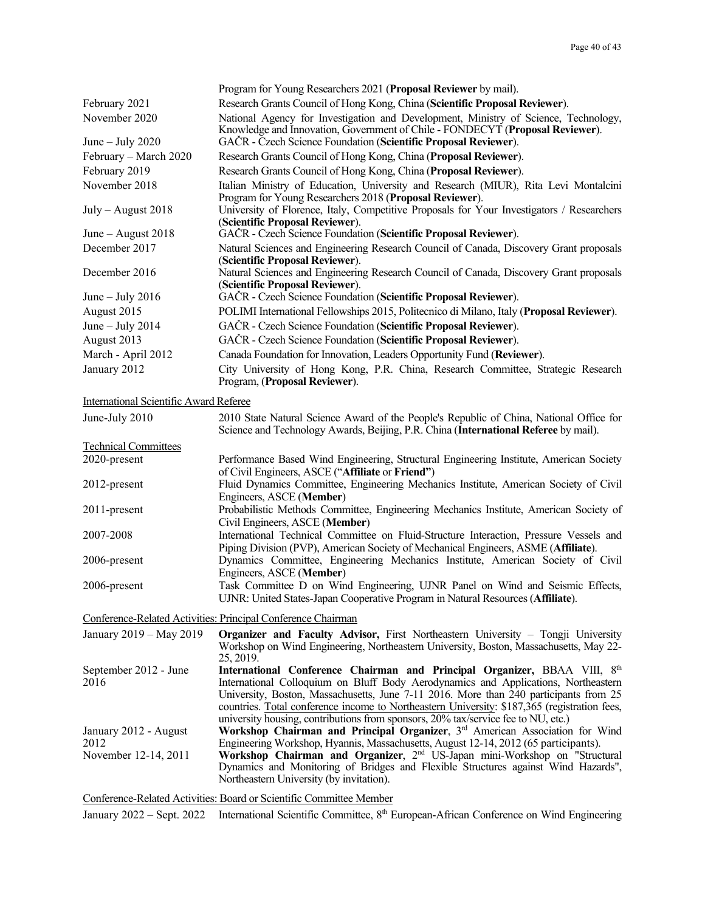|                                               | Program for Young Researchers 2021 (Proposal Reviewer by mail).                                                                                                                |
|-----------------------------------------------|--------------------------------------------------------------------------------------------------------------------------------------------------------------------------------|
| February 2021                                 | Research Grants Council of Hong Kong, China (Scientific Proposal Reviewer).                                                                                                    |
| November 2020                                 | National Agency for Investigation and Development, Ministry of Science, Technology,<br>Knowledge and Innovation, Government of Chile - FONDECYT (Proposal Reviewer).           |
| June $-$ July 2020                            | GAČR - Czech Science Foundation (Scientific Proposal Reviewer).                                                                                                                |
| February - March 2020                         | Research Grants Council of Hong Kong, China (Proposal Reviewer).                                                                                                               |
| February 2019                                 | Research Grants Council of Hong Kong, China (Proposal Reviewer).                                                                                                               |
| November 2018                                 | Italian Ministry of Education, University and Research (MIUR), Rita Levi Montalcini<br>Program for Young Researchers 2018 (Proposal Reviewer).                                 |
| $July - August 2018$                          | University of Florence, Italy, Competitive Proposals for Your Investigators / Researchers<br>(Scientific Proposal Reviewer).                                                   |
| June $-$ August 2018                          | GAČR - Czech Science Foundation (Scientific Proposal Reviewer).                                                                                                                |
| December 2017                                 | Natural Sciences and Engineering Research Council of Canada, Discovery Grant proposals<br>(Scientific Proposal Reviewer).                                                      |
| December 2016                                 | Natural Sciences and Engineering Research Council of Canada, Discovery Grant proposals<br>(Scientific Proposal Reviewer).                                                      |
| June $-$ July 2016                            | GAČR - Czech Science Foundation (Scientific Proposal Reviewer).                                                                                                                |
| August 2015                                   | POLIMI International Fellowships 2015, Politecnico di Milano, Italy (Proposal Reviewer).                                                                                       |
| June $-$ July 2014                            | GAČR - Czech Science Foundation (Scientific Proposal Reviewer).                                                                                                                |
| August 2013                                   | GAČR - Czech Science Foundation (Scientific Proposal Reviewer).                                                                                                                |
| March - April 2012                            | Canada Foundation for Innovation, Leaders Opportunity Fund (Reviewer).                                                                                                         |
| January 2012                                  | City University of Hong Kong, P.R. China, Research Committee, Strategic Research<br>Program, (Proposal Reviewer).                                                              |
| <b>International Scientific Award Referee</b> |                                                                                                                                                                                |
| June-July 2010                                | 2010 State Natural Science Award of the People's Republic of China, National Office for<br>Science and Technology Awards, Beijing, P.R. China (International Referee by mail). |
| <b>Technical Committees</b>                   |                                                                                                                                                                                |
| 2020-present                                  | Performance Based Wind Engineering, Structural Engineering Institute, American Society<br>of Civil Engineers, ASCE ("Affiliate or Friend")                                     |
| 2012-present                                  | Fluid Dynamics Committee, Engineering Mechanics Institute, American Society of Civil<br>Engineers, ASCE (Member)                                                               |
| 2011-present                                  | Probabilistic Methods Committee, Engineering Mechanics Institute, American Society of<br>Civil Engineers, ASCE (Member)                                                        |
| 2007-2008                                     | International Technical Committee on Fluid-Structure Interaction, Pressure Vessels and<br>Piping Division (PVP), American Society of Mechanical Engineers, ASME (Affiliate).   |
| 2006-present                                  | Dynamics Committee, Engineering Mechanics Institute, American Society of Civil<br>Engineers, ASCE (Member)                                                                     |
| 2006-present                                  | Task Committee D on Wind Engineering, UJNR Panel on Wind and Seismic Effects,<br>UJNR: United States-Japan Cooperative Program in Natural Resources (Affiliate).               |
|                                               | Conference-Related Activities: Principal Conference Chairman                                                                                                                   |

| January 2019 – May 2019 | <b>Organizer and Faculty Advisor, First Northeastern University – Tongji University</b>      |
|-------------------------|----------------------------------------------------------------------------------------------|
|                         | Workshop on Wind Engineering, Northeastern University, Boston, Massachusetts, May 22-        |
|                         | 25, 2019.                                                                                    |
| September 2012 - June   | International Conference Chairman and Principal Organizer, BBAA VIII, 8th                    |
| 2016                    | International Colloquium on Bluff Body Aerodynamics and Applications, Northeastern           |
|                         | University, Boston, Massachusetts, June 7-11 2016. More than 240 participants from 25        |
|                         | countries. Total conference income to Northeastern University: \$187,365 (registration fees, |
|                         | university housing, contributions from sponsors, 20% tax/service fee to NU, etc.)            |
| January 2012 - August   | Workshop Chairman and Principal Organizer, $3rd$ American Association for Wind               |
| 2012                    | Engineering Workshop, Hyannis, Massachusetts, August 12-14, 2012 (65 participants).          |
| November 12-14, 2011    | Workshop Chairman and Organizer, 2 <sup>nd</sup> US-Japan mini-Workshop on "Structural       |
|                         | Dynamics and Monitoring of Bridges and Flexible Structures against Wind Hazards",            |
|                         | Northeastern University (by invitation).                                                     |
|                         |                                                                                              |

# Conference-Related Activities: Board or Scientific Committee Member

January 2022 – Sept. 2022 International Scientific Committee, 8<sup>th</sup> European-African Conference on Wind Engineering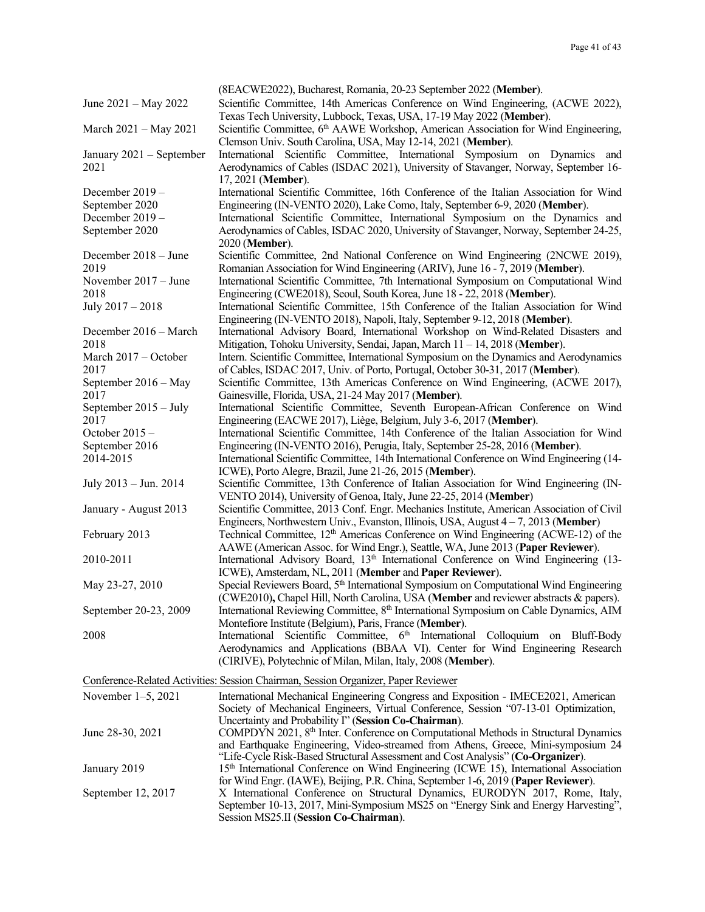|                                  | (8EACWE2022), Bucharest, Romania, 20-23 September 2022 (Member).                                                                                                                               |
|----------------------------------|------------------------------------------------------------------------------------------------------------------------------------------------------------------------------------------------|
| June 2021 – May 2022             | Scientific Committee, 14th Americas Conference on Wind Engineering, (ACWE 2022),<br>Texas Tech University, Lubbock, Texas, USA, 17-19 May 2022 (Member).                                       |
| March 2021 - May 2021            | Scientific Committee, 6 <sup>th</sup> AAWE Workshop, American Association for Wind Engineering,<br>Clemson Univ. South Carolina, USA, May 12-14, 2021 (Member).                                |
| January 2021 - September<br>2021 | International Scientific Committee, International Symposium on Dynamics<br>and<br>Aerodynamics of Cables (ISDAC 2021), University of Stavanger, Norway, September 16-<br>17, 2021 (Member).    |
| December 2019 -                  | International Scientific Committee, 16th Conference of the Italian Association for Wind                                                                                                        |
| September 2020                   | Engineering (IN-VENTO 2020), Lake Como, Italy, September 6-9, 2020 (Member).                                                                                                                   |
| December 2019 -                  | International Scientific Committee, International Symposium on the Dynamics and                                                                                                                |
| September 2020                   | Aerodynamics of Cables, ISDAC 2020, University of Stavanger, Norway, September 24-25,<br>2020 (Member).                                                                                        |
| December 2018 - June             | Scientific Committee, 2nd National Conference on Wind Engineering (2NCWE 2019),                                                                                                                |
| 2019                             | Romanian Association for Wind Engineering (ARIV), June 16 - 7, 2019 (Member).                                                                                                                  |
| November $2017 - June$           | International Scientific Committee, 7th International Symposium on Computational Wind                                                                                                          |
| 2018                             | Engineering (CWE2018), Seoul, South Korea, June 18 - 22, 2018 (Member).                                                                                                                        |
| July 2017 - 2018                 | International Scientific Committee, 15th Conference of the Italian Association for Wind<br>Engineering (IN-VENTO 2018), Napoli, Italy, September 9-12, 2018 (Member).                          |
| December 2016 - March<br>2018    | International Advisory Board, International Workshop on Wind-Related Disasters and<br>Mitigation, Tohoku University, Sendai, Japan, March 11 - 14, 2018 (Member).                              |
| March 2017 - October<br>2017     | Intern. Scientific Committee, International Symposium on the Dynamics and Aerodynamics<br>of Cables, ISDAC 2017, Univ. of Porto, Portugal, October 30-31, 2017 (Member).                       |
| September 2016 - May             | Scientific Committee, 13th Americas Conference on Wind Engineering, (ACWE 2017),                                                                                                               |
| 2017<br>September 2015 - July    | Gainesville, Florida, USA, 21-24 May 2017 (Member).<br>International Scientific Committee, Seventh European-African Conference on Wind                                                         |
| 2017                             | Engineering (EACWE 2017), Liège, Belgium, July 3-6, 2017 (Member).                                                                                                                             |
| October $2015 -$                 | International Scientific Committee, 14th Conference of the Italian Association for Wind                                                                                                        |
| September 2016                   | Engineering (IN-VENTO 2016), Perugia, Italy, September 25-28, 2016 (Member).                                                                                                                   |
| 2014-2015                        | International Scientific Committee, 14th International Conference on Wind Engineering (14-                                                                                                     |
| July 2013 - Jun. 2014            | ICWE), Porto Alegre, Brazil, June 21-26, 2015 (Member).<br>Scientific Committee, 13th Conference of Italian Association for Wind Engineering (IN-                                              |
|                                  | VENTO 2014), University of Genoa, Italy, June 22-25, 2014 (Member)                                                                                                                             |
| January - August 2013            | Scientific Committee, 2013 Conf. Engr. Mechanics Institute, American Association of Civil                                                                                                      |
|                                  | Engineers, Northwestern Univ., Evanston, Illinois, USA, August $4 - 7$ , 2013 (Member)                                                                                                         |
| February 2013                    | Technical Committee, 12 <sup>th</sup> Americas Conference on Wind Engineering (ACWE-12) of the<br>AAWE (American Assoc. for Wind Engr.), Seattle, WA, June 2013 (Paper Reviewer).              |
| 2010-2011                        | International Advisory Board, 13 <sup>th</sup> International Conference on Wind Engineering (13-                                                                                               |
|                                  | ICWE), Amsterdam, NL, 2011 (Member and Paper Reviewer).                                                                                                                                        |
| May 23-27, 2010                  | Special Reviewers Board, 5 <sup>th</sup> International Symposium on Computational Wind Engineering<br>(CWE2010), Chapel Hill, North Carolina, USA (Member and reviewer abstracts $\&$ papers). |
| September 20-23, 2009            | International Reviewing Committee, 8 <sup>th</sup> International Symposium on Cable Dynamics, AIM<br>Montefiore Institute (Belgium), Paris, France (Member).                                   |
| 2008                             | International Scientific Committee, 6 <sup>th</sup> International Colloquium on Bluff-Body                                                                                                     |
|                                  | Aerodynamics and Applications (BBAA VI). Center for Wind Engineering Research<br>(CIRIVE), Polytechnic of Milan, Milan, Italy, 2008 (Member).                                                  |
|                                  | Conference-Related Activities: Session Chairman, Session Organizer, Paper Reviewer                                                                                                             |
| November $1-5$ , 2021            | International Mechanical Engineering Congress and Exposition - IMECE2021, American                                                                                                             |
|                                  | Society of Mechanical Engineers, Virtual Conference, Session "07-13-01 Optimization,                                                                                                           |
|                                  | Uncertainty and Probability I" (Session Co-Chairman).                                                                                                                                          |
| June 28-30, 2021                 | COMPDYN 2021, 8 <sup>th</sup> Inter. Conference on Computational Methods in Structural Dynamics<br>and Earthquake Engineering, Video-streamed from Athens, Greece, Mini-symposium 24           |
|                                  | "Life-Cycle Risk-Based Structural Assessment and Cost Analysis" (Co-Organizer).                                                                                                                |
| January 2019                     | 15 <sup>th</sup> International Conference on Wind Engineering (ICWE 15), International Association                                                                                             |
|                                  | for Wind Engr. (IAWE), Beijing, P.R. China, September 1-6, 2019 (Paper Reviewer).                                                                                                              |
| September 12, 2017               | X International Conference on Structural Dynamics, EURODYN 2017, Rome, Italy,<br>September 10-13, 2017, Mini-Symposium MS25 on "Energy Sink and Energy Harvesting",                            |
|                                  | Session MS25.II (Session Co-Chairman).                                                                                                                                                         |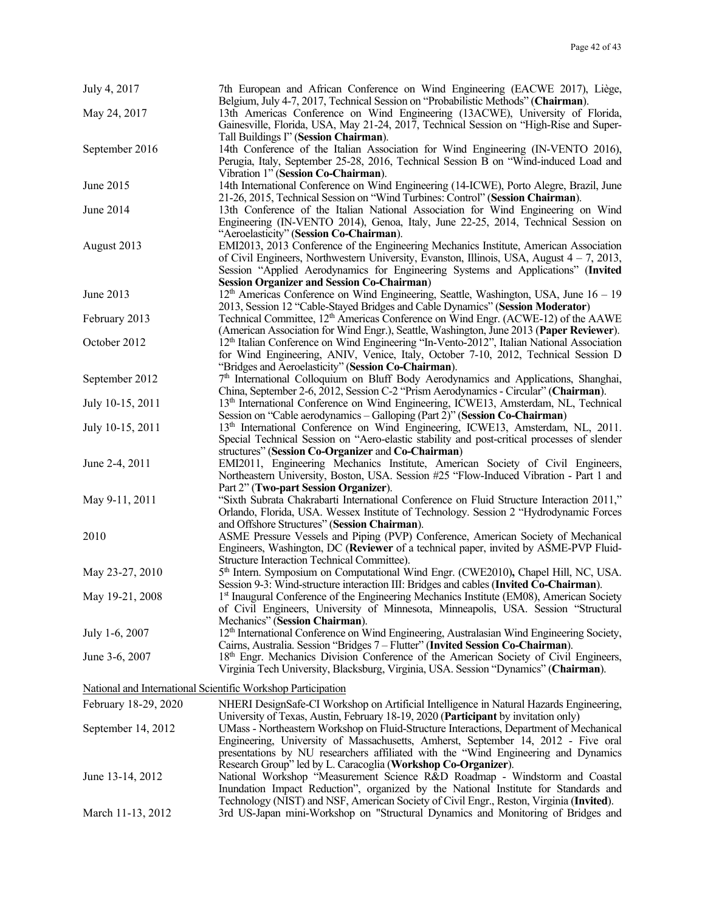| July 4, 2017                                                 | 7th European and African Conference on Wind Engineering (EACWE 2017), Liège,<br>Belgium, July 4-7, 2017, Technical Session on "Probabilistic Methods" (Chairman).                                                                                                                                                                                        |
|--------------------------------------------------------------|----------------------------------------------------------------------------------------------------------------------------------------------------------------------------------------------------------------------------------------------------------------------------------------------------------------------------------------------------------|
| May 24, 2017                                                 | 13th Americas Conference on Wind Engineering (13ACWE), University of Florida,<br>Gainesville, Florida, USA, May 21-24, 2017, Technical Session on "High-Rise and Super-                                                                                                                                                                                  |
| September 2016                                               | Tall Buildings I" (Session Chairman).<br>14th Conference of the Italian Association for Wind Engineering (IN-VENTO 2016),<br>Perugia, Italy, September 25-28, 2016, Technical Session B on "Wind-induced Load and                                                                                                                                        |
| June 2015                                                    | Vibration 1" (Session Co-Chairman).<br>14th International Conference on Wind Engineering (14-ICWE), Porto Alegre, Brazil, June<br>21-26, 2015, Technical Session on "Wind Turbines: Control" (Session Chairman).                                                                                                                                         |
| June 2014                                                    | 13th Conference of the Italian National Association for Wind Engineering on Wind<br>Engineering (IN-VENTO 2014), Genoa, Italy, June 22-25, 2014, Technical Session on                                                                                                                                                                                    |
| August 2013                                                  | "Aeroelasticity" (Session Co-Chairman).<br>EMI2013, 2013 Conference of the Engineering Mechanics Institute, American Association<br>of Civil Engineers, Northwestern University, Evanston, Illinois, USA, August $4 - 7$ , 2013,<br>Session "Applied Aerodynamics for Engineering Systems and Applications" (Invited                                     |
| June 2013                                                    | <b>Session Organizer and Session Co-Chairman)</b><br>$12th$ Americas Conference on Wind Engineering, Seattle, Washington, USA, June $16 - 19$<br>2013, Session 12 "Cable-Stayed Bridges and Cable Dynamics" (Session Moderator)                                                                                                                          |
| February 2013                                                | Technical Committee, 12 <sup>th</sup> Americas Conference on Wind Engr. (ACWE-12) of the AAWE                                                                                                                                                                                                                                                            |
| October 2012                                                 | (American Association for Wind Engr.), Seattle, Washington, June 2013 (Paper Reviewer).<br>12 <sup>th</sup> Italian Conference on Wind Engineering "In-Vento-2012", Italian National Association<br>for Wind Engineering, ANIV, Venice, Italy, October 7-10, 2012, Technical Session D                                                                   |
| September 2012                                               | "Bridges and Aeroelasticity" (Session Co-Chairman).<br>$7th$ International Colloquium on Bluff Body Aerodynamics and Applications, Shanghai,                                                                                                                                                                                                             |
| July 10-15, 2011                                             | China, September 2-6, 2012, Session C-2 "Prism Aerodynamics - Circular" (Chairman).<br>13th International Conference on Wind Engineering, ICWE13, Amsterdam, NL, Technical                                                                                                                                                                               |
| July 10-15, 2011                                             | Session on "Cable aerodynamics - Galloping (Part 2)" (Session Co-Chairman)<br>13 <sup>th</sup> International Conference on Wind Engineering, ICWE13, Amsterdam, NL, 2011.<br>Special Technical Session on "Aero-elastic stability and post-critical processes of slender                                                                                 |
| June 2-4, 2011                                               | structures" (Session Co-Organizer and Co-Chairman)<br>EMI2011, Engineering Mechanics Institute, American Society of Civil Engineers,<br>Northeastern University, Boston, USA. Session #25 "Flow-Induced Vibration - Part 1 and                                                                                                                           |
| May 9-11, 2011                                               | Part 2" (Two-part Session Organizer).<br>"Sixth Subrata Chakrabarti International Conference on Fluid Structure Interaction 2011,"<br>Orlando, Florida, USA. Wessex Institute of Technology. Session 2 "Hydrodynamic Forces                                                                                                                              |
| 2010                                                         | and Offshore Structures" (Session Chairman).<br>ASME Pressure Vessels and Piping (PVP) Conference, American Society of Mechanical<br>Engineers, Washington, DC (Reviewer of a technical paper, invited by ASME-PVP Fluid-                                                                                                                                |
| May 23-27, 2010                                              | Structure Interaction Technical Committee).<br>5 <sup>th</sup> Intern. Symposium on Computational Wind Engr. (CWE2010), Chapel Hill, NC, USA.                                                                                                                                                                                                            |
| May 19-21, 2008                                              | Session 9-3: Wind-structure interaction III: Bridges and cables (Invited Co-Chairman).<br>1st Inaugural Conference of the Engineering Mechanics Institute (EM08), American Society<br>of Civil Engineers, University of Minnesota, Minneapolis, USA. Session "Structural                                                                                 |
| July 1-6, 2007                                               | Mechanics" (Session Chairman).<br>12 <sup>th</sup> International Conference on Wind Engineering, Australasian Wind Engineering Society,                                                                                                                                                                                                                  |
| June 3-6, 2007                                               | Cairns, Australia. Session "Bridges 7 - Flutter" (Invited Session Co-Chairman).<br>18 <sup>th</sup> Engr. Mechanics Division Conference of the American Society of Civil Engineers,<br>Virginia Tech University, Blacksburg, Virginia, USA. Session "Dynamics" (Chairman).                                                                               |
| National and International Scientific Workshop Participation |                                                                                                                                                                                                                                                                                                                                                          |
| February 18-29, 2020                                         | NHERI DesignSafe-CI Workshop on Artificial Intelligence in Natural Hazards Engineering,                                                                                                                                                                                                                                                                  |
| September 14, 2012                                           | University of Texas, Austin, February 18-19, 2020 (Participant by invitation only)<br>UMass - Northeastern Workshop on Fluid-Structure Interactions, Department of Mechanical<br>Engineering, University of Massachusetts, Amherst, September 14, 2012 - Five oral<br>presentations by NU researchers affiliated with the "Wind Engineering and Dynamics |
| June 13-14, 2012                                             | Research Group" led by L. Caracoglia (Workshop Co-Organizer).<br>National Workshop "Measurement Science R&D Roadmap - Windstorm and Coastal<br>Inundation Impact Reduction", organized by the National Institute for Standards and<br>Technology (NIST) and NSF, American Society of Civil Engr., Reston, Virginia (Invited).                            |
| March 11-13, 2012                                            | 3rd US-Japan mini-Workshop on "Structural Dynamics and Monitoring of Bridges and                                                                                                                                                                                                                                                                         |